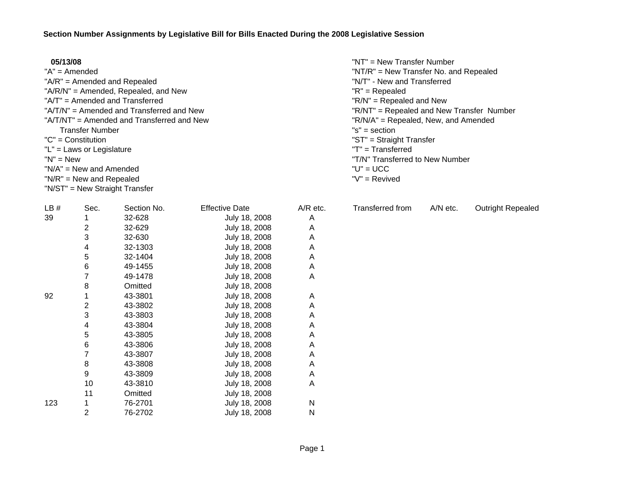| 05/13/08                                   | "NT" = New Transfer Number                |
|--------------------------------------------|-------------------------------------------|
| $A'' = A$ mended                           | "NT/R" = New Transfer No. and Repealed    |
| " $A/R$ " = Amended and Repealed           | "N/T" - New and Transferred               |
| "A/R/N" = Amended, Repealed, and New       | $"R" = Repealed$                          |
| "A/T" = Amended and Transferred            | $"R/N" = Repeated$ and New                |
| "A/T/N" = Amended and Transferred and New  | "R/NT" = Repealed and New Transfer Number |
| "A/T/NT" = Amended and Transferred and New | "R/N/A" = Repealed, New, and Amended      |
| <b>Transfer Number</b>                     | $"s" = section$                           |
| $"C" = Constant$                           | "ST" = Straight Transfer                  |
| $"L" = Laws or Legislature$                | $T = Transferred$                         |
| $"N" = New$                                | "T/N" Transferred to New Number           |
| $N/A'' = New$ and Amended                  | $"U" = UCC$                               |
| $N/R'' = New$ and Repealed                 | "V" = Revived                             |
| "N/ST" = New Straight Transfer             |                                           |

| LB# | Sec. | Section No. | <b>Effective Date</b> | $A/R$ etc. |
|-----|------|-------------|-----------------------|------------|
| 39  | 1    | 32-628      | July 18, 2008         | A          |
|     | 2    | 32-629      | July 18, 2008         | Α          |
|     | 3    | 32-630      | July 18, 2008         | A          |
|     | 4    | 32-1303     | July 18, 2008         | Α          |
|     | 5    | 32-1404     | July 18, 2008         | A          |
|     | 6    | 49-1455     | July 18, 2008         | A          |
|     | 7    | 49-1478     | July 18, 2008         | A          |
|     | 8    | Omitted     | July 18, 2008         |            |
| 92  | 1    | 43-3801     | July 18, 2008         | A          |
|     | 2    | 43-3802     | July 18, 2008         | A          |
|     | 3    | 43-3803     | July 18, 2008         | Α          |
|     | 4    | 43-3804     | July 18, 2008         | Α          |
|     | 5    | 43-3805     | July 18, 2008         | A          |
|     | 6    | 43-3806     | July 18, 2008         | A          |
|     | 7    | 43-3807     | July 18, 2008         | Α          |
|     | 8    | 43-3808     | July 18, 2008         | A          |
|     | 9    | 43-3809     | July 18, 2008         | A          |
|     | 10   | 43-3810     | July 18, 2008         | A          |
|     | 11   | Omitted     | July 18, 2008         |            |
| 123 | 1    | 76-2701     | July 18, 2008         | N          |
|     | 2    | 76-2702     | July 18, 2008         | N          |
|     |      |             |                       |            |

Transferred from A/N etc. Outright Repealed

Page 1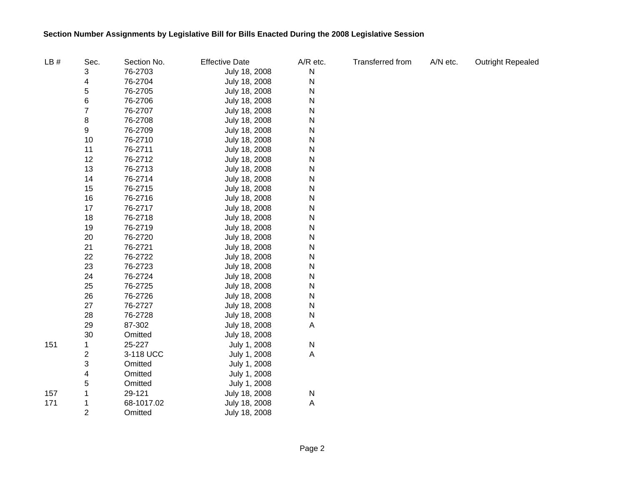| LB# | Sec.                    | Section No. | <b>Effective Date</b> | A/R etc. | Transferred from | A/N etc. | <b>Outright Repealed</b> |
|-----|-------------------------|-------------|-----------------------|----------|------------------|----------|--------------------------|
|     | 3                       | 76-2703     | July 18, 2008         | N        |                  |          |                          |
|     | 4                       | 76-2704     | July 18, 2008         | N        |                  |          |                          |
|     | 5                       | 76-2705     | July 18, 2008         | N        |                  |          |                          |
|     | 6                       | 76-2706     | July 18, 2008         | N        |                  |          |                          |
|     | $\overline{7}$          | 76-2707     | July 18, 2008         | N        |                  |          |                          |
|     | 8                       | 76-2708     | July 18, 2008         | N        |                  |          |                          |
|     | 9                       | 76-2709     | July 18, 2008         | N        |                  |          |                          |
|     | 10                      | 76-2710     | July 18, 2008         | N        |                  |          |                          |
|     | 11                      | 76-2711     | July 18, 2008         | N        |                  |          |                          |
|     | 12                      | 76-2712     | July 18, 2008         | N        |                  |          |                          |
|     | 13                      | 76-2713     | July 18, 2008         | N        |                  |          |                          |
|     | 14                      | 76-2714     | July 18, 2008         | N        |                  |          |                          |
|     | 15                      | 76-2715     | July 18, 2008         | N        |                  |          |                          |
|     | 16                      | 76-2716     | July 18, 2008         | N        |                  |          |                          |
|     | 17                      | 76-2717     | July 18, 2008         | N        |                  |          |                          |
|     | 18                      | 76-2718     | July 18, 2008         | N        |                  |          |                          |
|     | 19                      | 76-2719     | July 18, 2008         | N        |                  |          |                          |
|     | 20                      | 76-2720     | July 18, 2008         | N        |                  |          |                          |
|     | 21                      | 76-2721     | July 18, 2008         | N        |                  |          |                          |
|     | 22                      | 76-2722     | July 18, 2008         | N        |                  |          |                          |
|     | 23                      | 76-2723     | July 18, 2008         | N        |                  |          |                          |
|     | 24                      | 76-2724     | July 18, 2008         | N        |                  |          |                          |
|     | 25                      | 76-2725     | July 18, 2008         | N        |                  |          |                          |
|     | 26                      | 76-2726     | July 18, 2008         | N        |                  |          |                          |
|     | 27                      | 76-2727     | July 18, 2008         | N        |                  |          |                          |
|     | 28                      | 76-2728     | July 18, 2008         | N        |                  |          |                          |
|     | 29                      | 87-302      | July 18, 2008         | Α        |                  |          |                          |
|     | 30                      | Omitted     | July 18, 2008         |          |                  |          |                          |
| 151 | 1                       | 25-227      | July 1, 2008          | N        |                  |          |                          |
|     | $\overline{\mathbf{c}}$ | 3-118 UCC   | July 1, 2008          | Α        |                  |          |                          |
|     | 3                       | Omitted     | July 1, 2008          |          |                  |          |                          |
|     | 4                       | Omitted     | July 1, 2008          |          |                  |          |                          |
|     | 5                       | Omitted     | July 1, 2008          |          |                  |          |                          |
| 157 |                         | 29-121      | July 18, 2008         | N        |                  |          |                          |
| 171 |                         | 68-1017.02  | July 18, 2008         | Α        |                  |          |                          |
|     | $\overline{2}$          | Omitted     | July 18, 2008         |          |                  |          |                          |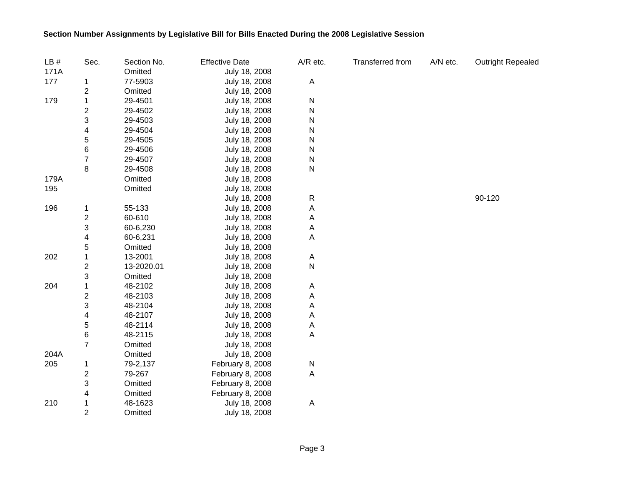| LB#  | Sec.                    | Section No. | <b>Effective Date</b> | A/R etc.    | Transferred from | A/N etc. | <b>Outright Repealed</b> |
|------|-------------------------|-------------|-----------------------|-------------|------------------|----------|--------------------------|
| 171A |                         | Omitted     | July 18, 2008         |             |                  |          |                          |
| 177  | 1                       | 77-5903     | July 18, 2008         | A           |                  |          |                          |
|      | 2                       | Omitted     | July 18, 2008         |             |                  |          |                          |
| 179  | 1                       | 29-4501     | July 18, 2008         | N           |                  |          |                          |
|      | 2                       | 29-4502     | July 18, 2008         | ${\sf N}$   |                  |          |                          |
|      | 3                       | 29-4503     | July 18, 2008         | N           |                  |          |                          |
|      | 4                       | 29-4504     | July 18, 2008         | ${\sf N}$   |                  |          |                          |
|      | 5                       | 29-4505     | July 18, 2008         | N           |                  |          |                          |
|      | 6                       | 29-4506     | July 18, 2008         | ${\sf N}$   |                  |          |                          |
|      | 7                       | 29-4507     | July 18, 2008         | ${\sf N}$   |                  |          |                          |
|      | 8                       | 29-4508     | July 18, 2008         | ${\sf N}$   |                  |          |                          |
| 179A |                         | Omitted     | July 18, 2008         |             |                  |          |                          |
| 195  |                         | Omitted     | July 18, 2008         |             |                  |          |                          |
|      |                         |             | July 18, 2008         | ${\sf R}$   |                  |          | 90-120                   |
| 196  | 1                       | 55-133      | July 18, 2008         | $\mathsf A$ |                  |          |                          |
|      | $\overline{\mathbf{c}}$ | 60-610      | July 18, 2008         | A           |                  |          |                          |
|      | 3                       | 60-6,230    | July 18, 2008         | A           |                  |          |                          |
|      | 4                       | 60-6,231    | July 18, 2008         | A           |                  |          |                          |
|      | 5                       | Omitted     | July 18, 2008         |             |                  |          |                          |
| 202  | 1                       | 13-2001     | July 18, 2008         | A           |                  |          |                          |
|      | 2                       | 13-2020.01  | July 18, 2008         | ${\sf N}$   |                  |          |                          |
|      | 3                       | Omitted     | July 18, 2008         |             |                  |          |                          |
| 204  | 1                       | 48-2102     | July 18, 2008         | A           |                  |          |                          |
|      | 2                       | 48-2103     | July 18, 2008         | A           |                  |          |                          |
|      | 3                       | 48-2104     | July 18, 2008         | A           |                  |          |                          |
|      | 4                       | 48-2107     | July 18, 2008         | A           |                  |          |                          |
|      | 5                       | 48-2114     | July 18, 2008         | A           |                  |          |                          |
|      | 6                       | 48-2115     | July 18, 2008         | A           |                  |          |                          |
|      | $\overline{7}$          | Omitted     | July 18, 2008         |             |                  |          |                          |
| 204A |                         | Omitted     | July 18, 2008         |             |                  |          |                          |
| 205  | 1                       | 79-2,137    | February 8, 2008      | ${\sf N}$   |                  |          |                          |
|      | $\overline{c}$          | 79-267      | February 8, 2008      | $\mathsf A$ |                  |          |                          |
|      | 3                       | Omitted     | February 8, 2008      |             |                  |          |                          |
|      | 4                       | Omitted     | February 8, 2008      |             |                  |          |                          |
| 210  | 1                       | 48-1623     | July 18, 2008         | A           |                  |          |                          |
|      | $\overline{2}$          | Omitted     | July 18, 2008         |             |                  |          |                          |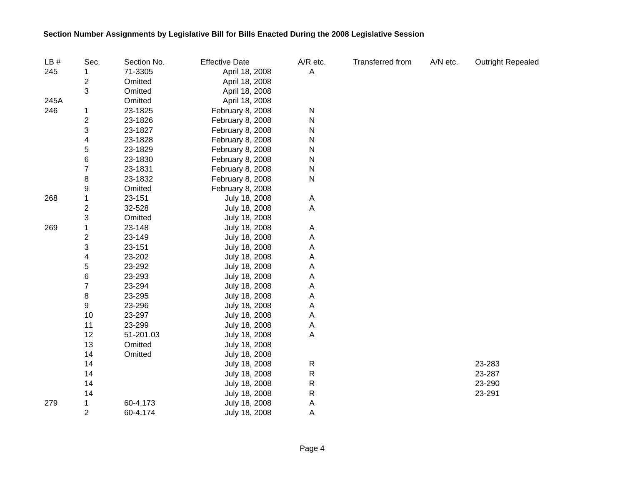| LB#  | Sec.                    | Section No. | <b>Effective Date</b> | A/R etc.     | Transferred from | A/N etc. | <b>Outright Repealed</b> |
|------|-------------------------|-------------|-----------------------|--------------|------------------|----------|--------------------------|
| 245  |                         | 71-3305     | April 18, 2008        | A            |                  |          |                          |
|      | 2                       | Omitted     | April 18, 2008        |              |                  |          |                          |
|      | 3                       | Omitted     | April 18, 2008        |              |                  |          |                          |
| 245A |                         | Omitted     | April 18, 2008        |              |                  |          |                          |
| 246  | 1                       | 23-1825     | February 8, 2008      | ${\sf N}$    |                  |          |                          |
|      | $\overline{c}$          | 23-1826     | February 8, 2008      | $\mathsf{N}$ |                  |          |                          |
|      | 3                       | 23-1827     | February 8, 2008      | N            |                  |          |                          |
|      | 4                       | 23-1828     | February 8, 2008      | Ν            |                  |          |                          |
|      | 5                       | 23-1829     | February 8, 2008      | N            |                  |          |                          |
|      | $\,6$                   | 23-1830     | February 8, 2008      | N            |                  |          |                          |
|      | $\overline{7}$          | 23-1831     | February 8, 2008      | N            |                  |          |                          |
|      | 8                       | 23-1832     | February 8, 2008      | ${\sf N}$    |                  |          |                          |
|      | 9                       | Omitted     | February 8, 2008      |              |                  |          |                          |
| 268  | 1                       | 23-151      | July 18, 2008         | A            |                  |          |                          |
|      | $\boldsymbol{2}$        | 32-528      | July 18, 2008         | Α            |                  |          |                          |
|      | 3                       | Omitted     | July 18, 2008         |              |                  |          |                          |
| 269  | 1                       | 23-148      | July 18, 2008         | Α            |                  |          |                          |
|      | $\overline{\mathbf{c}}$ | 23-149      | July 18, 2008         | Α            |                  |          |                          |
|      | 3                       | 23-151      | July 18, 2008         | Α            |                  |          |                          |
|      | 4                       | 23-202      | July 18, 2008         | Α            |                  |          |                          |
|      | 5                       | 23-292      | July 18, 2008         | A            |                  |          |                          |
|      | 6                       | 23-293      | July 18, 2008         | Α            |                  |          |                          |
|      | 7                       | 23-294      | July 18, 2008         | А            |                  |          |                          |
|      | 8                       | 23-295      | July 18, 2008         | Α            |                  |          |                          |
|      | 9                       | 23-296      | July 18, 2008         | Α            |                  |          |                          |
|      | 10                      | 23-297      | July 18, 2008         | Α            |                  |          |                          |
|      | 11                      | 23-299      | July 18, 2008         | Α            |                  |          |                          |
|      | 12                      | 51-201.03   | July 18, 2008         | Α            |                  |          |                          |
|      | 13                      | Omitted     | July 18, 2008         |              |                  |          |                          |
|      | 14                      | Omitted     | July 18, 2008         |              |                  |          |                          |
|      | 14                      |             | July 18, 2008         | ${\sf R}$    |                  |          | 23-283                   |
|      | 14                      |             | July 18, 2008         | ${\sf R}$    |                  |          | 23-287                   |
|      | 14                      |             | July 18, 2008         | ${\sf R}$    |                  |          | 23-290                   |
|      | 14                      |             | July 18, 2008         | ${\sf R}$    |                  |          | 23-291                   |
| 279  | 1                       | 60-4,173    | July 18, 2008         | A            |                  |          |                          |
|      | $\overline{2}$          | 60-4,174    | July 18, 2008         | A            |                  |          |                          |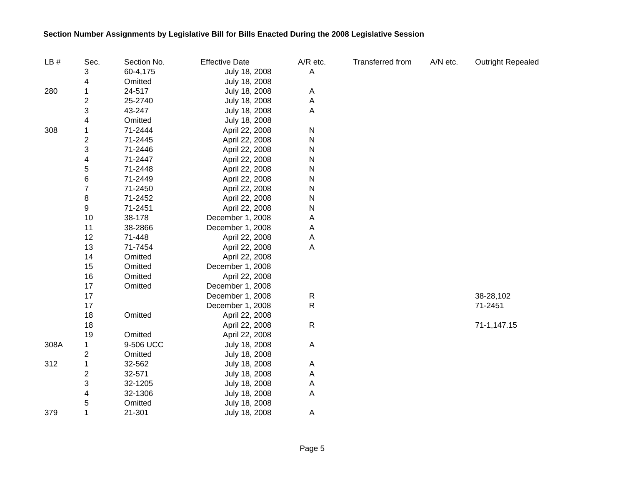| LB#  | Sec.                    | Section No. | <b>Effective Date</b> | A/R etc.  | Transferred from | A/N etc. | Outright Repealed |
|------|-------------------------|-------------|-----------------------|-----------|------------------|----------|-------------------|
|      | 3                       | 60-4,175    | July 18, 2008         | A         |                  |          |                   |
|      | 4                       | Omitted     | July 18, 2008         |           |                  |          |                   |
| 280  | 1                       | 24-517      | July 18, 2008         | A         |                  |          |                   |
|      | $\boldsymbol{2}$        | 25-2740     | July 18, 2008         | A         |                  |          |                   |
|      | 3                       | 43-247      | July 18, 2008         | Α         |                  |          |                   |
|      | 4                       | Omitted     | July 18, 2008         |           |                  |          |                   |
| 308  | 1                       | 71-2444     | April 22, 2008        | N         |                  |          |                   |
|      | $\overline{\mathbf{c}}$ | 71-2445     | April 22, 2008        | N         |                  |          |                   |
|      | 3                       | 71-2446     | April 22, 2008        | N         |                  |          |                   |
|      | 4                       | 71-2447     | April 22, 2008        | N         |                  |          |                   |
|      | 5                       | 71-2448     | April 22, 2008        | N         |                  |          |                   |
|      | 6                       | 71-2449     | April 22, 2008        | N         |                  |          |                   |
|      | $\overline{7}$          | 71-2450     | April 22, 2008        | N         |                  |          |                   |
|      | 8                       | 71-2452     | April 22, 2008        | N         |                  |          |                   |
|      | 9                       | 71-2451     | April 22, 2008        | N         |                  |          |                   |
|      | 10                      | 38-178      | December 1, 2008      | Α         |                  |          |                   |
|      | 11                      | 38-2866     | December 1, 2008      | Α         |                  |          |                   |
|      | 12                      | 71-448      | April 22, 2008        | Α         |                  |          |                   |
|      | 13                      | 71-7454     | April 22, 2008        | Α         |                  |          |                   |
|      | 14                      | Omitted     | April 22, 2008        |           |                  |          |                   |
|      | 15                      | Omitted     | December 1, 2008      |           |                  |          |                   |
|      | 16                      | Omitted     | April 22, 2008        |           |                  |          |                   |
|      | 17                      | Omitted     | December 1, 2008      |           |                  |          |                   |
|      | 17                      |             | December 1, 2008      | R         |                  |          | 38-28,102         |
|      | 17                      |             | December 1, 2008      | ${\sf R}$ |                  |          | 71-2451           |
|      | 18                      | Omitted     | April 22, 2008        |           |                  |          |                   |
|      | 18                      |             | April 22, 2008        | ${\sf R}$ |                  |          | 71-1,147.15       |
|      | 19                      | Omitted     | April 22, 2008        |           |                  |          |                   |
| 308A | 1                       | 9-506 UCC   | July 18, 2008         | Α         |                  |          |                   |
|      | 2                       | Omitted     | July 18, 2008         |           |                  |          |                   |
| 312  | 1                       | 32-562      | July 18, 2008         | Α         |                  |          |                   |
|      | $\overline{\mathbf{c}}$ | 32-571      | July 18, 2008         | Α         |                  |          |                   |
|      | 3                       | 32-1205     | July 18, 2008         | Α         |                  |          |                   |
|      | 4                       | 32-1306     | July 18, 2008         | A         |                  |          |                   |
|      | 5                       | Omitted     | July 18, 2008         |           |                  |          |                   |
| 379  | 1                       | 21-301      | July 18, 2008         | Α         |                  |          |                   |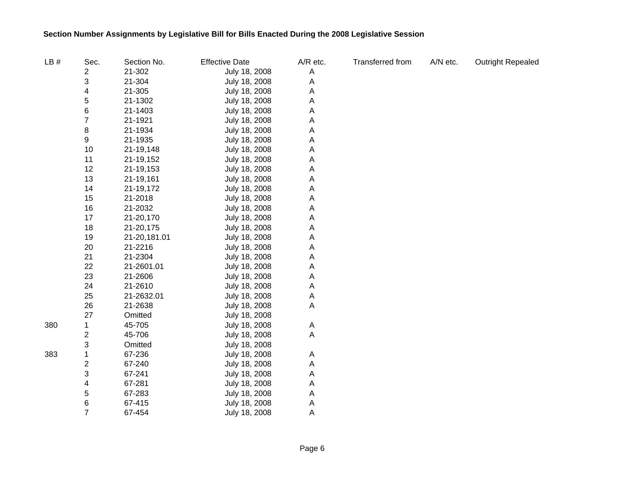| LB# | Sec.                    | Section No.  | <b>Effective Date</b> | A/R etc. | Transferred from | A/N etc. | <b>Outright Repealed</b> |
|-----|-------------------------|--------------|-----------------------|----------|------------------|----------|--------------------------|
|     | 2                       | 21-302       | July 18, 2008         | A        |                  |          |                          |
|     | 3                       | 21-304       | July 18, 2008         | Α        |                  |          |                          |
|     | 4                       | 21-305       | July 18, 2008         | Α        |                  |          |                          |
|     | 5                       | 21-1302      | July 18, 2008         | Α        |                  |          |                          |
|     | 6                       | 21-1403      | July 18, 2008         | Α        |                  |          |                          |
|     | $\overline{7}$          | 21-1921      | July 18, 2008         | Α        |                  |          |                          |
|     | 8                       | 21-1934      | July 18, 2008         | Α        |                  |          |                          |
|     | 9                       | 21-1935      | July 18, 2008         | Α        |                  |          |                          |
|     | 10                      | 21-19,148    | July 18, 2008         | Α        |                  |          |                          |
|     | 11                      | 21-19,152    | July 18, 2008         | Α        |                  |          |                          |
|     | 12                      | 21-19,153    | July 18, 2008         | Α        |                  |          |                          |
|     | 13                      | 21-19,161    | July 18, 2008         | Α        |                  |          |                          |
|     | 14                      | 21-19,172    | July 18, 2008         | Α        |                  |          |                          |
|     | 15                      | 21-2018      | July 18, 2008         | Α        |                  |          |                          |
|     | 16                      | 21-2032      | July 18, 2008         | Α        |                  |          |                          |
|     | 17                      | 21-20,170    | July 18, 2008         | Α        |                  |          |                          |
|     | 18                      | 21-20,175    | July 18, 2008         | A        |                  |          |                          |
|     | 19                      | 21-20,181.01 | July 18, 2008         | A        |                  |          |                          |
|     | 20                      | 21-2216      | July 18, 2008         | A        |                  |          |                          |
|     | 21                      | 21-2304      | July 18, 2008         | A        |                  |          |                          |
|     | 22                      | 21-2601.01   | July 18, 2008         | A        |                  |          |                          |
|     | 23                      | 21-2606      | July 18, 2008         | A        |                  |          |                          |
|     | 24                      | 21-2610      | July 18, 2008         | A        |                  |          |                          |
|     | 25                      | 21-2632.01   | July 18, 2008         | Α        |                  |          |                          |
|     | 26                      | 21-2638      | July 18, 2008         | А        |                  |          |                          |
|     | 27                      | Omitted      | July 18, 2008         |          |                  |          |                          |
| 380 | 1                       | 45-705       | July 18, 2008         | A        |                  |          |                          |
|     | $\overline{\mathbf{c}}$ | 45-706       | July 18, 2008         | Α        |                  |          |                          |
|     | 3                       | Omitted      | July 18, 2008         |          |                  |          |                          |
| 383 | 1                       | 67-236       | July 18, 2008         | A        |                  |          |                          |
|     | $\overline{\mathbf{c}}$ | 67-240       | July 18, 2008         | A        |                  |          |                          |
|     | 3                       | 67-241       | July 18, 2008         | A        |                  |          |                          |
|     | 4                       | 67-281       | July 18, 2008         | Α        |                  |          |                          |
|     | 5                       | 67-283       | July 18, 2008         | Α        |                  |          |                          |
|     | 6                       | 67-415       | July 18, 2008         | Α        |                  |          |                          |
|     | $\overline{7}$          | 67-454       | July 18, 2008         | A        |                  |          |                          |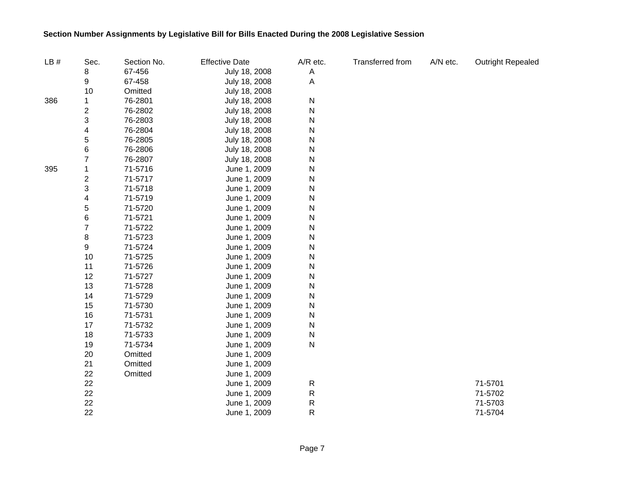| LB# | Sec.                    | Section No. | <b>Effective Date</b> | A/R etc. | Transferred from | A/N etc. | <b>Outright Repealed</b> |
|-----|-------------------------|-------------|-----------------------|----------|------------------|----------|--------------------------|
|     | 8                       | 67-456      | July 18, 2008         | A        |                  |          |                          |
|     | 9                       | 67-458      | July 18, 2008         | Α        |                  |          |                          |
|     | 10                      | Omitted     | July 18, 2008         |          |                  |          |                          |
| 386 |                         | 76-2801     | July 18, 2008         | N        |                  |          |                          |
|     | $\overline{\mathbf{c}}$ | 76-2802     | July 18, 2008         | N        |                  |          |                          |
|     | 3                       | 76-2803     | July 18, 2008         | Ν        |                  |          |                          |
|     | 4                       | 76-2804     | July 18, 2008         | N        |                  |          |                          |
|     | 5                       | 76-2805     | July 18, 2008         | N        |                  |          |                          |
|     | 6                       | 76-2806     | July 18, 2008         | Ν        |                  |          |                          |
|     | 7                       | 76-2807     | July 18, 2008         | N        |                  |          |                          |
| 395 | 1                       | 71-5716     | June 1, 2009          | N        |                  |          |                          |
|     | $\overline{\mathbf{c}}$ | 71-5717     | June 1, 2009          | Ν        |                  |          |                          |
|     | 3                       | 71-5718     | June 1, 2009          | N        |                  |          |                          |
|     | 4                       | 71-5719     | June 1, 2009          | N        |                  |          |                          |
|     | 5                       | 71-5720     | June 1, 2009          | Ν        |                  |          |                          |
|     | 6                       | 71-5721     | June 1, 2009          | N        |                  |          |                          |
|     | $\overline{7}$          | 71-5722     | June 1, 2009          | N        |                  |          |                          |
|     | 8                       | 71-5723     | June 1, 2009          | Ν        |                  |          |                          |
|     | 9                       | 71-5724     | June 1, 2009          | N        |                  |          |                          |
|     | 10                      | 71-5725     | June 1, 2009          | N        |                  |          |                          |
|     | 11                      | 71-5726     | June 1, 2009          | Ν        |                  |          |                          |
|     | 12                      | 71-5727     | June 1, 2009          | Ν        |                  |          |                          |
|     | 13                      | 71-5728     | June 1, 2009          | Ν        |                  |          |                          |
|     | 14                      | 71-5729     | June 1, 2009          | Ν        |                  |          |                          |
|     | 15                      | 71-5730     | June 1, 2009          | Ν        |                  |          |                          |
|     | 16                      | 71-5731     | June 1, 2009          | N        |                  |          |                          |
|     | 17                      | 71-5732     | June 1, 2009          | Ν        |                  |          |                          |
|     | 18                      | 71-5733     | June 1, 2009          | Ν        |                  |          |                          |
|     | 19                      | 71-5734     | June 1, 2009          | Ν        |                  |          |                          |
|     | 20                      | Omitted     | June 1, 2009          |          |                  |          |                          |
|     | 21                      | Omitted     | June 1, 2009          |          |                  |          |                          |
|     | 22                      | Omitted     | June 1, 2009          |          |                  |          |                          |
|     | 22                      |             | June 1, 2009          | R        |                  |          | 71-5701                  |
|     | 22                      |             | June 1, 2009          | R        |                  |          | 71-5702                  |
|     | 22                      |             | June 1, 2009          | R        |                  |          | 71-5703                  |
|     | 22                      |             | June 1, 2009          | R        |                  |          | 71-5704                  |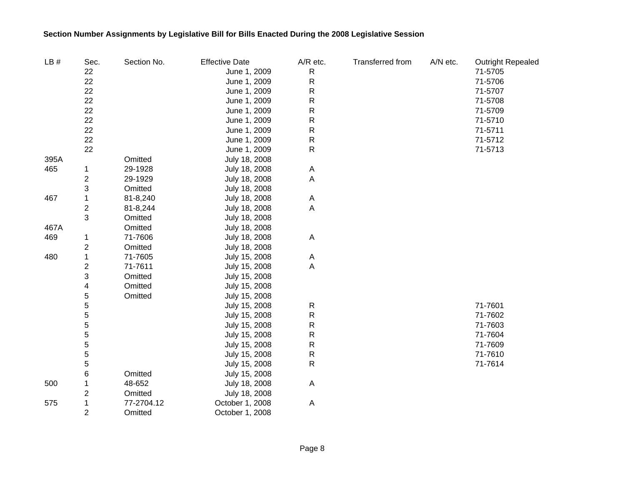| LB#  | Sec.                    | Section No. | <b>Effective Date</b> | A/R etc.     | Transferred from | A/N etc. | <b>Outright Repealed</b> |
|------|-------------------------|-------------|-----------------------|--------------|------------------|----------|--------------------------|
|      | 22                      |             | June 1, 2009          | R            |                  |          | 71-5705                  |
|      | 22                      |             | June 1, 2009          | ${\sf R}$    |                  |          | 71-5706                  |
|      | 22                      |             | June 1, 2009          | ${\sf R}$    |                  |          | 71-5707                  |
|      | 22                      |             | June 1, 2009          | $\mathsf{R}$ |                  |          | 71-5708                  |
|      | 22                      |             | June 1, 2009          | ${\sf R}$    |                  |          | 71-5709                  |
|      | 22                      |             | June 1, 2009          | $\mathsf{R}$ |                  |          | 71-5710                  |
|      | 22                      |             | June 1, 2009          | R            |                  |          | 71-5711                  |
|      | 22                      |             | June 1, 2009          | R            |                  |          | 71-5712                  |
|      | 22                      |             | June 1, 2009          | $\mathsf{R}$ |                  |          | 71-5713                  |
| 395A |                         | Omitted     | July 18, 2008         |              |                  |          |                          |
| 465  | 1                       | 29-1928     | July 18, 2008         | A            |                  |          |                          |
|      | $\boldsymbol{2}$        | 29-1929     | July 18, 2008         | Α            |                  |          |                          |
|      | 3                       | Omitted     | July 18, 2008         |              |                  |          |                          |
| 467  | 1                       | 81-8,240    | July 18, 2008         | Α            |                  |          |                          |
|      | $\overline{\mathbf{c}}$ | 81-8,244    | July 18, 2008         | А            |                  |          |                          |
|      | 3                       | Omitted     | July 18, 2008         |              |                  |          |                          |
| 467A |                         | Omitted     | July 18, 2008         |              |                  |          |                          |
| 469  | 1                       | 71-7606     | July 18, 2008         | Α            |                  |          |                          |
|      | $\overline{\mathbf{c}}$ | Omitted     | July 18, 2008         |              |                  |          |                          |
| 480  | 1                       | 71-7605     | July 15, 2008         | Α            |                  |          |                          |
|      | 2                       | 71-7611     | July 15, 2008         | Α            |                  |          |                          |
|      | 3                       | Omitted     | July 15, 2008         |              |                  |          |                          |
|      | 4                       | Omitted     | July 15, 2008         |              |                  |          |                          |
|      | 5                       | Omitted     | July 15, 2008         |              |                  |          |                          |
|      | 5                       |             | July 15, 2008         | R            |                  |          | 71-7601                  |
|      | 5                       |             | July 15, 2008         | ${\sf R}$    |                  |          | 71-7602                  |
|      | 5                       |             | July 15, 2008         | ${\sf R}$    |                  |          | 71-7603                  |
|      | 5                       |             | July 15, 2008         | ${\sf R}$    |                  |          | 71-7604                  |
|      | 5                       |             | July 15, 2008         | ${\sf R}$    |                  |          | 71-7609                  |
|      | 5                       |             | July 15, 2008         | ${\sf R}$    |                  |          | 71-7610                  |
|      | 5                       |             | July 15, 2008         | R            |                  |          | 71-7614                  |
|      | 6                       | Omitted     | July 15, 2008         |              |                  |          |                          |
| 500  | 1                       | 48-652      | July 18, 2008         | Α            |                  |          |                          |
|      | $\overline{\mathbf{c}}$ | Omitted     | July 18, 2008         |              |                  |          |                          |
| 575  | 1                       | 77-2704.12  | October 1, 2008       | Α            |                  |          |                          |
|      | $\overline{2}$          | Omitted     | October 1, 2008       |              |                  |          |                          |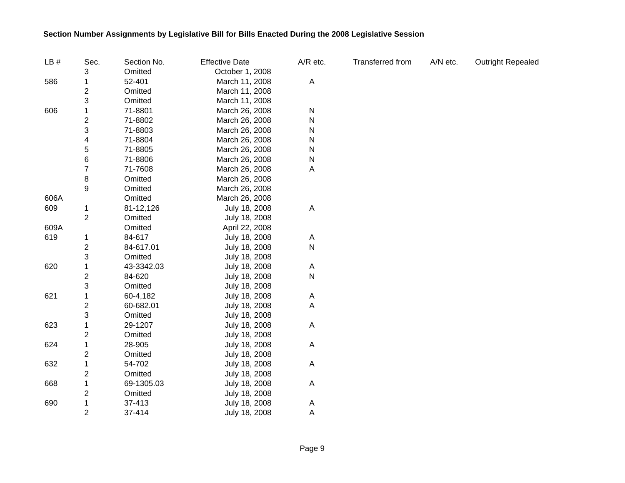| LB#  | Sec.                    | Section No. | <b>Effective Date</b> | A/R etc.  | Transferred from | A/N etc. | <b>Outright Repealed</b> |
|------|-------------------------|-------------|-----------------------|-----------|------------------|----------|--------------------------|
|      | 3                       | Omitted     | October 1, 2008       |           |                  |          |                          |
| 586  | 1                       | 52-401      | March 11, 2008        | A         |                  |          |                          |
|      | 2                       | Omitted     | March 11, 2008        |           |                  |          |                          |
|      | 3                       | Omitted     | March 11, 2008        |           |                  |          |                          |
| 606  |                         | 71-8801     | March 26, 2008        | N         |                  |          |                          |
|      | 2                       | 71-8802     | March 26, 2008        | N         |                  |          |                          |
|      | 3                       | 71-8803     | March 26, 2008        | N         |                  |          |                          |
|      | 4                       | 71-8804     | March 26, 2008        | N         |                  |          |                          |
|      | 5                       | 71-8805     | March 26, 2008        | N         |                  |          |                          |
|      | 6                       | 71-8806     | March 26, 2008        | ${\sf N}$ |                  |          |                          |
|      | 7                       | 71-7608     | March 26, 2008        | A         |                  |          |                          |
|      | 8                       | Omitted     | March 26, 2008        |           |                  |          |                          |
|      | 9                       | Omitted     | March 26, 2008        |           |                  |          |                          |
| 606A |                         | Omitted     | March 26, 2008        |           |                  |          |                          |
| 609  | 1                       | 81-12,126   | July 18, 2008         | A         |                  |          |                          |
|      | $\overline{2}$          | Omitted     | July 18, 2008         |           |                  |          |                          |
| 609A |                         | Omitted     | April 22, 2008        |           |                  |          |                          |
| 619  | 1                       | 84-617      | July 18, 2008         | A         |                  |          |                          |
|      | $\overline{\mathbf{c}}$ | 84-617.01   | July 18, 2008         | N         |                  |          |                          |
|      | 3                       | Omitted     | July 18, 2008         |           |                  |          |                          |
| 620  | 1                       | 43-3342.03  | July 18, 2008         | A         |                  |          |                          |
|      | 2                       | 84-620      | July 18, 2008         | N         |                  |          |                          |
|      | 3                       | Omitted     | July 18, 2008         |           |                  |          |                          |
| 621  | 1                       | 60-4,182    | July 18, 2008         | A         |                  |          |                          |
|      | 2                       | 60-682.01   | July 18, 2008         | A         |                  |          |                          |
|      | 3                       | Omitted     | July 18, 2008         |           |                  |          |                          |
| 623  | 1                       | 29-1207     | July 18, 2008         | A         |                  |          |                          |
|      | 2                       | Omitted     | July 18, 2008         |           |                  |          |                          |
| 624  | 1                       | 28-905      | July 18, 2008         | A         |                  |          |                          |
|      | 2                       | Omitted     | July 18, 2008         |           |                  |          |                          |
| 632  | 1                       | 54-702      | July 18, 2008         | A         |                  |          |                          |
|      | $\overline{\mathbf{c}}$ | Omitted     | July 18, 2008         |           |                  |          |                          |
| 668  | 1                       | 69-1305.03  | July 18, 2008         | A         |                  |          |                          |
|      | $\overline{\mathbf{c}}$ | Omitted     | July 18, 2008         |           |                  |          |                          |
| 690  | 1                       | 37-413      | July 18, 2008         | A         |                  |          |                          |
|      | $\overline{2}$          | 37-414      | July 18, 2008         | A         |                  |          |                          |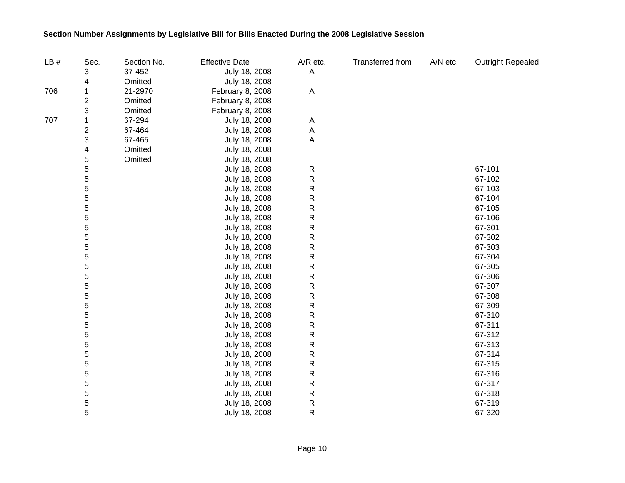| LB# | Sec.                    | Section No. | <b>Effective Date</b> | A/R etc.     | <b>Transferred from</b> | A/N etc. | <b>Outright Repealed</b> |
|-----|-------------------------|-------------|-----------------------|--------------|-------------------------|----------|--------------------------|
|     | 3                       | 37-452      | July 18, 2008         | A            |                         |          |                          |
|     | 4                       | Omitted     | July 18, 2008         |              |                         |          |                          |
| 706 | 1                       | 21-2970     | February 8, 2008      | A            |                         |          |                          |
|     | 2                       | Omitted     | February 8, 2008      |              |                         |          |                          |
|     | 3                       | Omitted     | February 8, 2008      |              |                         |          |                          |
| 707 | 1                       | 67-294      | July 18, 2008         | A            |                         |          |                          |
|     | $\overline{\mathbf{c}}$ | 67-464      | July 18, 2008         | A            |                         |          |                          |
|     | 3                       | 67-465      | July 18, 2008         | A            |                         |          |                          |
|     | 4                       | Omitted     | July 18, 2008         |              |                         |          |                          |
|     | 5                       | Omitted     | July 18, 2008         |              |                         |          |                          |
|     | 5                       |             | July 18, 2008         | $\mathsf{R}$ |                         |          | 67-101                   |
|     | 5                       |             | July 18, 2008         | ${\sf R}$    |                         |          | 67-102                   |
|     | 5                       |             | July 18, 2008         | ${\sf R}$    |                         |          | 67-103                   |
|     | 5                       |             | July 18, 2008         | $\mathsf{R}$ |                         |          | 67-104                   |
|     | 5                       |             | July 18, 2008         | $\mathsf{R}$ |                         |          | 67-105                   |
|     | 5                       |             | July 18, 2008         | $\mathsf{R}$ |                         |          | 67-106                   |
|     | 5                       |             | July 18, 2008         | $\mathsf{R}$ |                         |          | 67-301                   |
|     | 5                       |             | July 18, 2008         | $\mathsf{R}$ |                         |          | 67-302                   |
|     | 5                       |             | July 18, 2008         | $\mathsf{R}$ |                         |          | 67-303                   |
|     | 5                       |             | July 18, 2008         | $\mathsf{R}$ |                         |          | 67-304                   |
|     | 5                       |             | July 18, 2008         | $\mathsf{R}$ |                         |          | 67-305                   |
|     | 5                       |             | July 18, 2008         | $\mathsf{R}$ |                         |          | 67-306                   |
|     | 5                       |             | July 18, 2008         | ${\sf R}$    |                         |          | 67-307                   |
|     | 5                       |             | July 18, 2008         | ${\sf R}$    |                         |          | 67-308                   |
|     | 5                       |             | July 18, 2008         | $\mathsf{R}$ |                         |          | 67-309                   |
|     | 5                       |             | July 18, 2008         | $\mathsf{R}$ |                         |          | 67-310                   |
|     | 5                       |             | July 18, 2008         | $\mathsf{R}$ |                         |          | 67-311                   |
|     | 5                       |             | July 18, 2008         | $\mathsf{R}$ |                         |          | 67-312                   |
|     | 5                       |             | July 18, 2008         | $\mathsf{R}$ |                         |          | 67-313                   |
|     | 5                       |             | July 18, 2008         | ${\sf R}$    |                         |          | 67-314                   |
|     | 5                       |             | July 18, 2008         | $\mathsf{R}$ |                         |          | 67-315                   |
|     | 5                       |             | July 18, 2008         | $\mathsf{R}$ |                         |          | 67-316                   |
|     | 5                       |             | July 18, 2008         | $\mathsf{R}$ |                         |          | 67-317                   |
|     | 5                       |             | July 18, 2008         | $\mathsf{R}$ |                         |          | 67-318                   |
|     | 5                       |             | July 18, 2008         | $\mathsf{R}$ |                         |          | 67-319                   |
|     | 5                       |             | July 18, 2008         | $\mathsf{R}$ |                         |          | 67-320                   |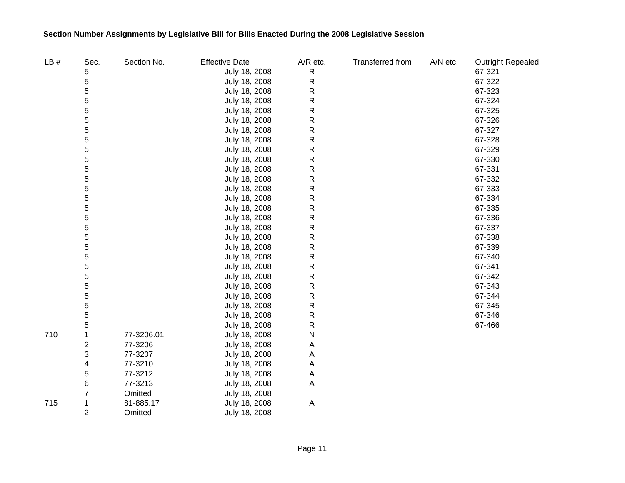| LB# | Sec.                    | Section No. | <b>Effective Date</b> | A/R etc.     | Transferred from | A/N etc. | <b>Outright Repealed</b> |
|-----|-------------------------|-------------|-----------------------|--------------|------------------|----------|--------------------------|
|     | 5                       |             | July 18, 2008         | ${\sf R}$    |                  |          | 67-321                   |
|     | 5                       |             | July 18, 2008         | ${\sf R}$    |                  |          | 67-322                   |
|     | 5                       |             | July 18, 2008         | $\mathsf{R}$ |                  |          | 67-323                   |
|     | 5                       |             | July 18, 2008         | R            |                  |          | 67-324                   |
|     | 5                       |             | July 18, 2008         | R            |                  |          | 67-325                   |
|     | 5                       |             | July 18, 2008         | R            |                  |          | 67-326                   |
|     | 5                       |             | July 18, 2008         | R            |                  |          | 67-327                   |
|     | 5                       |             | July 18, 2008         | R            |                  |          | 67-328                   |
|     | 5                       |             | July 18, 2008         | R            |                  |          | 67-329                   |
|     | 5                       |             | July 18, 2008         | R            |                  |          | 67-330                   |
|     | 5                       |             | July 18, 2008         | R            |                  |          | 67-331                   |
|     | 5                       |             | July 18, 2008         | R            |                  |          | 67-332                   |
|     | 5                       |             | July 18, 2008         | R            |                  |          | 67-333                   |
|     | 5                       |             | July 18, 2008         | R            |                  |          | 67-334                   |
|     | 5                       |             | July 18, 2008         | R            |                  |          | 67-335                   |
|     | 5                       |             | July 18, 2008         | R            |                  |          | 67-336                   |
|     | 5                       |             | July 18, 2008         | R            |                  |          | 67-337                   |
|     | 5                       |             | July 18, 2008         | R            |                  |          | 67-338                   |
|     | 5                       |             | July 18, 2008         | R            |                  |          | 67-339                   |
|     | 5                       |             | July 18, 2008         | R            |                  |          | 67-340                   |
|     | 5                       |             | July 18, 2008         | R            |                  |          | 67-341                   |
|     | 5                       |             | July 18, 2008         | R            |                  |          | 67-342                   |
|     | 5                       |             | July 18, 2008         | R            |                  |          | 67-343                   |
|     | 5                       |             | July 18, 2008         | R            |                  |          | 67-344                   |
|     | 5                       |             | July 18, 2008         | R            |                  |          | 67-345                   |
|     | 5                       |             | July 18, 2008         | R            |                  |          | 67-346                   |
|     | 5                       |             | July 18, 2008         | R            |                  |          | 67-466                   |
| 710 | 1                       | 77-3206.01  | July 18, 2008         | N            |                  |          |                          |
|     | $\overline{\mathbf{c}}$ | 77-3206     | July 18, 2008         | Α            |                  |          |                          |
|     | 3                       | 77-3207     | July 18, 2008         | Α            |                  |          |                          |
|     | 4                       | 77-3210     | July 18, 2008         | A            |                  |          |                          |
|     | 5                       | 77-3212     | July 18, 2008         | A            |                  |          |                          |
|     | 6                       | 77-3213     | July 18, 2008         | Α            |                  |          |                          |
|     | 7                       | Omitted     | July 18, 2008         |              |                  |          |                          |
| 715 | 1                       | 81-885.17   | July 18, 2008         | A            |                  |          |                          |
|     | $\overline{2}$          | Omitted     | July 18, 2008         |              |                  |          |                          |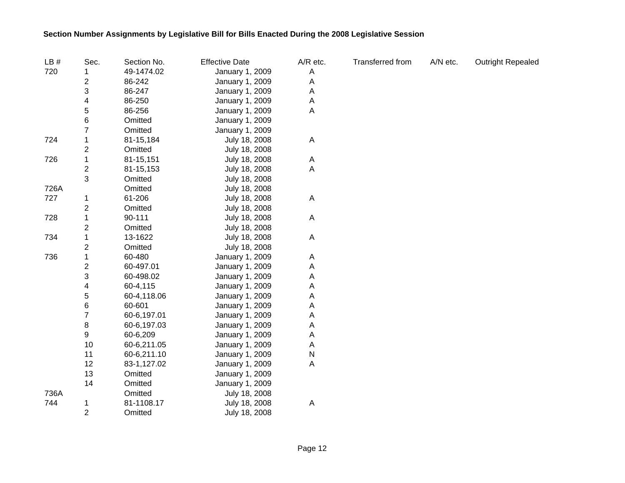| LB#  | Sec.                    | Section No. | <b>Effective Date</b> | A/R etc. | Transferred from | A/N etc. | Outright Repealed |
|------|-------------------------|-------------|-----------------------|----------|------------------|----------|-------------------|
| 720  |                         | 49-1474.02  | January 1, 2009       | Α        |                  |          |                   |
|      | $\overline{c}$          | 86-242      | January 1, 2009       | Α        |                  |          |                   |
|      | 3                       | 86-247      | January 1, 2009       | Α        |                  |          |                   |
|      | 4                       | 86-250      | January 1, 2009       | Α        |                  |          |                   |
|      | 5                       | 86-256      | January 1, 2009       | Α        |                  |          |                   |
|      | 6                       | Omitted     | January 1, 2009       |          |                  |          |                   |
|      | 7                       | Omitted     | January 1, 2009       |          |                  |          |                   |
| 724  | 1                       | 81-15,184   | July 18, 2008         | Α        |                  |          |                   |
|      | $\overline{c}$          | Omitted     | July 18, 2008         |          |                  |          |                   |
| 726  | 1                       | 81-15,151   | July 18, 2008         | A        |                  |          |                   |
|      | $\overline{\mathbf{c}}$ | 81-15,153   | July 18, 2008         | Α        |                  |          |                   |
|      | 3                       | Omitted     | July 18, 2008         |          |                  |          |                   |
| 726A |                         | Omitted     | July 18, 2008         |          |                  |          |                   |
| 727  | 1                       | 61-206      | July 18, 2008         | A        |                  |          |                   |
|      | $\overline{c}$          | Omitted     | July 18, 2008         |          |                  |          |                   |
| 728  | 1                       | 90-111      | July 18, 2008         | A        |                  |          |                   |
|      | $\overline{\mathbf{c}}$ | Omitted     | July 18, 2008         |          |                  |          |                   |
| 734  | 1                       | 13-1622     | July 18, 2008         | Α        |                  |          |                   |
|      | $\overline{\mathbf{c}}$ | Omitted     | July 18, 2008         |          |                  |          |                   |
| 736  | 1                       | 60-480      | January 1, 2009       | Α        |                  |          |                   |
|      | $\overline{\mathbf{c}}$ | 60-497.01   | January 1, 2009       | Α        |                  |          |                   |
|      | 3                       | 60-498.02   | January 1, 2009       | Α        |                  |          |                   |
|      | 4                       | 60-4,115    | January 1, 2009       | Α        |                  |          |                   |
|      | 5                       | 60-4,118.06 | January 1, 2009       | Α        |                  |          |                   |
|      | 6                       | 60-601      | January 1, 2009       | Α        |                  |          |                   |
|      | $\overline{7}$          | 60-6,197.01 | January 1, 2009       | Α        |                  |          |                   |
|      | 8                       | 60-6,197.03 | January 1, 2009       | Α        |                  |          |                   |
|      | 9                       | 60-6,209    | January 1, 2009       | Α        |                  |          |                   |
|      | 10                      | 60-6,211.05 | January 1, 2009       | A        |                  |          |                   |
|      | 11                      | 60-6,211.10 | January 1, 2009       | N        |                  |          |                   |
|      | 12                      | 83-1,127.02 | January 1, 2009       | Α        |                  |          |                   |
|      | 13                      | Omitted     | January 1, 2009       |          |                  |          |                   |
|      | 14                      | Omitted     | January 1, 2009       |          |                  |          |                   |
| 736A |                         | Omitted     | July 18, 2008         |          |                  |          |                   |
| 744  | 1                       | 81-1108.17  | July 18, 2008         | A        |                  |          |                   |
|      | $\overline{2}$          | Omitted     | July 18, 2008         |          |                  |          |                   |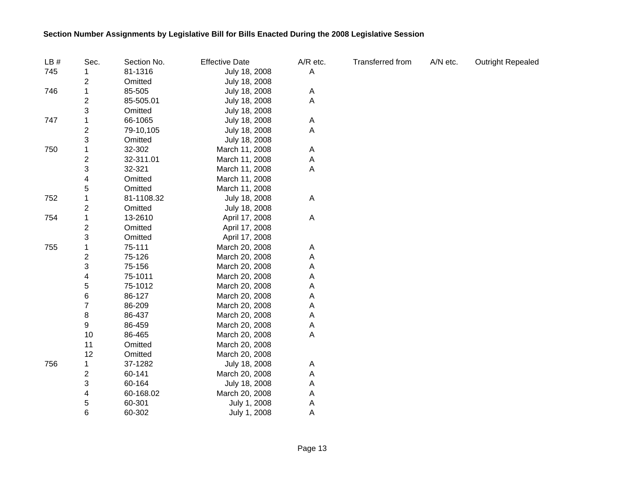| LB# | Sec.                    | Section No. | <b>Effective Date</b> | A/R etc. | Transferred from | A/N etc. | <b>Outright Repealed</b> |
|-----|-------------------------|-------------|-----------------------|----------|------------------|----------|--------------------------|
| 745 |                         | 81-1316     | July 18, 2008         | Α        |                  |          |                          |
|     | $\overline{\mathbf{c}}$ | Omitted     | July 18, 2008         |          |                  |          |                          |
| 746 | $\mathbf 1$             | 85-505      | July 18, 2008         | A        |                  |          |                          |
|     | $\overline{\mathbf{c}}$ | 85-505.01   | July 18, 2008         | A        |                  |          |                          |
|     | 3                       | Omitted     | July 18, 2008         |          |                  |          |                          |
| 747 | 1                       | 66-1065     | July 18, 2008         | A        |                  |          |                          |
|     | $\overline{\mathbf{c}}$ | 79-10,105   | July 18, 2008         | A        |                  |          |                          |
|     | 3                       | Omitted     | July 18, 2008         |          |                  |          |                          |
| 750 | 1                       | 32-302      | March 11, 2008        | A        |                  |          |                          |
|     | $\overline{\mathbf{c}}$ | 32-311.01   | March 11, 2008        | A        |                  |          |                          |
|     | 3                       | 32-321      | March 11, 2008        | A        |                  |          |                          |
|     | 4                       | Omitted     | March 11, 2008        |          |                  |          |                          |
|     | 5                       | Omitted     | March 11, 2008        |          |                  |          |                          |
| 752 | 1                       | 81-1108.32  | July 18, 2008         | Α        |                  |          |                          |
|     | $\overline{\mathbf{c}}$ | Omitted     | July 18, 2008         |          |                  |          |                          |
| 754 | $\mathbf 1$             | 13-2610     | April 17, 2008        | A        |                  |          |                          |
|     | $\boldsymbol{2}$        | Omitted     | April 17, 2008        |          |                  |          |                          |
|     | 3                       | Omitted     | April 17, 2008        |          |                  |          |                          |
| 755 | 1                       | 75-111      | March 20, 2008        | A        |                  |          |                          |
|     | $\boldsymbol{2}$        | 75-126      | March 20, 2008        | A        |                  |          |                          |
|     | 3                       | 75-156      | March 20, 2008        | A        |                  |          |                          |
|     | 4                       | 75-1011     | March 20, 2008        | Α        |                  |          |                          |
|     | 5                       | 75-1012     | March 20, 2008        | Α        |                  |          |                          |
|     | 6                       | 86-127      | March 20, 2008        | A        |                  |          |                          |
|     | $\overline{7}$          | 86-209      | March 20, 2008        | A        |                  |          |                          |
|     | 8                       | 86-437      | March 20, 2008        | A        |                  |          |                          |
|     | 9                       | 86-459      | March 20, 2008        | A        |                  |          |                          |
|     | 10                      | 86-465      | March 20, 2008        | Α        |                  |          |                          |
|     | 11                      | Omitted     | March 20, 2008        |          |                  |          |                          |
|     | 12                      | Omitted     | March 20, 2008        |          |                  |          |                          |
| 756 | 1                       | 37-1282     | July 18, 2008         | A        |                  |          |                          |
|     | $\overline{\mathbf{c}}$ | 60-141      | March 20, 2008        | A        |                  |          |                          |
|     | 3                       | 60-164      | July 18, 2008         | A        |                  |          |                          |
|     | 4                       | 60-168.02   | March 20, 2008        | A        |                  |          |                          |
|     | 5                       | 60-301      | July 1, 2008          | A        |                  |          |                          |
|     | 6                       | 60-302      | July 1, 2008          | A        |                  |          |                          |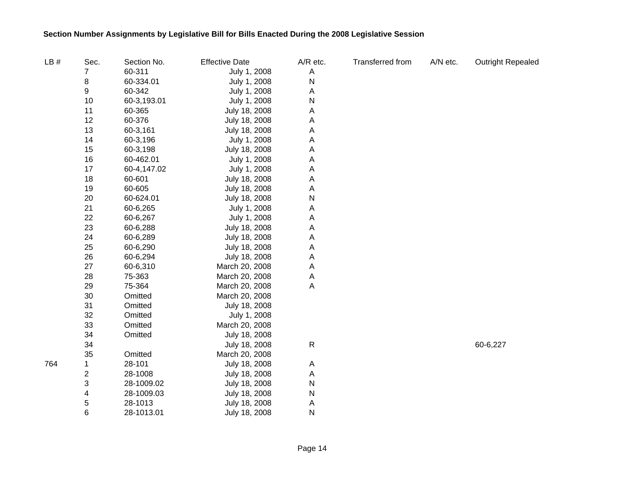| LB# | Sec.                    | Section No. | <b>Effective Date</b> | A/R etc.    | Transferred from | A/N etc. | <b>Outright Repealed</b> |
|-----|-------------------------|-------------|-----------------------|-------------|------------------|----------|--------------------------|
|     | 7                       | 60-311      | July 1, 2008          | Α           |                  |          |                          |
|     | 8                       | 60-334.01   | July 1, 2008          | N           |                  |          |                          |
|     | 9                       | 60-342      | July 1, 2008          | Α           |                  |          |                          |
|     | 10                      | 60-3,193.01 | July 1, 2008          | N           |                  |          |                          |
|     | 11                      | 60-365      | July 18, 2008         | Α           |                  |          |                          |
|     | 12                      | 60-376      | July 18, 2008         | Α           |                  |          |                          |
|     | 13                      | 60-3,161    | July 18, 2008         | Α           |                  |          |                          |
|     | 14                      | 60-3,196    | July 1, 2008          | Α           |                  |          |                          |
|     | 15                      | 60-3,198    | July 18, 2008         | Α           |                  |          |                          |
|     | 16                      | 60-462.01   | July 1, 2008          | Α           |                  |          |                          |
|     | 17                      | 60-4,147.02 | July 1, 2008          | Α           |                  |          |                          |
|     | 18                      | 60-601      | July 18, 2008         | Α           |                  |          |                          |
|     | 19                      | 60-605      | July 18, 2008         | Α           |                  |          |                          |
|     | 20                      | 60-624.01   | July 18, 2008         | N           |                  |          |                          |
|     | 21                      | 60-6,265    | July 1, 2008          | Α           |                  |          |                          |
|     | 22                      | 60-6,267    | July 1, 2008          | Α           |                  |          |                          |
|     | 23                      | 60-6,288    | July 18, 2008         | Α           |                  |          |                          |
|     | 24                      | 60-6,289    | July 18, 2008         | Α           |                  |          |                          |
|     | 25                      | 60-6,290    | July 18, 2008         | Α           |                  |          |                          |
|     | 26                      | 60-6,294    | July 18, 2008         | Α           |                  |          |                          |
|     | 27                      | 60-6,310    | March 20, 2008        | Α           |                  |          |                          |
|     | 28                      | 75-363      | March 20, 2008        | Α           |                  |          |                          |
|     | 29                      | 75-364      | March 20, 2008        | Α           |                  |          |                          |
|     | 30                      | Omitted     | March 20, 2008        |             |                  |          |                          |
|     | 31                      | Omitted     | July 18, 2008         |             |                  |          |                          |
|     | 32                      | Omitted     | July 1, 2008          |             |                  |          |                          |
|     | 33                      | Omitted     | March 20, 2008        |             |                  |          |                          |
|     | 34                      | Omitted     | July 18, 2008         |             |                  |          |                          |
|     | 34                      |             | July 18, 2008         | $\mathsf R$ |                  |          | 60-6,227                 |
|     | 35                      | Omitted     | March 20, 2008        |             |                  |          |                          |
| 764 | 1                       | 28-101      | July 18, 2008         | Α           |                  |          |                          |
|     | $\overline{\mathbf{c}}$ | 28-1008     | July 18, 2008         | Α           |                  |          |                          |
|     | 3                       | 28-1009.02  | July 18, 2008         | N           |                  |          |                          |
|     | 4                       | 28-1009.03  | July 18, 2008         | N           |                  |          |                          |
|     | 5                       | 28-1013     | July 18, 2008         | A           |                  |          |                          |
|     | 6                       | 28-1013.01  | July 18, 2008         | N           |                  |          |                          |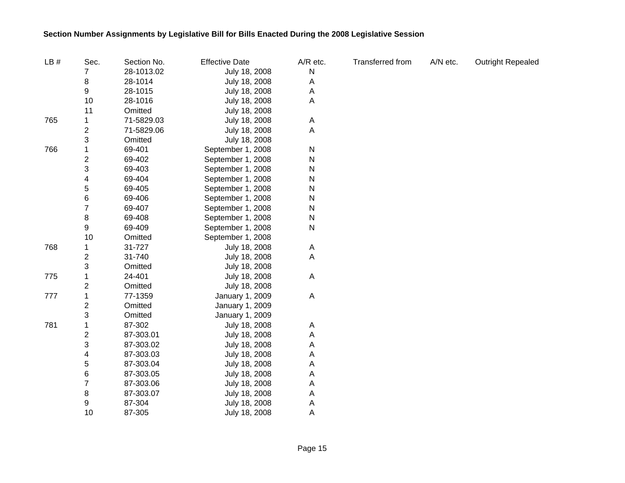| LB# | Sec.                    | Section No. | <b>Effective Date</b> | A/R etc.  | Transferred from | A/N etc. | <b>Outright Repealed</b> |
|-----|-------------------------|-------------|-----------------------|-----------|------------------|----------|--------------------------|
|     | 7                       | 28-1013.02  | July 18, 2008         | N         |                  |          |                          |
|     | 8                       | 28-1014     | July 18, 2008         | Α         |                  |          |                          |
|     | 9                       | 28-1015     | July 18, 2008         | A         |                  |          |                          |
|     | 10                      | 28-1016     | July 18, 2008         | Α         |                  |          |                          |
|     | 11                      | Omitted     | July 18, 2008         |           |                  |          |                          |
| 765 | 1                       | 71-5829.03  | July 18, 2008         | Α         |                  |          |                          |
|     | $\overline{c}$          | 71-5829.06  | July 18, 2008         | Α         |                  |          |                          |
|     | 3                       | Omitted     | July 18, 2008         |           |                  |          |                          |
| 766 | 1                       | 69-401      | September 1, 2008     | N         |                  |          |                          |
|     | $\overline{c}$          | 69-402      | September 1, 2008     | N         |                  |          |                          |
|     | 3                       | 69-403      | September 1, 2008     | N         |                  |          |                          |
|     | 4                       | 69-404      | September 1, 2008     | N         |                  |          |                          |
|     | 5                       | 69-405      | September 1, 2008     | N         |                  |          |                          |
|     | 6                       | 69-406      | September 1, 2008     | N         |                  |          |                          |
|     | 7                       | 69-407      | September 1, 2008     | ${\sf N}$ |                  |          |                          |
|     | 8                       | 69-408      | September 1, 2008     | N         |                  |          |                          |
|     | 9                       | 69-409      | September 1, 2008     | N         |                  |          |                          |
|     | 10                      | Omitted     | September 1, 2008     |           |                  |          |                          |
| 768 | 1                       | 31-727      | July 18, 2008         | Α         |                  |          |                          |
|     | $\overline{\mathbf{c}}$ | 31-740      | July 18, 2008         | Α         |                  |          |                          |
|     | 3                       | Omitted     | July 18, 2008         |           |                  |          |                          |
| 775 | 1                       | 24-401      | July 18, 2008         | A         |                  |          |                          |
|     | 2                       | Omitted     | July 18, 2008         |           |                  |          |                          |
| 777 | 1                       | 77-1359     | January 1, 2009       | A         |                  |          |                          |
|     | $\overline{\mathbf{c}}$ | Omitted     | January 1, 2009       |           |                  |          |                          |
|     | 3                       | Omitted     | January 1, 2009       |           |                  |          |                          |
| 781 | 1                       | 87-302      | July 18, 2008         | Α         |                  |          |                          |
|     | $\overline{\mathbf{c}}$ | 87-303.01   | July 18, 2008         | Α         |                  |          |                          |
|     | 3                       | 87-303.02   | July 18, 2008         | Α         |                  |          |                          |
|     | 4                       | 87-303.03   | July 18, 2008         | Α         |                  |          |                          |
|     | 5                       | 87-303.04   | July 18, 2008         | Α         |                  |          |                          |
|     | 6                       | 87-303.05   | July 18, 2008         | Α         |                  |          |                          |
|     | 7                       | 87-303.06   | July 18, 2008         | Α         |                  |          |                          |
|     | 8                       | 87-303.07   | July 18, 2008         | Α         |                  |          |                          |
|     | 9                       | 87-304      | July 18, 2008         | A         |                  |          |                          |
|     | 10                      | 87-305      | July 18, 2008         | Α         |                  |          |                          |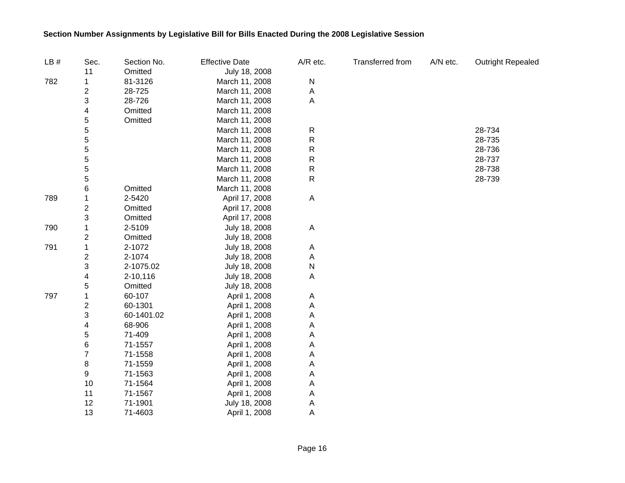| LB# | Sec.             | Section No. | <b>Effective Date</b> | A/R etc.     | Transferred from | A/N etc. | <b>Outright Repealed</b> |
|-----|------------------|-------------|-----------------------|--------------|------------------|----------|--------------------------|
|     | 11               | Omitted     | July 18, 2008         |              |                  |          |                          |
| 782 | 1                | 81-3126     | March 11, 2008        | $\mathsf{N}$ |                  |          |                          |
|     | 2                | 28-725      | March 11, 2008        | A            |                  |          |                          |
|     | 3                | 28-726      | March 11, 2008        | A            |                  |          |                          |
|     | 4                | Omitted     | March 11, 2008        |              |                  |          |                          |
|     | 5                | Omitted     | March 11, 2008        |              |                  |          |                          |
|     | 5                |             | March 11, 2008        | $\mathsf R$  |                  |          | 28-734                   |
|     | 5                |             | March 11, 2008        | $\mathsf R$  |                  |          | 28-735                   |
|     | $\mathbf 5$      |             | March 11, 2008        | $\mathsf R$  |                  |          | 28-736                   |
|     | $\mathbf 5$      |             | March 11, 2008        | $\mathsf R$  |                  |          | 28-737                   |
|     | 5                |             | March 11, 2008        | $\mathsf R$  |                  |          | 28-738                   |
|     | 5                |             | March 11, 2008        | ${\sf R}$    |                  |          | 28-739                   |
|     | 6                | Omitted     | March 11, 2008        |              |                  |          |                          |
| 789 | 1                | 2-5420      | April 17, 2008        | A            |                  |          |                          |
|     | $\overline{2}$   | Omitted     | April 17, 2008        |              |                  |          |                          |
|     | 3                | Omitted     | April 17, 2008        |              |                  |          |                          |
| 790 | 1                | 2-5109      | July 18, 2008         | A            |                  |          |                          |
|     | $\boldsymbol{2}$ | Omitted     | July 18, 2008         |              |                  |          |                          |
| 791 | 1                | 2-1072      | July 18, 2008         | A            |                  |          |                          |
|     | 2                | 2-1074      | July 18, 2008         | A            |                  |          |                          |
|     | 3                | 2-1075.02   | July 18, 2008         | N            |                  |          |                          |
|     | 4                | 2-10,116    | July 18, 2008         | A            |                  |          |                          |
|     | 5                | Omitted     | July 18, 2008         |              |                  |          |                          |
| 797 | 1                | 60-107      | April 1, 2008         | A            |                  |          |                          |
|     | 2                | 60-1301     | April 1, 2008         | A            |                  |          |                          |
|     | 3                | 60-1401.02  | April 1, 2008         | Α            |                  |          |                          |
|     | 4                | 68-906      | April 1, 2008         | Α            |                  |          |                          |
|     | 5                | 71-409      | April 1, 2008         | Α            |                  |          |                          |
|     | 6                | 71-1557     | April 1, 2008         | Α            |                  |          |                          |
|     | $\overline{7}$   | 71-1558     | April 1, 2008         | Α            |                  |          |                          |
|     | 8                | 71-1559     | April 1, 2008         | Α            |                  |          |                          |
|     | 9                | 71-1563     | April 1, 2008         | A            |                  |          |                          |
|     | 10               | 71-1564     | April 1, 2008         | A            |                  |          |                          |
|     | 11               | 71-1567     | April 1, 2008         | A            |                  |          |                          |
|     | 12               | 71-1901     | July 18, 2008         | A            |                  |          |                          |
|     | 13               | 71-4603     | April 1, 2008         | Α            |                  |          |                          |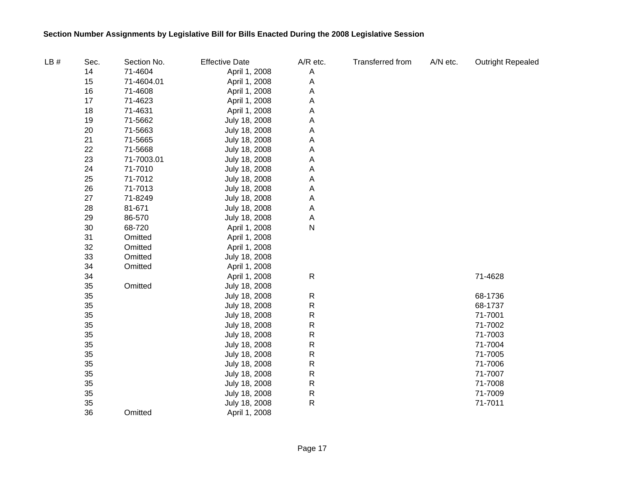| LB# | Sec. | Section No. | <b>Effective Date</b> | $A/R$ etc. | Transferred from | A/N etc. | <b>Outright Repealed</b> |
|-----|------|-------------|-----------------------|------------|------------------|----------|--------------------------|
|     | 14   | 71-4604     | April 1, 2008         | A          |                  |          |                          |
|     | 15   | 71-4604.01  | April 1, 2008         | A          |                  |          |                          |
|     | 16   | 71-4608     | April 1, 2008         | A          |                  |          |                          |
|     | 17   | 71-4623     | April 1, 2008         | Α          |                  |          |                          |
|     | 18   | 71-4631     | April 1, 2008         | Α          |                  |          |                          |
|     | 19   | 71-5662     | July 18, 2008         | Α          |                  |          |                          |
|     | 20   | 71-5663     | July 18, 2008         | Α          |                  |          |                          |
|     | 21   | 71-5665     | July 18, 2008         | A          |                  |          |                          |
|     | 22   | 71-5668     | July 18, 2008         | Α          |                  |          |                          |
|     | 23   | 71-7003.01  | July 18, 2008         | Α          |                  |          |                          |
|     | 24   | 71-7010     | July 18, 2008         | Α          |                  |          |                          |
|     | 25   | 71-7012     | July 18, 2008         | Α          |                  |          |                          |
|     | 26   | 71-7013     | July 18, 2008         | Α          |                  |          |                          |
|     | 27   | 71-8249     | July 18, 2008         | Α          |                  |          |                          |
|     | 28   | 81-671      | July 18, 2008         | Α          |                  |          |                          |
|     | 29   | 86-570      | July 18, 2008         | Α          |                  |          |                          |
|     | 30   | 68-720      | April 1, 2008         | N          |                  |          |                          |
|     | 31   | Omitted     | April 1, 2008         |            |                  |          |                          |
|     | 32   | Omitted     | April 1, 2008         |            |                  |          |                          |
|     | 33   | Omitted     | July 18, 2008         |            |                  |          |                          |
|     | 34   | Omitted     | April 1, 2008         |            |                  |          |                          |
|     | 34   |             | April 1, 2008         | ${\sf R}$  |                  |          | 71-4628                  |
|     | 35   | Omitted     | July 18, 2008         |            |                  |          |                          |
|     | 35   |             | July 18, 2008         | ${\sf R}$  |                  |          | 68-1736                  |
|     | 35   |             | July 18, 2008         | ${\sf R}$  |                  |          | 68-1737                  |
|     | 35   |             | July 18, 2008         | R          |                  |          | 71-7001                  |
|     | 35   |             | July 18, 2008         | ${\sf R}$  |                  |          | 71-7002                  |
|     | 35   |             | July 18, 2008         | R          |                  |          | 71-7003                  |
|     | 35   |             | July 18, 2008         | R          |                  |          | 71-7004                  |
|     | 35   |             | July 18, 2008         | ${\sf R}$  |                  |          | 71-7005                  |
|     | 35   |             | July 18, 2008         | R          |                  |          | 71-7006                  |
|     | 35   |             | July 18, 2008         | ${\sf R}$  |                  |          | 71-7007                  |
|     | 35   |             | July 18, 2008         | ${\sf R}$  |                  |          | 71-7008                  |
|     | 35   |             | July 18, 2008         | ${\sf R}$  |                  |          | 71-7009                  |
|     | 35   |             | July 18, 2008         | R          |                  |          | 71-7011                  |
|     | 36   | Omitted     | April 1, 2008         |            |                  |          |                          |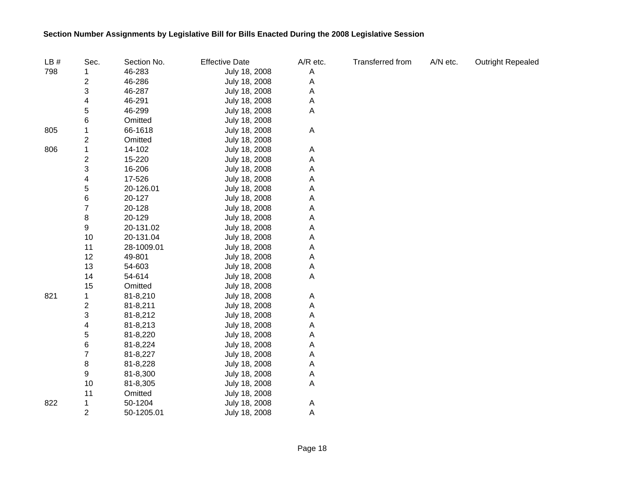| LB# | Sec.                    | Section No. | <b>Effective Date</b> | A/R etc. | Transferred from | A/N etc. | <b>Outright Repealed</b> |
|-----|-------------------------|-------------|-----------------------|----------|------------------|----------|--------------------------|
| 798 | 1                       | 46-283      | July 18, 2008         | A        |                  |          |                          |
|     | 2                       | 46-286      | July 18, 2008         | A        |                  |          |                          |
|     | 3                       | 46-287      | July 18, 2008         | A        |                  |          |                          |
|     | 4                       | 46-291      | July 18, 2008         | A        |                  |          |                          |
|     | 5                       | 46-299      | July 18, 2008         | Α        |                  |          |                          |
|     | 6                       | Omitted     | July 18, 2008         |          |                  |          |                          |
| 805 | 1                       | 66-1618     | July 18, 2008         | A        |                  |          |                          |
|     | 2                       | Omitted     | July 18, 2008         |          |                  |          |                          |
| 806 | 1                       | 14-102      | July 18, 2008         | A        |                  |          |                          |
|     | $\overline{\mathbf{c}}$ | 15-220      | July 18, 2008         | Α        |                  |          |                          |
|     | 3                       | 16-206      | July 18, 2008         | Α        |                  |          |                          |
|     | 4                       | 17-526      | July 18, 2008         | Α        |                  |          |                          |
|     | 5                       | 20-126.01   | July 18, 2008         | Α        |                  |          |                          |
|     | 6                       | 20-127      | July 18, 2008         | Α        |                  |          |                          |
|     | 7                       | 20-128      | July 18, 2008         | Α        |                  |          |                          |
|     | 8                       | 20-129      | July 18, 2008         | Α        |                  |          |                          |
|     | 9                       | 20-131.02   | July 18, 2008         | Α        |                  |          |                          |
|     | 10                      | 20-131.04   | July 18, 2008         | Α        |                  |          |                          |
|     | 11                      | 28-1009.01  | July 18, 2008         | Α        |                  |          |                          |
|     | 12                      | 49-801      | July 18, 2008         | Α        |                  |          |                          |
|     | 13                      | 54-603      | July 18, 2008         | Α        |                  |          |                          |
|     | 14                      | 54-614      | July 18, 2008         | Α        |                  |          |                          |
|     | 15                      | Omitted     | July 18, 2008         |          |                  |          |                          |
| 821 | 1                       | 81-8,210    | July 18, 2008         | A        |                  |          |                          |
|     | $\overline{\mathbf{c}}$ | 81-8,211    | July 18, 2008         | Α        |                  |          |                          |
|     | 3                       | 81-8,212    | July 18, 2008         | A        |                  |          |                          |
|     | 4                       | 81-8,213    | July 18, 2008         | Α        |                  |          |                          |
|     | 5                       | 81-8,220    | July 18, 2008         | Α        |                  |          |                          |
|     | 6                       | 81-8,224    | July 18, 2008         | Α        |                  |          |                          |
|     | 7                       | 81-8,227    | July 18, 2008         | Α        |                  |          |                          |
|     | 8                       | 81-8,228    | July 18, 2008         | A        |                  |          |                          |
|     | 9                       | 81-8,300    | July 18, 2008         | A        |                  |          |                          |
|     | 10                      | 81-8,305    | July 18, 2008         | A        |                  |          |                          |
|     | 11                      | Omitted     | July 18, 2008         |          |                  |          |                          |
| 822 | 1                       | 50-1204     | July 18, 2008         | A        |                  |          |                          |
|     | $\overline{2}$          | 50-1205.01  | July 18, 2008         | A        |                  |          |                          |

Page 18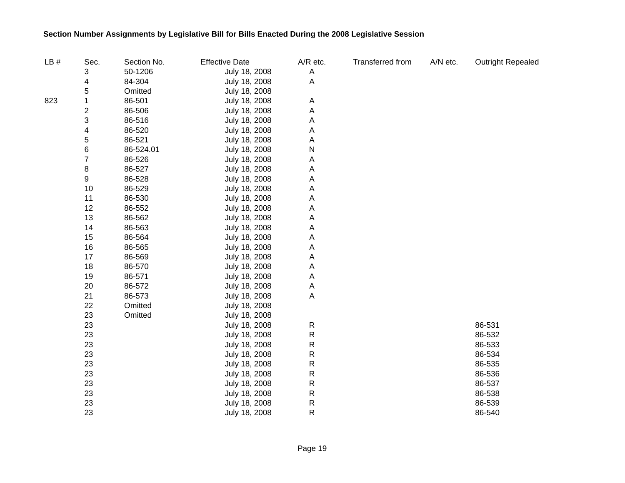| LB# | Sec.                    | Section No. | <b>Effective Date</b> | A/R etc.     | Transferred from | A/N etc. | <b>Outright Repealed</b> |
|-----|-------------------------|-------------|-----------------------|--------------|------------------|----------|--------------------------|
|     | 3                       | 50-1206     | July 18, 2008         | A            |                  |          |                          |
|     | 4                       | 84-304      | July 18, 2008         | A            |                  |          |                          |
|     | 5                       | Omitted     | July 18, 2008         |              |                  |          |                          |
| 823 | 1                       | 86-501      | July 18, 2008         | A            |                  |          |                          |
|     | $\overline{\mathbf{c}}$ | 86-506      | July 18, 2008         | A            |                  |          |                          |
|     | 3                       | 86-516      | July 18, 2008         | Α            |                  |          |                          |
|     | 4                       | 86-520      | July 18, 2008         | Α            |                  |          |                          |
|     | 5                       | 86-521      | July 18, 2008         | Α            |                  |          |                          |
|     | 6                       | 86-524.01   | July 18, 2008         | N            |                  |          |                          |
|     | 7                       | 86-526      | July 18, 2008         | Α            |                  |          |                          |
|     | 8                       | 86-527      | July 18, 2008         | Α            |                  |          |                          |
|     | 9                       | 86-528      | July 18, 2008         | A            |                  |          |                          |
|     | 10                      | 86-529      | July 18, 2008         | Α            |                  |          |                          |
|     | 11                      | 86-530      | July 18, 2008         | Α            |                  |          |                          |
|     | 12                      | 86-552      | July 18, 2008         | A            |                  |          |                          |
|     | 13                      | 86-562      | July 18, 2008         | Α            |                  |          |                          |
|     | 14                      | 86-563      | July 18, 2008         | A            |                  |          |                          |
|     | 15                      | 86-564      | July 18, 2008         | Α            |                  |          |                          |
|     | 16                      | 86-565      | July 18, 2008         | Α            |                  |          |                          |
|     | 17                      | 86-569      | July 18, 2008         | Α            |                  |          |                          |
|     | 18                      | 86-570      | July 18, 2008         | Α            |                  |          |                          |
|     | 19                      | 86-571      | July 18, 2008         | Α            |                  |          |                          |
|     | 20                      | 86-572      | July 18, 2008         | A            |                  |          |                          |
|     | 21                      | 86-573      | July 18, 2008         | Α            |                  |          |                          |
|     | 22                      | Omitted     | July 18, 2008         |              |                  |          |                          |
|     | 23                      | Omitted     | July 18, 2008         |              |                  |          |                          |
|     | 23                      |             | July 18, 2008         | R            |                  |          | 86-531                   |
|     | 23                      |             | July 18, 2008         | $\mathsf R$  |                  |          | 86-532                   |
|     | 23                      |             | July 18, 2008         | $\mathsf{R}$ |                  |          | 86-533                   |
|     | 23                      |             | July 18, 2008         | R            |                  |          | 86-534                   |
|     | 23                      |             | July 18, 2008         | R            |                  |          | 86-535                   |
|     | 23                      |             | July 18, 2008         | R            |                  |          | 86-536                   |
|     | 23                      |             | July 18, 2008         | R            |                  |          | 86-537                   |
|     | 23                      |             | July 18, 2008         | R            |                  |          | 86-538                   |
|     | 23                      |             | July 18, 2008         | R            |                  |          | 86-539                   |
|     | 23                      |             | July 18, 2008         | R            |                  |          | 86-540                   |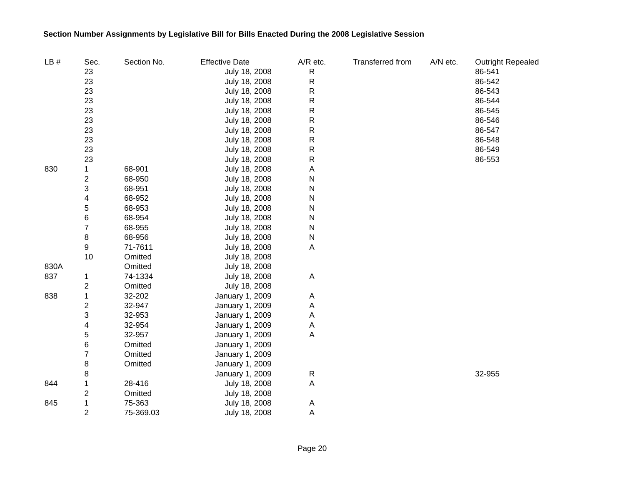| LB#  | Sec.                    | Section No. | <b>Effective Date</b> | A/R etc.     | Transferred from | A/N etc. | <b>Outright Repealed</b> |
|------|-------------------------|-------------|-----------------------|--------------|------------------|----------|--------------------------|
|      | 23                      |             | July 18, 2008         | R            |                  |          | 86-541                   |
|      | 23                      |             | July 18, 2008         | $\mathsf{R}$ |                  |          | 86-542                   |
|      | 23                      |             | July 18, 2008         | ${\sf R}$    |                  |          | 86-543                   |
|      | 23                      |             | July 18, 2008         | ${\sf R}$    |                  |          | 86-544                   |
|      | 23                      |             | July 18, 2008         | ${\sf R}$    |                  |          | 86-545                   |
|      | 23                      |             | July 18, 2008         | R            |                  |          | 86-546                   |
|      | 23                      |             | July 18, 2008         | ${\sf R}$    |                  |          | 86-547                   |
|      | 23                      |             | July 18, 2008         | R            |                  |          | 86-548                   |
|      | 23                      |             | July 18, 2008         | R            |                  |          | 86-549                   |
|      | 23                      |             | July 18, 2008         | R            |                  |          | 86-553                   |
| 830  | 1                       | 68-901      | July 18, 2008         | A            |                  |          |                          |
|      | $\overline{\mathbf{c}}$ | 68-950      | July 18, 2008         | N            |                  |          |                          |
|      | 3                       | 68-951      | July 18, 2008         | N            |                  |          |                          |
|      | 4                       | 68-952      | July 18, 2008         | N            |                  |          |                          |
|      | 5                       | 68-953      | July 18, 2008         | N            |                  |          |                          |
|      | 6                       | 68-954      | July 18, 2008         | N            |                  |          |                          |
|      | $\overline{7}$          | 68-955      | July 18, 2008         | N            |                  |          |                          |
|      | 8                       | 68-956      | July 18, 2008         | N            |                  |          |                          |
|      | 9                       | 71-7611     | July 18, 2008         | A            |                  |          |                          |
|      | 10                      | Omitted     | July 18, 2008         |              |                  |          |                          |
| 830A |                         | Omitted     | July 18, 2008         |              |                  |          |                          |
| 837  | 1                       | 74-1334     | July 18, 2008         | A            |                  |          |                          |
|      | 2                       | Omitted     | July 18, 2008         |              |                  |          |                          |
| 838  | 1                       | 32-202      | January 1, 2009       | A            |                  |          |                          |
|      | 2                       | 32-947      | January 1, 2009       | A            |                  |          |                          |
|      | 3                       | 32-953      | January 1, 2009       | A            |                  |          |                          |
|      | 4                       | 32-954      | January 1, 2009       | A            |                  |          |                          |
|      | 5                       | 32-957      | January 1, 2009       | A            |                  |          |                          |
|      | 6                       | Omitted     | January 1, 2009       |              |                  |          |                          |
|      | 7                       | Omitted     | January 1, 2009       |              |                  |          |                          |
|      | 8                       | Omitted     | January 1, 2009       |              |                  |          |                          |
|      | 8                       |             | January 1, 2009       | $\mathsf{R}$ |                  |          | 32-955                   |
| 844  | 1                       | 28-416      | July 18, 2008         | A            |                  |          |                          |
|      | 2                       | Omitted     | July 18, 2008         |              |                  |          |                          |
| 845  | 1                       | 75-363      | July 18, 2008         | A            |                  |          |                          |
|      | $\overline{2}$          | 75-369.03   | July 18, 2008         | A            |                  |          |                          |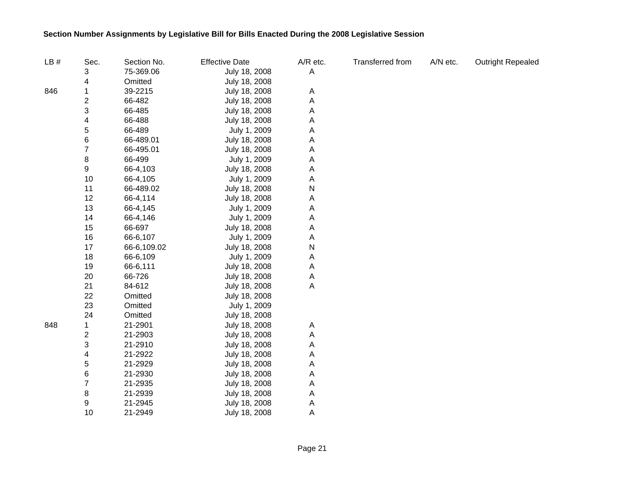| LB# | Sec.           | Section No. | <b>Effective Date</b> | A/R etc. | <b>Transferred from</b> | A/N etc. | <b>Outright Repealed</b> |
|-----|----------------|-------------|-----------------------|----------|-------------------------|----------|--------------------------|
|     | 3              | 75-369.06   | July 18, 2008         | Α        |                         |          |                          |
|     | 4              | Omitted     | July 18, 2008         |          |                         |          |                          |
| 846 | 1              | 39-2215     | July 18, 2008         | A        |                         |          |                          |
|     | 2              | 66-482      | July 18, 2008         | А        |                         |          |                          |
|     | 3              | 66-485      | July 18, 2008         | Α        |                         |          |                          |
|     | 4              | 66-488      | July 18, 2008         | Α        |                         |          |                          |
|     | 5              | 66-489      | July 1, 2009          | Α        |                         |          |                          |
|     | 6              | 66-489.01   | July 18, 2008         | Α        |                         |          |                          |
|     | $\overline{7}$ | 66-495.01   | July 18, 2008         | Α        |                         |          |                          |
|     | 8              | 66-499      | July 1, 2009          | Α        |                         |          |                          |
|     | 9              | 66-4,103    | July 18, 2008         | Α        |                         |          |                          |
|     | 10             | 66-4,105    | July 1, 2009          | Α        |                         |          |                          |
|     | 11             | 66-489.02   | July 18, 2008         | N        |                         |          |                          |
|     | 12             | 66-4,114    | July 18, 2008         | Α        |                         |          |                          |
|     | 13             | 66-4,145    | July 1, 2009          | Α        |                         |          |                          |
|     | 14             | 66-4,146    | July 1, 2009          | Α        |                         |          |                          |
|     | 15             | 66-697      | July 18, 2008         | Α        |                         |          |                          |
|     | 16             | 66-6,107    | July 1, 2009          | А        |                         |          |                          |
|     | 17             | 66-6,109.02 | July 18, 2008         | N        |                         |          |                          |
|     | 18             | 66-6,109    | July 1, 2009          | А        |                         |          |                          |
|     | 19             | 66-6,111    | July 18, 2008         | А        |                         |          |                          |
|     | 20             | 66-726      | July 18, 2008         | A        |                         |          |                          |
|     | 21             | 84-612      | July 18, 2008         | Α        |                         |          |                          |
|     | 22             | Omitted     | July 18, 2008         |          |                         |          |                          |
|     | 23             | Omitted     | July 1, 2009          |          |                         |          |                          |
|     | 24             | Omitted     | July 18, 2008         |          |                         |          |                          |
| 848 | 1              | 21-2901     | July 18, 2008         | Α        |                         |          |                          |
|     | 2              | 21-2903     | July 18, 2008         | Α        |                         |          |                          |
|     | 3              | 21-2910     | July 18, 2008         | Α        |                         |          |                          |
|     | 4              | 21-2922     | July 18, 2008         | Α        |                         |          |                          |
|     | 5              | 21-2929     | July 18, 2008         | Α        |                         |          |                          |
|     | 6              | 21-2930     | July 18, 2008         | Α        |                         |          |                          |
|     | 7              | 21-2935     | July 18, 2008         | Α        |                         |          |                          |
|     | 8              | 21-2939     | July 18, 2008         | Α        |                         |          |                          |
|     | 9              | 21-2945     | July 18, 2008         | A        |                         |          |                          |
|     | 10             | 21-2949     | July 18, 2008         | А        |                         |          |                          |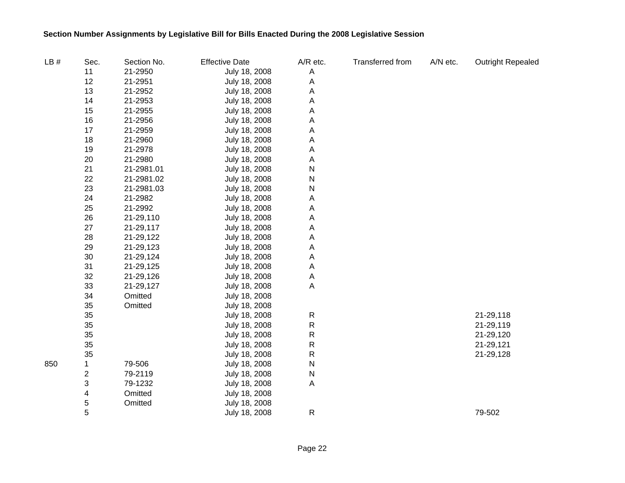| LB# | Sec.           | Section No. | <b>Effective Date</b> | A/R etc.    | Transferred from | A/N etc. | <b>Outright Repealed</b> |
|-----|----------------|-------------|-----------------------|-------------|------------------|----------|--------------------------|
|     | 11             | 21-2950     | July 18, 2008         | A           |                  |          |                          |
|     | 12             | 21-2951     | July 18, 2008         | A           |                  |          |                          |
|     | 13             | 21-2952     | July 18, 2008         | Α           |                  |          |                          |
|     | 14             | 21-2953     | July 18, 2008         | Α           |                  |          |                          |
|     | 15             | 21-2955     | July 18, 2008         | Α           |                  |          |                          |
|     | 16             | 21-2956     | July 18, 2008         | A           |                  |          |                          |
|     | 17             | 21-2959     | July 18, 2008         | Α           |                  |          |                          |
|     | 18             | 21-2960     | July 18, 2008         | Α           |                  |          |                          |
|     | 19             | 21-2978     | July 18, 2008         | Α           |                  |          |                          |
|     | 20             | 21-2980     | July 18, 2008         | Α           |                  |          |                          |
|     | 21             | 21-2981.01  | July 18, 2008         | ${\sf N}$   |                  |          |                          |
|     | 22             | 21-2981.02  | July 18, 2008         | N           |                  |          |                          |
|     | 23             | 21-2981.03  | July 18, 2008         | N           |                  |          |                          |
|     | 24             | 21-2982     | July 18, 2008         | Α           |                  |          |                          |
|     | 25             | 21-2992     | July 18, 2008         | А           |                  |          |                          |
|     | 26             | 21-29,110   | July 18, 2008         | Α           |                  |          |                          |
|     | $27\,$         | 21-29,117   | July 18, 2008         | Α           |                  |          |                          |
|     | 28             | 21-29,122   | July 18, 2008         | Α           |                  |          |                          |
|     | 29             | 21-29,123   | July 18, 2008         | Α           |                  |          |                          |
|     | 30             | 21-29,124   | July 18, 2008         | А           |                  |          |                          |
|     | 31             | 21-29,125   | July 18, 2008         | А           |                  |          |                          |
|     | 32             | 21-29,126   | July 18, 2008         | A           |                  |          |                          |
|     | 33             | 21-29,127   | July 18, 2008         | $\mathsf A$ |                  |          |                          |
|     | 34             | Omitted     | July 18, 2008         |             |                  |          |                          |
|     | 35             | Omitted     | July 18, 2008         |             |                  |          |                          |
|     | 35             |             | July 18, 2008         | ${\sf R}$   |                  |          | 21-29,118                |
|     | 35             |             | July 18, 2008         | ${\sf R}$   |                  |          | 21-29,119                |
|     | 35             |             | July 18, 2008         | ${\sf R}$   |                  |          | 21-29,120                |
|     | 35             |             | July 18, 2008         | ${\sf R}$   |                  |          | 21-29,121                |
|     | 35             |             | July 18, 2008         | ${\sf R}$   |                  |          | 21-29,128                |
| 850 | 1              | 79-506      | July 18, 2008         | ${\sf N}$   |                  |          |                          |
|     | $\overline{c}$ | 79-2119     | July 18, 2008         | ${\sf N}$   |                  |          |                          |
|     | 3              | 79-1232     | July 18, 2008         | A           |                  |          |                          |
|     | 4              | Omitted     | July 18, 2008         |             |                  |          |                          |
|     | 5              | Omitted     | July 18, 2008         |             |                  |          |                          |
|     | 5              |             | July 18, 2008         | ${\sf R}$   |                  |          | 79-502                   |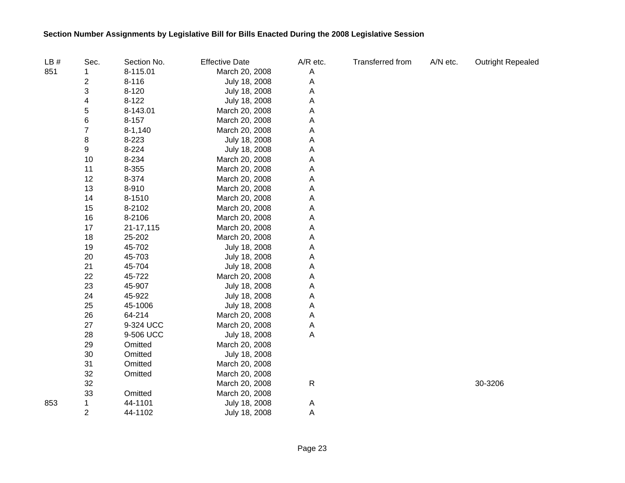| LB# | Sec.           | Section No. | <b>Effective Date</b> | A/R etc. | Transferred from | A/N etc. | <b>Outright Repealed</b> |
|-----|----------------|-------------|-----------------------|----------|------------------|----------|--------------------------|
| 851 | 1              | 8-115.01    | March 20, 2008        | Α        |                  |          |                          |
|     | 2              | $8 - 116$   | July 18, 2008         | Α        |                  |          |                          |
|     | 3              | $8 - 120$   | July 18, 2008         | Α        |                  |          |                          |
|     | 4              | $8 - 122$   | July 18, 2008         | A        |                  |          |                          |
|     | 5              | 8-143.01    | March 20, 2008        | Α        |                  |          |                          |
|     | 6              | 8-157       | March 20, 2008        | A        |                  |          |                          |
|     | $\overline{7}$ | $8 - 1,140$ | March 20, 2008        | Α        |                  |          |                          |
|     | 8              | 8-223       | July 18, 2008         | Α        |                  |          |                          |
|     | 9              | 8-224       | July 18, 2008         | Α        |                  |          |                          |
|     | 10             | 8-234       | March 20, 2008        | Α        |                  |          |                          |
|     | 11             | 8-355       | March 20, 2008        | Α        |                  |          |                          |
|     | 12             | 8-374       | March 20, 2008        | Α        |                  |          |                          |
|     | 13             | 8-910       | March 20, 2008        | Α        |                  |          |                          |
|     | 14             | 8-1510      | March 20, 2008        | Α        |                  |          |                          |
|     | 15             | 8-2102      | March 20, 2008        | Α        |                  |          |                          |
|     | 16             | 8-2106      | March 20, 2008        | Α        |                  |          |                          |
|     | 17             | 21-17,115   | March 20, 2008        | Α        |                  |          |                          |
|     | 18             | 25-202      | March 20, 2008        | Α        |                  |          |                          |
|     | 19             | 45-702      | July 18, 2008         | Α        |                  |          |                          |
|     | 20             | 45-703      | July 18, 2008         | Α        |                  |          |                          |
|     | 21             | 45-704      | July 18, 2008         | Α        |                  |          |                          |
|     | 22             | 45-722      | March 20, 2008        | Α        |                  |          |                          |
|     | 23             | 45-907      | July 18, 2008         | Α        |                  |          |                          |
|     | 24             | 45-922      | July 18, 2008         | Α        |                  |          |                          |
|     | 25             | 45-1006     | July 18, 2008         | Α        |                  |          |                          |
|     | 26             | 64-214      | March 20, 2008        | Α        |                  |          |                          |
|     | 27             | 9-324 UCC   | March 20, 2008        | Α        |                  |          |                          |
|     | 28             | 9-506 UCC   | July 18, 2008         | Α        |                  |          |                          |
|     | 29             | Omitted     | March 20, 2008        |          |                  |          |                          |
|     | 30             | Omitted     | July 18, 2008         |          |                  |          |                          |
|     | 31             | Omitted     | March 20, 2008        |          |                  |          |                          |
|     | 32             | Omitted     | March 20, 2008        |          |                  |          |                          |
|     | 32             |             | March 20, 2008        | R        |                  |          | 30-3206                  |
|     | 33             | Omitted     | March 20, 2008        |          |                  |          |                          |
| 853 | 1              | 44-1101     | July 18, 2008         | A        |                  |          |                          |
|     | $\overline{2}$ | 44-1102     | July 18, 2008         | Α        |                  |          |                          |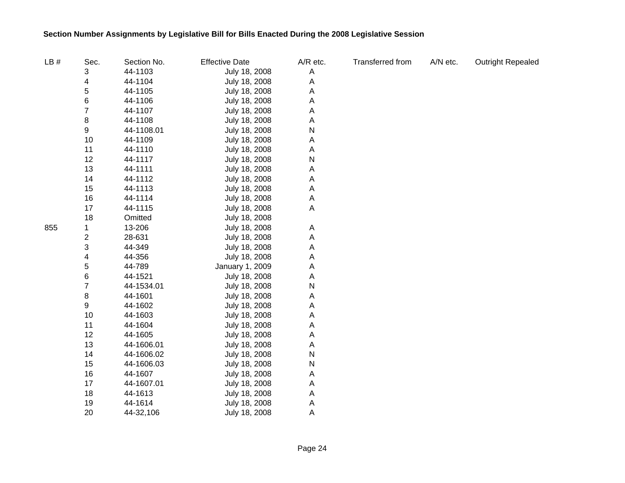| LB# | Sec.                    | Section No. | <b>Effective Date</b> | A/R etc. | Transferred from | A/N etc. | Outright Repealed |
|-----|-------------------------|-------------|-----------------------|----------|------------------|----------|-------------------|
|     | 3                       | 44-1103     | July 18, 2008         | A        |                  |          |                   |
|     | 4                       | 44-1104     | July 18, 2008         | A        |                  |          |                   |
|     | 5                       | 44-1105     | July 18, 2008         | Α        |                  |          |                   |
|     | 6                       | 44-1106     | July 18, 2008         | Α        |                  |          |                   |
|     | $\overline{7}$          | 44-1107     | July 18, 2008         | Α        |                  |          |                   |
|     | 8                       | 44-1108     | July 18, 2008         | Α        |                  |          |                   |
|     | 9                       | 44-1108.01  | July 18, 2008         | N        |                  |          |                   |
|     | 10                      | 44-1109     | July 18, 2008         | Α        |                  |          |                   |
|     | 11                      | 44-1110     | July 18, 2008         | A        |                  |          |                   |
|     | 12                      | 44-1117     | July 18, 2008         | N        |                  |          |                   |
|     | 13                      | 44-1111     | July 18, 2008         | Α        |                  |          |                   |
|     | 14                      | 44-1112     | July 18, 2008         | A        |                  |          |                   |
|     | 15                      | 44-1113     | July 18, 2008         | A        |                  |          |                   |
|     | 16                      | 44-1114     | July 18, 2008         | A        |                  |          |                   |
|     | 17                      | 44-1115     | July 18, 2008         | А        |                  |          |                   |
|     | 18                      | Omitted     | July 18, 2008         |          |                  |          |                   |
| 855 | 1                       | 13-206      | July 18, 2008         | A        |                  |          |                   |
|     | $\overline{\mathbf{c}}$ | 28-631      | July 18, 2008         | Α        |                  |          |                   |
|     | 3                       | 44-349      | July 18, 2008         | Α        |                  |          |                   |
|     | 4                       | 44-356      | July 18, 2008         | Α        |                  |          |                   |
|     | 5                       | 44-789      | January 1, 2009       | Α        |                  |          |                   |
|     | 6                       | 44-1521     | July 18, 2008         | A        |                  |          |                   |
|     | 7                       | 44-1534.01  | July 18, 2008         | N        |                  |          |                   |
|     | 8                       | 44-1601     | July 18, 2008         | Α        |                  |          |                   |
|     | 9                       | 44-1602     | July 18, 2008         | Α        |                  |          |                   |
|     | 10                      | 44-1603     | July 18, 2008         | Α        |                  |          |                   |
|     | 11                      | 44-1604     | July 18, 2008         | Α        |                  |          |                   |
|     | 12                      | 44-1605     | July 18, 2008         | Α        |                  |          |                   |
|     | 13                      | 44-1606.01  | July 18, 2008         | Α        |                  |          |                   |
|     | 14                      | 44-1606.02  | July 18, 2008         | N        |                  |          |                   |
|     | 15                      | 44-1606.03  | July 18, 2008         | N        |                  |          |                   |
|     | 16                      | 44-1607     | July 18, 2008         | Α        |                  |          |                   |
|     | 17                      | 44-1607.01  | July 18, 2008         | A        |                  |          |                   |
|     | 18                      | 44-1613     | July 18, 2008         | A        |                  |          |                   |
|     | 19                      | 44-1614     | July 18, 2008         | A        |                  |          |                   |
|     | 20                      | 44-32,106   | July 18, 2008         | Α        |                  |          |                   |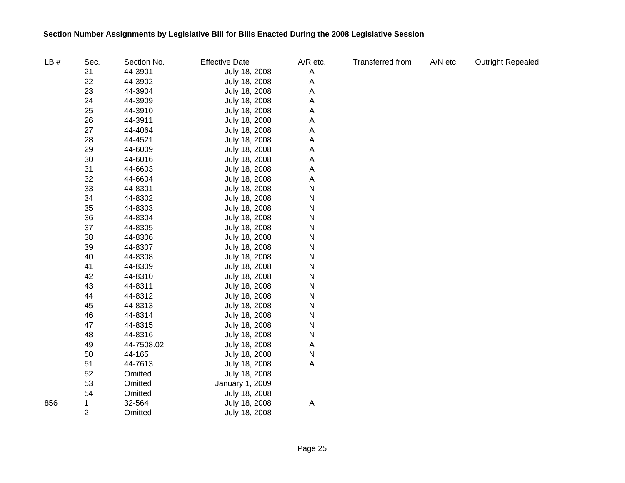| LB# | Sec.           | Section No. | <b>Effective Date</b> | A/R etc. | Transferred from | A/N etc. | <b>Outright Repealed</b> |
|-----|----------------|-------------|-----------------------|----------|------------------|----------|--------------------------|
|     | 21             | 44-3901     | July 18, 2008         | A        |                  |          |                          |
|     | 22             | 44-3902     | July 18, 2008         | A        |                  |          |                          |
|     | 23             | 44-3904     | July 18, 2008         | Α        |                  |          |                          |
|     | 24             | 44-3909     | July 18, 2008         | А        |                  |          |                          |
|     | 25             | 44-3910     | July 18, 2008         | Α        |                  |          |                          |
|     | 26             | 44-3911     | July 18, 2008         | Α        |                  |          |                          |
|     | 27             | 44-4064     | July 18, 2008         | Α        |                  |          |                          |
|     | 28             | 44-4521     | July 18, 2008         | Α        |                  |          |                          |
|     | 29             | 44-6009     | July 18, 2008         | Α        |                  |          |                          |
|     | 30             | 44-6016     | July 18, 2008         | А        |                  |          |                          |
|     | 31             | 44-6603     | July 18, 2008         | Α        |                  |          |                          |
|     | 32             | 44-6604     | July 18, 2008         | Α        |                  |          |                          |
|     | 33             | 44-8301     | July 18, 2008         | N        |                  |          |                          |
|     | 34             | 44-8302     | July 18, 2008         | N        |                  |          |                          |
|     | 35             | 44-8303     | July 18, 2008         | N        |                  |          |                          |
|     | 36             | 44-8304     | July 18, 2008         | N        |                  |          |                          |
|     | 37             | 44-8305     | July 18, 2008         | N        |                  |          |                          |
|     | 38             | 44-8306     | July 18, 2008         | N        |                  |          |                          |
|     | 39             | 44-8307     | July 18, 2008         | N        |                  |          |                          |
|     | 40             | 44-8308     | July 18, 2008         | N        |                  |          |                          |
|     | 41             | 44-8309     | July 18, 2008         | N        |                  |          |                          |
|     | 42             | 44-8310     | July 18, 2008         | N        |                  |          |                          |
|     | 43             | 44-8311     | July 18, 2008         | N        |                  |          |                          |
|     | 44             | 44-8312     | July 18, 2008         | N        |                  |          |                          |
|     | 45             | 44-8313     | July 18, 2008         | N        |                  |          |                          |
|     | 46             | 44-8314     | July 18, 2008         | N        |                  |          |                          |
|     | 47             | 44-8315     | July 18, 2008         | N        |                  |          |                          |
|     | 48             | 44-8316     | July 18, 2008         | N        |                  |          |                          |
|     | 49             | 44-7508.02  | July 18, 2008         | A        |                  |          |                          |
|     | 50             | 44-165      | July 18, 2008         | N        |                  |          |                          |
|     | 51             | 44-7613     | July 18, 2008         | Α        |                  |          |                          |
|     | 52             | Omitted     | July 18, 2008         |          |                  |          |                          |
|     | 53             | Omitted     | January 1, 2009       |          |                  |          |                          |
|     | 54             | Omitted     | July 18, 2008         |          |                  |          |                          |
| 856 | 1              | 32-564      | July 18, 2008         | A        |                  |          |                          |
|     | $\overline{2}$ | Omitted     | July 18, 2008         |          |                  |          |                          |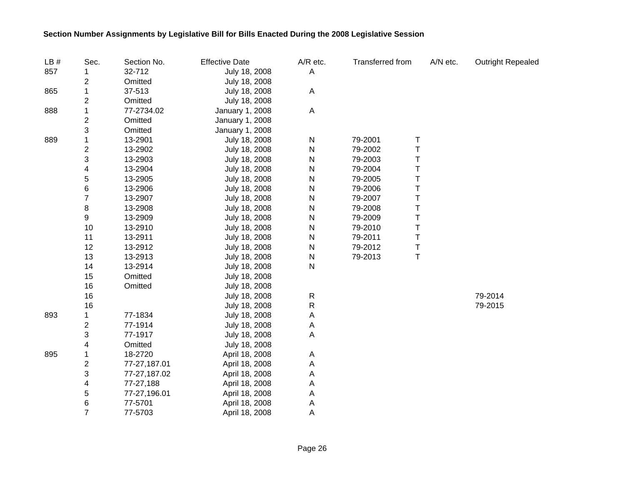| LB# | Sec.                      | Section No.  | <b>Effective Date</b> | A/R etc.     | <b>Transferred from</b> |   | A/N etc. | <b>Outright Repealed</b> |
|-----|---------------------------|--------------|-----------------------|--------------|-------------------------|---|----------|--------------------------|
| 857 |                           | 32-712       | July 18, 2008         | A            |                         |   |          |                          |
|     | 2                         | Omitted      | July 18, 2008         |              |                         |   |          |                          |
| 865 | 1                         | 37-513       | July 18, 2008         | A            |                         |   |          |                          |
|     | $\mathbf{2}$              | Omitted      | July 18, 2008         |              |                         |   |          |                          |
| 888 | 1                         | 77-2734.02   | January 1, 2008       | $\mathsf{A}$ |                         |   |          |                          |
|     | $\overline{\mathbf{c}}$   | Omitted      | January 1, 2008       |              |                         |   |          |                          |
|     | 3                         | Omitted      | January 1, 2008       |              |                         |   |          |                          |
| 889 | 1                         | 13-2901      | July 18, 2008         | ${\sf N}$    | 79-2001                 | Τ |          |                          |
|     | $\overline{c}$            | 13-2902      | July 18, 2008         | ${\sf N}$    | 79-2002                 | T |          |                          |
|     | 3                         | 13-2903      | July 18, 2008         | ${\sf N}$    | 79-2003                 | T |          |                          |
|     | 4                         | 13-2904      | July 18, 2008         | N            | 79-2004                 | Т |          |                          |
|     | 5                         | 13-2905      | July 18, 2008         | N            | 79-2005                 | T |          |                          |
|     | 6                         | 13-2906      | July 18, 2008         | N            | 79-2006                 | T |          |                          |
|     | $\overline{7}$            | 13-2907      | July 18, 2008         | N            | 79-2007                 | Τ |          |                          |
|     | 8                         | 13-2908      | July 18, 2008         | N            | 79-2008                 | Т |          |                          |
|     | 9                         | 13-2909      | July 18, 2008         | N            | 79-2009                 | T |          |                          |
|     | 10                        | 13-2910      | July 18, 2008         | N            | 79-2010                 | T |          |                          |
|     | 11                        | 13-2911      | July 18, 2008         | N            | 79-2011                 | Τ |          |                          |
|     | 12                        | 13-2912      | July 18, 2008         | ${\sf N}$    | 79-2012                 | Τ |          |                          |
|     | 13                        | 13-2913      | July 18, 2008         | ${\sf N}$    | 79-2013                 | T |          |                          |
|     | 14                        | 13-2914      | July 18, 2008         | N            |                         |   |          |                          |
|     | 15                        | Omitted      | July 18, 2008         |              |                         |   |          |                          |
|     | 16                        | Omitted      | July 18, 2008         |              |                         |   |          |                          |
|     | 16                        |              | July 18, 2008         | ${\sf R}$    |                         |   |          | 79-2014                  |
|     | 16                        |              | July 18, 2008         | $\mathsf R$  |                         |   |          | 79-2015                  |
| 893 | 1                         | 77-1834      | July 18, 2008         | A            |                         |   |          |                          |
|     | $\boldsymbol{2}$          | 77-1914      | July 18, 2008         | A            |                         |   |          |                          |
|     | $\ensuremath{\mathsf{3}}$ | 77-1917      | July 18, 2008         | A            |                         |   |          |                          |
|     | 4                         | Omitted      | July 18, 2008         |              |                         |   |          |                          |
| 895 | 1                         | 18-2720      | April 18, 2008        | A            |                         |   |          |                          |
|     | $\boldsymbol{2}$          | 77-27,187.01 | April 18, 2008        | A            |                         |   |          |                          |
|     | 3                         | 77-27,187.02 | April 18, 2008        | A            |                         |   |          |                          |
|     | 4                         | 77-27,188    | April 18, 2008        | A            |                         |   |          |                          |
|     | 5                         | 77-27,196.01 | April 18, 2008        | A            |                         |   |          |                          |
|     | $\,$ 6 $\,$               | 77-5701      | April 18, 2008        | A            |                         |   |          |                          |
|     | $\overline{7}$            | 77-5703      | April 18, 2008        | A            |                         |   |          |                          |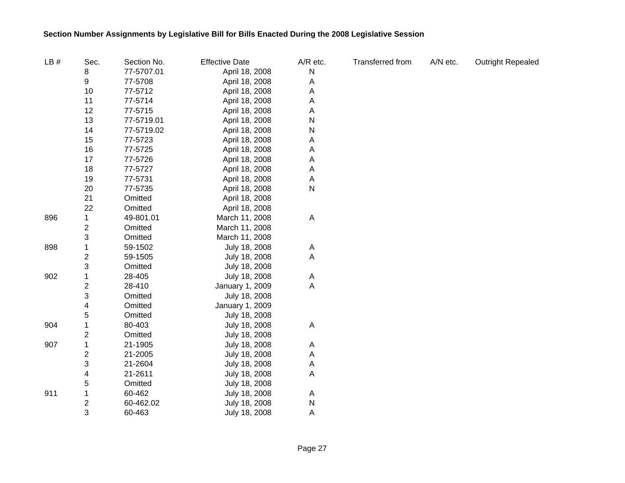| LB# | Sec.                    | Section No. | <b>Effective Date</b> | A/R etc. | Transferred from | A/N etc. | <b>Outright Repealed</b> |
|-----|-------------------------|-------------|-----------------------|----------|------------------|----------|--------------------------|
|     | 8                       | 77-5707.01  | April 18, 2008        | N        |                  |          |                          |
|     | 9                       | 77-5708     | April 18, 2008        | Α        |                  |          |                          |
|     | 10                      | 77-5712     | April 18, 2008        | Α        |                  |          |                          |
|     | 11                      | 77-5714     | April 18, 2008        | Α        |                  |          |                          |
|     | 12                      | 77-5715     | April 18, 2008        | Α        |                  |          |                          |
|     | 13                      | 77-5719.01  | April 18, 2008        | Ν        |                  |          |                          |
|     | 14                      | 77-5719.02  | April 18, 2008        | Ν        |                  |          |                          |
|     | 15                      | 77-5723     | April 18, 2008        | Α        |                  |          |                          |
|     | 16                      | 77-5725     | April 18, 2008        | Α        |                  |          |                          |
|     | 17                      | 77-5726     | April 18, 2008        | Α        |                  |          |                          |
|     | 18                      | 77-5727     | April 18, 2008        | Α        |                  |          |                          |
|     | 19                      | 77-5731     | April 18, 2008        | A        |                  |          |                          |
|     | 20                      | 77-5735     | April 18, 2008        | N        |                  |          |                          |
|     | 21                      | Omitted     | April 18, 2008        |          |                  |          |                          |
|     | 22                      | Omitted     | April 18, 2008        |          |                  |          |                          |
| 896 |                         | 49-801.01   | March 11, 2008        | A        |                  |          |                          |
|     | $\overline{\mathbf{c}}$ | Omitted     | March 11, 2008        |          |                  |          |                          |
|     | 3                       | Omitted     | March 11, 2008        |          |                  |          |                          |
| 898 | 1                       | 59-1502     | July 18, 2008         | A        |                  |          |                          |
|     | $\overline{\mathbf{c}}$ | 59-1505     | July 18, 2008         | A        |                  |          |                          |
|     | 3                       | Omitted     | July 18, 2008         |          |                  |          |                          |
| 902 | 1                       | 28-405      | July 18, 2008         | A        |                  |          |                          |
|     | $\overline{c}$          | 28-410      | January 1, 2009       | A        |                  |          |                          |
|     | 3                       | Omitted     | July 18, 2008         |          |                  |          |                          |
|     | 4                       | Omitted     | January 1, 2009       |          |                  |          |                          |
|     | 5                       | Omitted     | July 18, 2008         |          |                  |          |                          |
| 904 | 1                       | 80-403      | July 18, 2008         | A        |                  |          |                          |
|     | $\overline{\mathbf{c}}$ | Omitted     | July 18, 2008         |          |                  |          |                          |
| 907 | 1                       | 21-1905     | July 18, 2008         | A        |                  |          |                          |
|     | $\overline{\mathbf{c}}$ | 21-2005     | July 18, 2008         | Α        |                  |          |                          |
|     | 3                       | 21-2604     | July 18, 2008         | Α        |                  |          |                          |
|     | 4                       | 21-2611     | July 18, 2008         | Α        |                  |          |                          |
|     | 5                       | Omitted     | July 18, 2008         |          |                  |          |                          |
| 911 | 1                       | 60-462      | July 18, 2008         | A        |                  |          |                          |
|     | $\boldsymbol{2}$        | 60-462.02   | July 18, 2008         | N        |                  |          |                          |
|     | 3                       | 60-463      | July 18, 2008         | A        |                  |          |                          |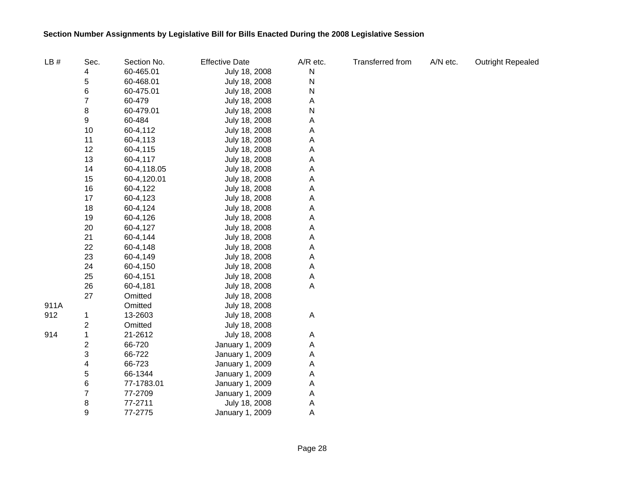| LB#  | Sec.             | Section No. | <b>Effective Date</b> | A/R etc.    | Transferred from | A/N etc. | <b>Outright Repealed</b> |
|------|------------------|-------------|-----------------------|-------------|------------------|----------|--------------------------|
|      | 4                | 60-465.01   | July 18, 2008         | N           |                  |          |                          |
|      | 5                | 60-468.01   | July 18, 2008         | N           |                  |          |                          |
|      | 6                | 60-475.01   | July 18, 2008         | N           |                  |          |                          |
|      | $\overline{7}$   | 60-479      | July 18, 2008         | A           |                  |          |                          |
|      | 8                | 60-479.01   | July 18, 2008         | N           |                  |          |                          |
|      | 9                | 60-484      | July 18, 2008         | Α           |                  |          |                          |
|      | 10               | 60-4,112    | July 18, 2008         | Α           |                  |          |                          |
|      | 11               | 60-4,113    | July 18, 2008         | Α           |                  |          |                          |
|      | 12               | 60-4,115    | July 18, 2008         | Α           |                  |          |                          |
|      | 13               | 60-4,117    | July 18, 2008         | Α           |                  |          |                          |
|      | 14               | 60-4,118.05 | July 18, 2008         | Α           |                  |          |                          |
|      | 15               | 60-4,120.01 | July 18, 2008         | Α           |                  |          |                          |
|      | 16               | 60-4,122    | July 18, 2008         | Α           |                  |          |                          |
|      | 17               | 60-4,123    | July 18, 2008         | Α           |                  |          |                          |
|      | 18               | 60-4,124    | July 18, 2008         | Α           |                  |          |                          |
|      | 19               | 60-4,126    | July 18, 2008         | Α           |                  |          |                          |
|      | 20               | 60-4,127    | July 18, 2008         | Α           |                  |          |                          |
|      | 21               | 60-4,144    | July 18, 2008         | А           |                  |          |                          |
|      | 22               | 60-4,148    | July 18, 2008         | Α           |                  |          |                          |
|      | 23               | 60-4,149    | July 18, 2008         | Α           |                  |          |                          |
|      | 24               | 60-4,150    | July 18, 2008         | A           |                  |          |                          |
|      | 25               | 60-4,151    | July 18, 2008         | Α           |                  |          |                          |
|      | 26               | 60-4,181    | July 18, 2008         | $\mathsf A$ |                  |          |                          |
|      | 27               | Omitted     | July 18, 2008         |             |                  |          |                          |
| 911A |                  | Omitted     | July 18, 2008         |             |                  |          |                          |
| 912  | 1                | 13-2603     | July 18, 2008         | $\mathsf A$ |                  |          |                          |
|      | $\boldsymbol{2}$ | Omitted     | July 18, 2008         |             |                  |          |                          |
| 914  | $\mathbf 1$      | 21-2612     | July 18, 2008         | Α           |                  |          |                          |
|      | $\boldsymbol{2}$ | 66-720      | January 1, 2009       | A           |                  |          |                          |
|      | 3                | 66-722      | January 1, 2009       | Α           |                  |          |                          |
|      | 4                | 66-723      | January 1, 2009       | Α           |                  |          |                          |
|      | 5                | 66-1344     | January 1, 2009       | Α           |                  |          |                          |
|      | 6                | 77-1783.01  | January 1, 2009       | A           |                  |          |                          |
|      | $\overline{7}$   | 77-2709     | January 1, 2009       | A           |                  |          |                          |
|      | 8                | 77-2711     | July 18, 2008         | A           |                  |          |                          |
|      | 9                | 77-2775     | January 1, 2009       | A           |                  |          |                          |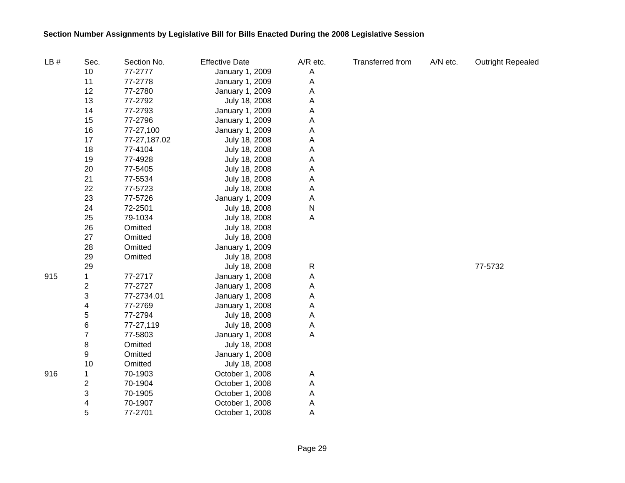| LB# | Sec.           | Section No.  | <b>Effective Date</b> | A/R etc.       | <b>Transferred from</b> | A/N etc. | <b>Outright Repealed</b> |
|-----|----------------|--------------|-----------------------|----------------|-------------------------|----------|--------------------------|
|     | 10             | 77-2777      | January 1, 2009       | A              |                         |          |                          |
|     | 11             | 77-2778      | January 1, 2009       | A              |                         |          |                          |
|     | 12             | 77-2780      | January 1, 2009       | Α              |                         |          |                          |
|     | 13             | 77-2792      | July 18, 2008         | Α              |                         |          |                          |
|     | 14             | 77-2793      | January 1, 2009       | Α              |                         |          |                          |
|     | 15             | 77-2796      | January 1, 2009       | Α              |                         |          |                          |
|     | 16             | 77-27,100    | January 1, 2009       | Α              |                         |          |                          |
|     | 17             | 77-27,187.02 | July 18, 2008         | Α              |                         |          |                          |
|     | 18             | 77-4104      | July 18, 2008         | Α              |                         |          |                          |
|     | 19             | 77-4928      | July 18, 2008         | Α              |                         |          |                          |
|     | 20             | 77-5405      | July 18, 2008         | Α              |                         |          |                          |
|     | 21             | 77-5534      | July 18, 2008         | $\overline{A}$ |                         |          |                          |
|     | 22             | 77-5723      | July 18, 2008         | A              |                         |          |                          |
|     | 23             | 77-5726      | January 1, 2009       | A              |                         |          |                          |
|     | 24             | 72-2501      | July 18, 2008         | $\mathsf{N}$   |                         |          |                          |
|     | 25             | 79-1034      | July 18, 2008         | $\overline{A}$ |                         |          |                          |
|     | 26             | Omitted      | July 18, 2008         |                |                         |          |                          |
|     | 27             | Omitted      | July 18, 2008         |                |                         |          |                          |
|     | 28             | Omitted      | January 1, 2009       |                |                         |          |                          |
|     | 29             | Omitted      | July 18, 2008         |                |                         |          |                          |
|     | 29             |              | July 18, 2008         | $\mathsf{R}$   |                         |          | 77-5732                  |
| 915 | 1              | 77-2717      | January 1, 2008       | A              |                         |          |                          |
|     | 2              | 77-2727      | January 1, 2008       | Α              |                         |          |                          |
|     | 3              | 77-2734.01   | January 1, 2008       | Α              |                         |          |                          |
|     | 4              | 77-2769      | January 1, 2008       | Α              |                         |          |                          |
|     | 5              | 77-2794      | July 18, 2008         | A              |                         |          |                          |
|     | $\,6$          | 77-27,119    | July 18, 2008         | A              |                         |          |                          |
|     | $\overline{7}$ | 77-5803      | January 1, 2008       | $\overline{A}$ |                         |          |                          |
|     | 8              | Omitted      | July 18, 2008         |                |                         |          |                          |
|     | 9              | Omitted      | January 1, 2008       |                |                         |          |                          |
|     | 10             | Omitted      | July 18, 2008         |                |                         |          |                          |
| 916 | 1              | 70-1903      | October 1, 2008       | A              |                         |          |                          |
|     | 2              | 70-1904      | October 1, 2008       | $\overline{A}$ |                         |          |                          |
|     | 3              | 70-1905      | October 1, 2008       | A              |                         |          |                          |
|     | 4              | 70-1907      | October 1, 2008       | A              |                         |          |                          |
|     | 5              | 77-2701      | October 1, 2008       | $\overline{A}$ |                         |          |                          |

Page 29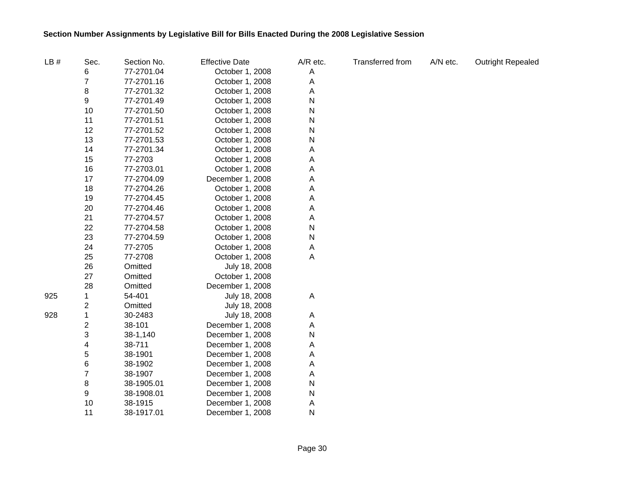| LB# | Sec.                    | Section No. | <b>Effective Date</b> | A/R etc. | <b>Transferred from</b> | A/N etc. | <b>Outright Repealed</b> |
|-----|-------------------------|-------------|-----------------------|----------|-------------------------|----------|--------------------------|
|     | 6                       | 77-2701.04  | October 1, 2008       | A        |                         |          |                          |
|     | $\overline{7}$          | 77-2701.16  | October 1, 2008       | A        |                         |          |                          |
|     | 8                       | 77-2701.32  | October 1, 2008       | Α        |                         |          |                          |
|     | 9                       | 77-2701.49  | October 1, 2008       | N        |                         |          |                          |
|     | 10                      | 77-2701.50  | October 1, 2008       | N        |                         |          |                          |
|     | 11                      | 77-2701.51  | October 1, 2008       | N        |                         |          |                          |
|     | 12                      | 77-2701.52  | October 1, 2008       | N        |                         |          |                          |
|     | 13                      | 77-2701.53  | October 1, 2008       | Ν        |                         |          |                          |
|     | 14                      | 77-2701.34  | October 1, 2008       | Α        |                         |          |                          |
|     | 15                      | 77-2703     | October 1, 2008       | Α        |                         |          |                          |
|     | 16                      | 77-2703.01  | October 1, 2008       | Α        |                         |          |                          |
|     | 17                      | 77-2704.09  | December 1, 2008      | Α        |                         |          |                          |
|     | 18                      | 77-2704.26  | October 1, 2008       | Α        |                         |          |                          |
|     | 19                      | 77-2704.45  | October 1, 2008       | Α        |                         |          |                          |
|     | 20                      | 77-2704.46  | October 1, 2008       | Α        |                         |          |                          |
|     | 21                      | 77-2704.57  | October 1, 2008       | Α        |                         |          |                          |
|     | 22                      | 77-2704.58  | October 1, 2008       | N        |                         |          |                          |
|     | 23                      | 77-2704.59  | October 1, 2008       | N        |                         |          |                          |
|     | 24                      | 77-2705     | October 1, 2008       | A        |                         |          |                          |
|     | 25                      | 77-2708     | October 1, 2008       | Α        |                         |          |                          |
|     | 26                      | Omitted     | July 18, 2008         |          |                         |          |                          |
|     | 27                      | Omitted     | October 1, 2008       |          |                         |          |                          |
|     | 28                      | Omitted     | December 1, 2008      |          |                         |          |                          |
| 925 | 1                       | 54-401      | July 18, 2008         | A        |                         |          |                          |
|     | $\overline{\mathbf{c}}$ | Omitted     | July 18, 2008         |          |                         |          |                          |
| 928 | 1                       | 30-2483     | July 18, 2008         | A        |                         |          |                          |
|     | $\overline{\mathbf{c}}$ | 38-101      | December 1, 2008      | Α        |                         |          |                          |
|     | 3                       | 38-1,140    | December 1, 2008      | N        |                         |          |                          |
|     | 4                       | 38-711      | December 1, 2008      | Α        |                         |          |                          |
|     | 5                       | 38-1901     | December 1, 2008      | Α        |                         |          |                          |
|     | 6                       | 38-1902     | December 1, 2008      | Α        |                         |          |                          |
|     | $\overline{7}$          | 38-1907     | December 1, 2008      | A        |                         |          |                          |
|     | 8                       | 38-1905.01  | December 1, 2008      | N        |                         |          |                          |
|     | 9                       | 38-1908.01  | December 1, 2008      | N        |                         |          |                          |
|     | 10                      | 38-1915     | December 1, 2008      | Α        |                         |          |                          |
|     | 11                      | 38-1917.01  | December 1, 2008      | N        |                         |          |                          |

Page 30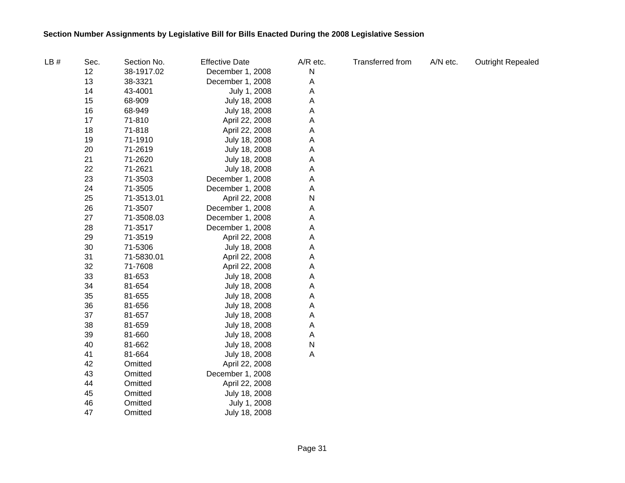| LB# | Sec. | Section No. | <b>Effective Date</b> | A/R etc.  | Transferred from | A/N etc. | <b>Outright Repealed</b> |
|-----|------|-------------|-----------------------|-----------|------------------|----------|--------------------------|
|     | 12   | 38-1917.02  | December 1, 2008      | ${\sf N}$ |                  |          |                          |
|     | 13   | 38-3321     | December 1, 2008      | Α         |                  |          |                          |
|     | 14   | 43-4001     | July 1, 2008          | Α         |                  |          |                          |
|     | 15   | 68-909      | July 18, 2008         | Α         |                  |          |                          |
|     | 16   | 68-949      | July 18, 2008         | Α         |                  |          |                          |
|     | 17   | 71-810      | April 22, 2008        | Α         |                  |          |                          |
|     | 18   | 71-818      | April 22, 2008        | Α         |                  |          |                          |
|     | 19   | 71-1910     | July 18, 2008         | Α         |                  |          |                          |
|     | 20   | 71-2619     | July 18, 2008         | A         |                  |          |                          |
|     | 21   | 71-2620     | July 18, 2008         | Α         |                  |          |                          |
|     | 22   | 71-2621     | July 18, 2008         | Α         |                  |          |                          |
|     | 23   | 71-3503     | December 1, 2008      | A         |                  |          |                          |
|     | 24   | 71-3505     | December 1, 2008      | Α         |                  |          |                          |
|     | 25   | 71-3513.01  | April 22, 2008        | N         |                  |          |                          |
|     | 26   | 71-3507     | December 1, 2008      | Α         |                  |          |                          |
|     | 27   | 71-3508.03  | December 1, 2008      | A         |                  |          |                          |
|     | 28   | 71-3517     | December 1, 2008      | Α         |                  |          |                          |
|     | 29   | 71-3519     | April 22, 2008        | Α         |                  |          |                          |
|     | 30   | 71-5306     | July 18, 2008         | Α         |                  |          |                          |
|     | 31   | 71-5830.01  | April 22, 2008        | Α         |                  |          |                          |
|     | 32   | 71-7608     | April 22, 2008        | Α         |                  |          |                          |
|     | 33   | 81-653      | July 18, 2008         | Α         |                  |          |                          |
|     | 34   | 81-654      | July 18, 2008         | Α         |                  |          |                          |
|     | 35   | 81-655      | July 18, 2008         | A         |                  |          |                          |
|     | 36   | 81-656      | July 18, 2008         | Α         |                  |          |                          |
|     | 37   | 81-657      | July 18, 2008         | Α         |                  |          |                          |
|     | 38   | 81-659      | July 18, 2008         | A         |                  |          |                          |
|     | 39   | 81-660      | July 18, 2008         | Α         |                  |          |                          |
|     | 40   | 81-662      | July 18, 2008         | N         |                  |          |                          |
|     | 41   | 81-664      | July 18, 2008         | Α         |                  |          |                          |
|     | 42   | Omitted     | April 22, 2008        |           |                  |          |                          |
|     | 43   | Omitted     | December 1, 2008      |           |                  |          |                          |
|     | 44   | Omitted     | April 22, 2008        |           |                  |          |                          |
|     | 45   | Omitted     | July 18, 2008         |           |                  |          |                          |
|     | 46   | Omitted     | July 1, 2008          |           |                  |          |                          |
|     | 47   | Omitted     | July 18, 2008         |           |                  |          |                          |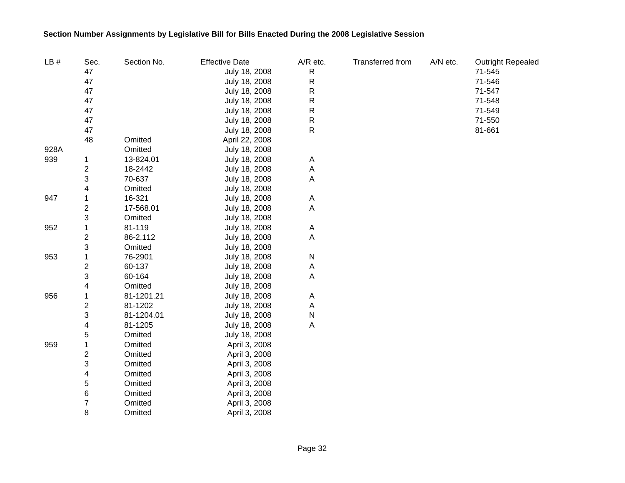| LB#  | Sec.             | Section No. | <b>Effective Date</b> | A/R etc.  | Transferred from | A/N etc. | <b>Outright Repealed</b> |
|------|------------------|-------------|-----------------------|-----------|------------------|----------|--------------------------|
|      | 47               |             | July 18, 2008         | ${\sf R}$ |                  |          | 71-545                   |
|      | 47               |             | July 18, 2008         | ${\sf R}$ |                  |          | 71-546                   |
|      | 47               |             | July 18, 2008         | R         |                  |          | 71-547                   |
|      | 47               |             | July 18, 2008         | R         |                  |          | 71-548                   |
|      | 47               |             | July 18, 2008         | R         |                  |          | 71-549                   |
|      | 47               |             | July 18, 2008         | R         |                  |          | 71-550                   |
|      | 47               |             | July 18, 2008         | R         |                  |          | 81-661                   |
|      | 48               | Omitted     | April 22, 2008        |           |                  |          |                          |
| 928A |                  | Omitted     | July 18, 2008         |           |                  |          |                          |
| 939  | 1                | 13-824.01   | July 18, 2008         | A         |                  |          |                          |
|      | $\boldsymbol{2}$ | 18-2442     | July 18, 2008         | Α         |                  |          |                          |
|      | 3                | 70-637      | July 18, 2008         | A         |                  |          |                          |
|      | 4                | Omitted     | July 18, 2008         |           |                  |          |                          |
| 947  | 1                | 16-321      | July 18, 2008         | Α         |                  |          |                          |
|      | $\boldsymbol{2}$ | 17-568.01   | July 18, 2008         | Α         |                  |          |                          |
|      | 3                | Omitted     | July 18, 2008         |           |                  |          |                          |
| 952  | 1                | 81-119      | July 18, 2008         | Α         |                  |          |                          |
|      | $\boldsymbol{2}$ | 86-2,112    | July 18, 2008         | Α         |                  |          |                          |
|      | 3                | Omitted     | July 18, 2008         |           |                  |          |                          |
| 953  | 1                | 76-2901     | July 18, 2008         | N         |                  |          |                          |
|      | 2                | 60-137      | July 18, 2008         | Α         |                  |          |                          |
|      | 3                | 60-164      | July 18, 2008         | Α         |                  |          |                          |
|      | 4                | Omitted     | July 18, 2008         |           |                  |          |                          |
| 956  | 1                | 81-1201.21  | July 18, 2008         | Α         |                  |          |                          |
|      | 2                | 81-1202     | July 18, 2008         | Α         |                  |          |                          |
|      | 3                | 81-1204.01  | July 18, 2008         | N         |                  |          |                          |
|      | 4                | 81-1205     | July 18, 2008         | A         |                  |          |                          |
|      | 5                | Omitted     | July 18, 2008         |           |                  |          |                          |
| 959  | 1                | Omitted     | April 3, 2008         |           |                  |          |                          |
|      | 2                | Omitted     | April 3, 2008         |           |                  |          |                          |
|      | 3                | Omitted     | April 3, 2008         |           |                  |          |                          |
|      | 4                | Omitted     | April 3, 2008         |           |                  |          |                          |
|      | 5                | Omitted     | April 3, 2008         |           |                  |          |                          |
|      | 6                | Omitted     | April 3, 2008         |           |                  |          |                          |
|      | 7                | Omitted     | April 3, 2008         |           |                  |          |                          |
|      | 8                | Omitted     | April 3, 2008         |           |                  |          |                          |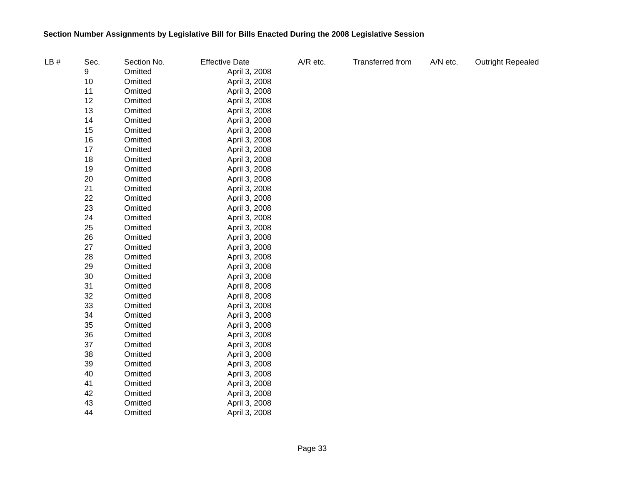| LB# | Sec. | Section No. | <b>Effective Date</b> | A/R etc. | Transferred from | A/N etc. | <b>Outright Repealed</b> |
|-----|------|-------------|-----------------------|----------|------------------|----------|--------------------------|
|     | 9    | Omitted     | April 3, 2008         |          |                  |          |                          |
|     | 10   | Omitted     | April 3, 2008         |          |                  |          |                          |
|     | 11   | Omitted     | April 3, 2008         |          |                  |          |                          |
|     | 12   | Omitted     | April 3, 2008         |          |                  |          |                          |
|     | 13   | Omitted     | April 3, 2008         |          |                  |          |                          |
|     | 14   | Omitted     | April 3, 2008         |          |                  |          |                          |
|     | 15   | Omitted     | April 3, 2008         |          |                  |          |                          |
|     | 16   | Omitted     | April 3, 2008         |          |                  |          |                          |
|     | 17   | Omitted     | April 3, 2008         |          |                  |          |                          |
|     | 18   | Omitted     | April 3, 2008         |          |                  |          |                          |
|     | 19   | Omitted     | April 3, 2008         |          |                  |          |                          |
|     | 20   | Omitted     | April 3, 2008         |          |                  |          |                          |
|     | 21   | Omitted     | April 3, 2008         |          |                  |          |                          |
|     | 22   | Omitted     | April 3, 2008         |          |                  |          |                          |
|     | 23   | Omitted     | April 3, 2008         |          |                  |          |                          |
|     | 24   | Omitted     | April 3, 2008         |          |                  |          |                          |
|     | 25   | Omitted     | April 3, 2008         |          |                  |          |                          |
|     | 26   | Omitted     | April 3, 2008         |          |                  |          |                          |
|     | 27   | Omitted     | April 3, 2008         |          |                  |          |                          |
|     | 28   | Omitted     | April 3, 2008         |          |                  |          |                          |
|     | 29   | Omitted     | April 3, 2008         |          |                  |          |                          |
|     | 30   | Omitted     | April 3, 2008         |          |                  |          |                          |
|     | 31   | Omitted     | April 8, 2008         |          |                  |          |                          |
|     | 32   | Omitted     | April 8, 2008         |          |                  |          |                          |
|     | 33   | Omitted     | April 3, 2008         |          |                  |          |                          |
|     | 34   | Omitted     | April 3, 2008         |          |                  |          |                          |
|     | 35   | Omitted     | April 3, 2008         |          |                  |          |                          |
|     | 36   | Omitted     | April 3, 2008         |          |                  |          |                          |
|     | 37   | Omitted     | April 3, 2008         |          |                  |          |                          |
|     | 38   | Omitted     | April 3, 2008         |          |                  |          |                          |
|     | 39   | Omitted     | April 3, 2008         |          |                  |          |                          |
|     | 40   | Omitted     | April 3, 2008         |          |                  |          |                          |
|     | 41   | Omitted     | April 3, 2008         |          |                  |          |                          |
|     | 42   | Omitted     | April 3, 2008         |          |                  |          |                          |
|     | 43   | Omitted     | April 3, 2008         |          |                  |          |                          |
|     | 44   | Omitted     | April 3, 2008         |          |                  |          |                          |
|     |      |             |                       |          |                  |          |                          |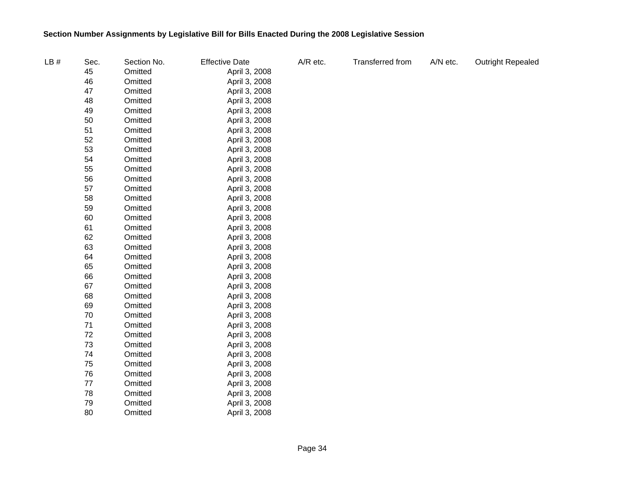| LB# | Sec. | Section No. | <b>Effective Date</b> | A/R etc. | Transferred from | A/N etc. | <b>Outright Repealed</b> |
|-----|------|-------------|-----------------------|----------|------------------|----------|--------------------------|
|     | 45   | Omitted     | April 3, 2008         |          |                  |          |                          |
|     | 46   | Omitted     | April 3, 2008         |          |                  |          |                          |
|     | 47   | Omitted     | April 3, 2008         |          |                  |          |                          |
|     | 48   | Omitted     | April 3, 2008         |          |                  |          |                          |
|     | 49   | Omitted     | April 3, 2008         |          |                  |          |                          |
|     | 50   | Omitted     | April 3, 2008         |          |                  |          |                          |
|     | 51   | Omitted     | April 3, 2008         |          |                  |          |                          |
|     | 52   | Omitted     | April 3, 2008         |          |                  |          |                          |
|     | 53   | Omitted     | April 3, 2008         |          |                  |          |                          |
|     | 54   | Omitted     | April 3, 2008         |          |                  |          |                          |
|     | 55   | Omitted     | April 3, 2008         |          |                  |          |                          |
|     | 56   | Omitted     | April 3, 2008         |          |                  |          |                          |
|     | 57   | Omitted     | April 3, 2008         |          |                  |          |                          |
|     | 58   | Omitted     | April 3, 2008         |          |                  |          |                          |
|     | 59   | Omitted     | April 3, 2008         |          |                  |          |                          |
|     | 60   | Omitted     | April 3, 2008         |          |                  |          |                          |
|     | 61   | Omitted     | April 3, 2008         |          |                  |          |                          |
|     | 62   | Omitted     | April 3, 2008         |          |                  |          |                          |
|     | 63   | Omitted     | April 3, 2008         |          |                  |          |                          |
|     | 64   | Omitted     | April 3, 2008         |          |                  |          |                          |
|     | 65   | Omitted     | April 3, 2008         |          |                  |          |                          |
|     | 66   | Omitted     | April 3, 2008         |          |                  |          |                          |
|     | 67   | Omitted     | April 3, 2008         |          |                  |          |                          |
|     | 68   | Omitted     | April 3, 2008         |          |                  |          |                          |
|     | 69   | Omitted     | April 3, 2008         |          |                  |          |                          |
|     | 70   | Omitted     | April 3, 2008         |          |                  |          |                          |
|     | 71   | Omitted     | April 3, 2008         |          |                  |          |                          |
|     | 72   | Omitted     | April 3, 2008         |          |                  |          |                          |
|     | 73   | Omitted     | April 3, 2008         |          |                  |          |                          |
|     | 74   | Omitted     | April 3, 2008         |          |                  |          |                          |
|     | 75   | Omitted     | April 3, 2008         |          |                  |          |                          |
|     | 76   | Omitted     | April 3, 2008         |          |                  |          |                          |
|     | 77   | Omitted     | April 3, 2008         |          |                  |          |                          |
|     | 78   | Omitted     | April 3, 2008         |          |                  |          |                          |
|     | 79   | Omitted     | April 3, 2008         |          |                  |          |                          |
|     | 80   | Omitted     | April 3, 2008         |          |                  |          |                          |
|     |      |             |                       |          |                  |          |                          |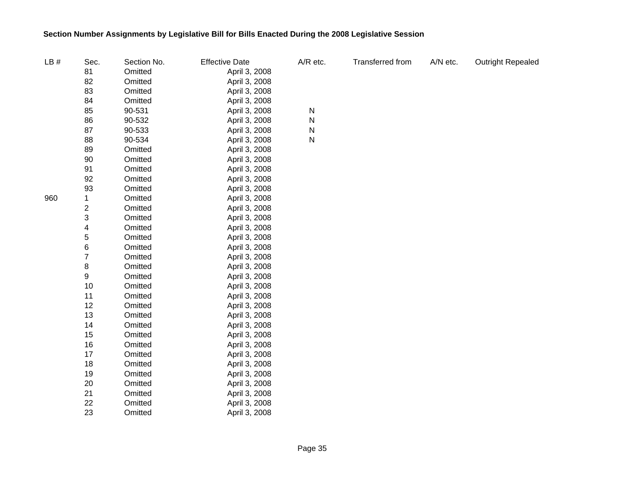| LB# | Sec.                    | Section No. | <b>Effective Date</b> | A/R etc. | Transferred from | A/N etc. | <b>Outright Repealed</b> |
|-----|-------------------------|-------------|-----------------------|----------|------------------|----------|--------------------------|
|     | 81                      | Omitted     | April 3, 2008         |          |                  |          |                          |
|     | 82                      | Omitted     | April 3, 2008         |          |                  |          |                          |
|     | 83                      | Omitted     | April 3, 2008         |          |                  |          |                          |
|     | 84                      | Omitted     | April 3, 2008         |          |                  |          |                          |
|     | 85                      | 90-531      | April 3, 2008         | N        |                  |          |                          |
|     | 86                      | 90-532      | April 3, 2008         | N        |                  |          |                          |
|     | 87                      | 90-533      | April 3, 2008         | N        |                  |          |                          |
|     | 88                      | 90-534      | April 3, 2008         | N        |                  |          |                          |
|     | 89                      | Omitted     | April 3, 2008         |          |                  |          |                          |
|     | 90                      | Omitted     | April 3, 2008         |          |                  |          |                          |
|     | 91                      | Omitted     | April 3, 2008         |          |                  |          |                          |
|     | 92                      | Omitted     | April 3, 2008         |          |                  |          |                          |
|     | 93                      | Omitted     | April 3, 2008         |          |                  |          |                          |
| 960 | 1                       | Omitted     | April 3, 2008         |          |                  |          |                          |
|     | $\overline{\mathbf{c}}$ | Omitted     | April 3, 2008         |          |                  |          |                          |
|     | 3                       | Omitted     | April 3, 2008         |          |                  |          |                          |
|     | 4                       | Omitted     | April 3, 2008         |          |                  |          |                          |
|     | 5                       | Omitted     | April 3, 2008         |          |                  |          |                          |
|     | 6                       | Omitted     | April 3, 2008         |          |                  |          |                          |
|     | 7                       | Omitted     | April 3, 2008         |          |                  |          |                          |
|     | 8                       | Omitted     | April 3, 2008         |          |                  |          |                          |
|     | 9                       | Omitted     | April 3, 2008         |          |                  |          |                          |
|     | 10                      | Omitted     | April 3, 2008         |          |                  |          |                          |
|     | 11                      | Omitted     | April 3, 2008         |          |                  |          |                          |
|     | 12                      | Omitted     | April 3, 2008         |          |                  |          |                          |
|     | 13                      | Omitted     | April 3, 2008         |          |                  |          |                          |
|     | 14                      | Omitted     | April 3, 2008         |          |                  |          |                          |
|     | 15                      | Omitted     | April 3, 2008         |          |                  |          |                          |
|     | 16                      | Omitted     | April 3, 2008         |          |                  |          |                          |
|     | 17                      | Omitted     | April 3, 2008         |          |                  |          |                          |
|     | 18                      | Omitted     | April 3, 2008         |          |                  |          |                          |
|     | 19                      | Omitted     | April 3, 2008         |          |                  |          |                          |
|     | 20                      | Omitted     | April 3, 2008         |          |                  |          |                          |
|     | 21                      | Omitted     | April 3, 2008         |          |                  |          |                          |
|     | 22                      | Omitted     | April 3, 2008         |          |                  |          |                          |
|     | 23                      | Omitted     | April 3, 2008         |          |                  |          |                          |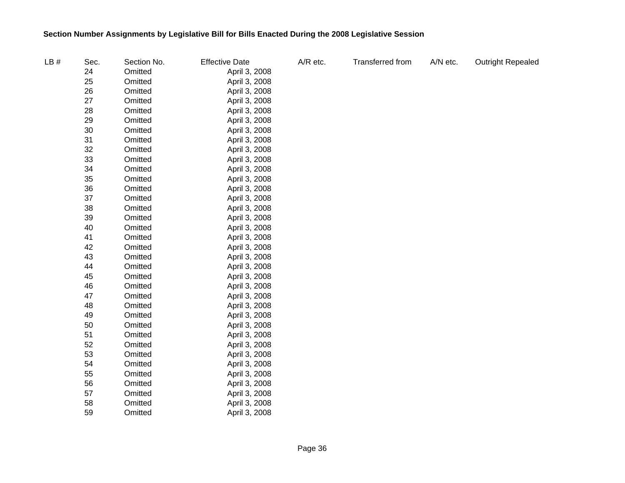| LB# | Sec. | Section No. | <b>Effective Date</b> | A/R etc. | Transferred from | A/N etc. | Outright Repealed |
|-----|------|-------------|-----------------------|----------|------------------|----------|-------------------|
|     | 24   | Omitted     | April 3, 2008         |          |                  |          |                   |
|     | 25   | Omitted     | April 3, 2008         |          |                  |          |                   |
|     | 26   | Omitted     | April 3, 2008         |          |                  |          |                   |
|     | 27   | Omitted     | April 3, 2008         |          |                  |          |                   |
|     | 28   | Omitted     | April 3, 2008         |          |                  |          |                   |
|     | 29   | Omitted     | April 3, 2008         |          |                  |          |                   |
|     | 30   | Omitted     | April 3, 2008         |          |                  |          |                   |
|     | 31   | Omitted     | April 3, 2008         |          |                  |          |                   |
|     | 32   | Omitted     | April 3, 2008         |          |                  |          |                   |
|     | 33   | Omitted     | April 3, 2008         |          |                  |          |                   |
|     | 34   | Omitted     | April 3, 2008         |          |                  |          |                   |
|     | 35   | Omitted     | April 3, 2008         |          |                  |          |                   |
|     | 36   | Omitted     | April 3, 2008         |          |                  |          |                   |
|     | 37   | Omitted     | April 3, 2008         |          |                  |          |                   |
|     | 38   | Omitted     | April 3, 2008         |          |                  |          |                   |
|     | 39   | Omitted     | April 3, 2008         |          |                  |          |                   |
|     | 40   | Omitted     | April 3, 2008         |          |                  |          |                   |
|     | 41   | Omitted     | April 3, 2008         |          |                  |          |                   |
|     | 42   | Omitted     | April 3, 2008         |          |                  |          |                   |
|     | 43   | Omitted     | April 3, 2008         |          |                  |          |                   |
|     | 44   | Omitted     | April 3, 2008         |          |                  |          |                   |
|     | 45   | Omitted     | April 3, 2008         |          |                  |          |                   |
|     | 46   | Omitted     | April 3, 2008         |          |                  |          |                   |
|     | 47   | Omitted     | April 3, 2008         |          |                  |          |                   |
|     | 48   | Omitted     | April 3, 2008         |          |                  |          |                   |
|     | 49   | Omitted     | April 3, 2008         |          |                  |          |                   |
|     | 50   | Omitted     | April 3, 2008         |          |                  |          |                   |
|     | 51   | Omitted     | April 3, 2008         |          |                  |          |                   |
|     | 52   | Omitted     | April 3, 2008         |          |                  |          |                   |
|     | 53   | Omitted     | April 3, 2008         |          |                  |          |                   |
|     | 54   | Omitted     | April 3, 2008         |          |                  |          |                   |
|     | 55   | Omitted     | April 3, 2008         |          |                  |          |                   |
|     | 56   | Omitted     | April 3, 2008         |          |                  |          |                   |
|     | 57   | Omitted     | April 3, 2008         |          |                  |          |                   |
|     | 58   | Omitted     | April 3, 2008         |          |                  |          |                   |
|     | 59   | Omitted     | April 3, 2008         |          |                  |          |                   |
|     |      |             |                       |          |                  |          |                   |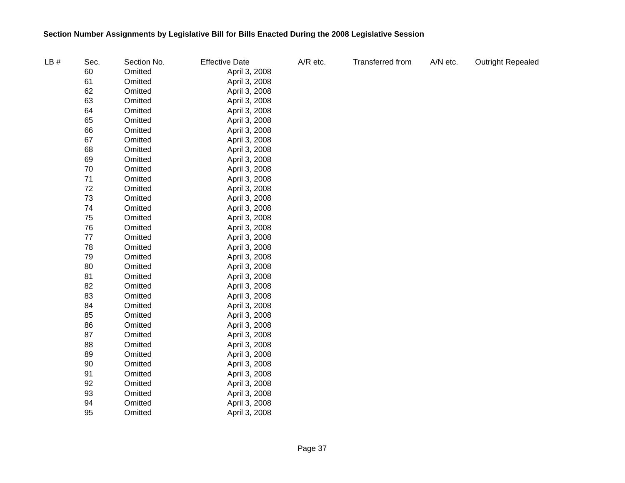| LB# | Sec. | Section No. | <b>Effective Date</b> | A/R etc. | Transferred from | A/N etc. | <b>Outright Repealed</b> |
|-----|------|-------------|-----------------------|----------|------------------|----------|--------------------------|
|     | 60   | Omitted     | April 3, 2008         |          |                  |          |                          |
|     | 61   | Omitted     | April 3, 2008         |          |                  |          |                          |
|     | 62   | Omitted     | April 3, 2008         |          |                  |          |                          |
|     | 63   | Omitted     | April 3, 2008         |          |                  |          |                          |
|     | 64   | Omitted     | April 3, 2008         |          |                  |          |                          |
|     | 65   | Omitted     | April 3, 2008         |          |                  |          |                          |
|     | 66   | Omitted     | April 3, 2008         |          |                  |          |                          |
|     | 67   | Omitted     | April 3, 2008         |          |                  |          |                          |
|     | 68   | Omitted     | April 3, 2008         |          |                  |          |                          |
|     | 69   | Omitted     | April 3, 2008         |          |                  |          |                          |
|     | 70   | Omitted     | April 3, 2008         |          |                  |          |                          |
|     | 71   | Omitted     | April 3, 2008         |          |                  |          |                          |
|     | 72   | Omitted     | April 3, 2008         |          |                  |          |                          |
|     | 73   | Omitted     | April 3, 2008         |          |                  |          |                          |
|     | 74   | Omitted     | April 3, 2008         |          |                  |          |                          |
|     | 75   | Omitted     | April 3, 2008         |          |                  |          |                          |
|     | 76   | Omitted     | April 3, 2008         |          |                  |          |                          |
|     | 77   | Omitted     | April 3, 2008         |          |                  |          |                          |
|     | 78   | Omitted     | April 3, 2008         |          |                  |          |                          |
|     | 79   | Omitted     | April 3, 2008         |          |                  |          |                          |
|     | 80   | Omitted     | April 3, 2008         |          |                  |          |                          |
|     | 81   | Omitted     | April 3, 2008         |          |                  |          |                          |
|     | 82   | Omitted     | April 3, 2008         |          |                  |          |                          |
|     | 83   | Omitted     | April 3, 2008         |          |                  |          |                          |
|     | 84   | Omitted     | April 3, 2008         |          |                  |          |                          |
|     | 85   | Omitted     | April 3, 2008         |          |                  |          |                          |
|     | 86   | Omitted     | April 3, 2008         |          |                  |          |                          |
|     | 87   | Omitted     | April 3, 2008         |          |                  |          |                          |
|     | 88   | Omitted     | April 3, 2008         |          |                  |          |                          |
|     | 89   | Omitted     | April 3, 2008         |          |                  |          |                          |
|     | 90   | Omitted     | April 3, 2008         |          |                  |          |                          |
|     | 91   | Omitted     | April 3, 2008         |          |                  |          |                          |
|     | 92   | Omitted     | April 3, 2008         |          |                  |          |                          |
|     | 93   | Omitted     | April 3, 2008         |          |                  |          |                          |
|     | 94   | Omitted     | April 3, 2008         |          |                  |          |                          |
|     | 95   | Omitted     | April 3, 2008         |          |                  |          |                          |
|     |      |             |                       |          |                  |          |                          |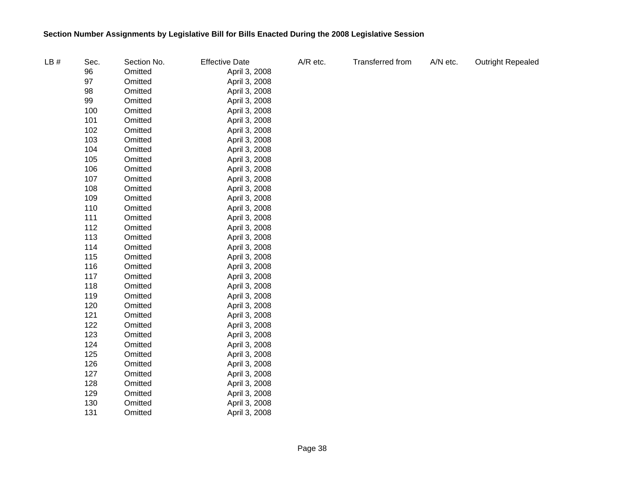| LB# | Sec. | Section No. | <b>Effective Date</b> | A/R etc. | Transferred from | A/N etc. | <b>Outright Repealed</b> |
|-----|------|-------------|-----------------------|----------|------------------|----------|--------------------------|
|     | 96   | Omitted     | April 3, 2008         |          |                  |          |                          |
|     | 97   | Omitted     | April 3, 2008         |          |                  |          |                          |
|     | 98   | Omitted     | April 3, 2008         |          |                  |          |                          |
|     | 99   | Omitted     | April 3, 2008         |          |                  |          |                          |
|     | 100  | Omitted     | April 3, 2008         |          |                  |          |                          |
|     | 101  | Omitted     | April 3, 2008         |          |                  |          |                          |
|     | 102  | Omitted     | April 3, 2008         |          |                  |          |                          |
|     | 103  | Omitted     | April 3, 2008         |          |                  |          |                          |
|     | 104  | Omitted     | April 3, 2008         |          |                  |          |                          |
|     | 105  | Omitted     | April 3, 2008         |          |                  |          |                          |
|     | 106  | Omitted     | April 3, 2008         |          |                  |          |                          |
|     | 107  | Omitted     | April 3, 2008         |          |                  |          |                          |
|     | 108  | Omitted     | April 3, 2008         |          |                  |          |                          |
|     | 109  | Omitted     | April 3, 2008         |          |                  |          |                          |
|     | 110  | Omitted     | April 3, 2008         |          |                  |          |                          |
|     | 111  | Omitted     | April 3, 2008         |          |                  |          |                          |
|     | 112  | Omitted     | April 3, 2008         |          |                  |          |                          |
|     | 113  | Omitted     | April 3, 2008         |          |                  |          |                          |
|     | 114  | Omitted     | April 3, 2008         |          |                  |          |                          |
|     | 115  | Omitted     | April 3, 2008         |          |                  |          |                          |
|     | 116  | Omitted     | April 3, 2008         |          |                  |          |                          |
|     | 117  | Omitted     | April 3, 2008         |          |                  |          |                          |
|     | 118  | Omitted     | April 3, 2008         |          |                  |          |                          |
|     | 119  | Omitted     | April 3, 2008         |          |                  |          |                          |
|     | 120  | Omitted     | April 3, 2008         |          |                  |          |                          |
|     | 121  | Omitted     | April 3, 2008         |          |                  |          |                          |
|     | 122  | Omitted     | April 3, 2008         |          |                  |          |                          |
|     | 123  | Omitted     | April 3, 2008         |          |                  |          |                          |
|     | 124  | Omitted     | April 3, 2008         |          |                  |          |                          |
|     | 125  | Omitted     | April 3, 2008         |          |                  |          |                          |
|     | 126  | Omitted     | April 3, 2008         |          |                  |          |                          |
|     | 127  | Omitted     | April 3, 2008         |          |                  |          |                          |
|     | 128  | Omitted     | April 3, 2008         |          |                  |          |                          |
|     | 129  | Omitted     | April 3, 2008         |          |                  |          |                          |
|     | 130  | Omitted     | April 3, 2008         |          |                  |          |                          |
|     | 131  | Omitted     | April 3, 2008         |          |                  |          |                          |
|     |      |             |                       |          |                  |          |                          |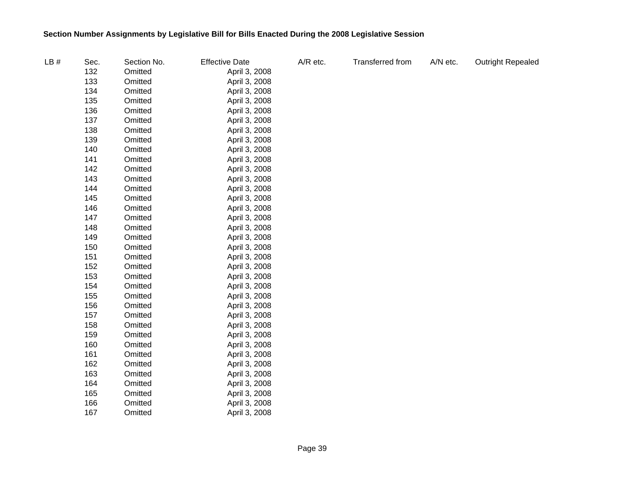| LB# | Sec. | Section No. | <b>Effective Date</b> | A/R etc. | Transferred from | A/N etc. | <b>Outright Repealed</b> |
|-----|------|-------------|-----------------------|----------|------------------|----------|--------------------------|
|     | 132  | Omitted     | April 3, 2008         |          |                  |          |                          |
|     | 133  | Omitted     | April 3, 2008         |          |                  |          |                          |
|     | 134  | Omitted     | April 3, 2008         |          |                  |          |                          |
|     | 135  | Omitted     | April 3, 2008         |          |                  |          |                          |
|     | 136  | Omitted     | April 3, 2008         |          |                  |          |                          |
|     | 137  | Omitted     | April 3, 2008         |          |                  |          |                          |
|     | 138  | Omitted     | April 3, 2008         |          |                  |          |                          |
|     | 139  | Omitted     | April 3, 2008         |          |                  |          |                          |
|     | 140  | Omitted     | April 3, 2008         |          |                  |          |                          |
|     | 141  | Omitted     | April 3, 2008         |          |                  |          |                          |
|     | 142  | Omitted     | April 3, 2008         |          |                  |          |                          |
|     | 143  | Omitted     | April 3, 2008         |          |                  |          |                          |
|     | 144  | Omitted     | April 3, 2008         |          |                  |          |                          |
|     | 145  | Omitted     | April 3, 2008         |          |                  |          |                          |
|     | 146  | Omitted     | April 3, 2008         |          |                  |          |                          |
|     | 147  | Omitted     | April 3, 2008         |          |                  |          |                          |
|     | 148  | Omitted     | April 3, 2008         |          |                  |          |                          |
|     | 149  | Omitted     | April 3, 2008         |          |                  |          |                          |
|     | 150  | Omitted     | April 3, 2008         |          |                  |          |                          |
|     | 151  | Omitted     | April 3, 2008         |          |                  |          |                          |
|     | 152  | Omitted     | April 3, 2008         |          |                  |          |                          |
|     | 153  | Omitted     | April 3, 2008         |          |                  |          |                          |
|     | 154  | Omitted     | April 3, 2008         |          |                  |          |                          |
|     | 155  | Omitted     | April 3, 2008         |          |                  |          |                          |
|     | 156  | Omitted     | April 3, 2008         |          |                  |          |                          |
|     | 157  | Omitted     | April 3, 2008         |          |                  |          |                          |
|     | 158  | Omitted     | April 3, 2008         |          |                  |          |                          |
|     | 159  | Omitted     | April 3, 2008         |          |                  |          |                          |
|     | 160  | Omitted     | April 3, 2008         |          |                  |          |                          |
|     | 161  | Omitted     | April 3, 2008         |          |                  |          |                          |
|     | 162  | Omitted     | April 3, 2008         |          |                  |          |                          |
|     | 163  | Omitted     | April 3, 2008         |          |                  |          |                          |
|     | 164  | Omitted     | April 3, 2008         |          |                  |          |                          |
|     | 165  | Omitted     | April 3, 2008         |          |                  |          |                          |
|     | 166  | Omitted     | April 3, 2008         |          |                  |          |                          |
|     | 167  | Omitted     | April 3, 2008         |          |                  |          |                          |
|     |      |             |                       |          |                  |          |                          |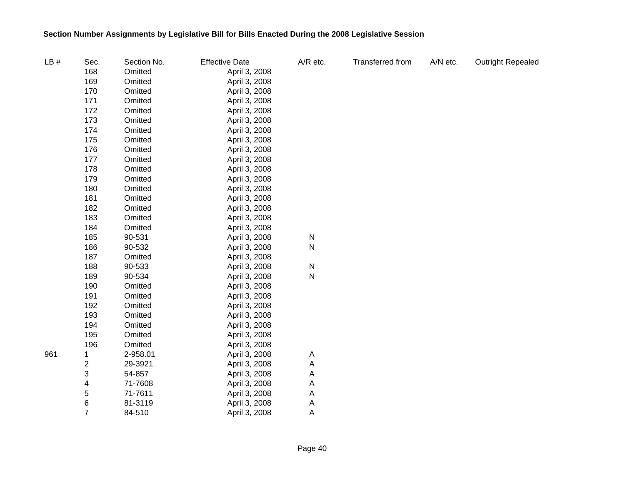| LB# | Sec.                    | Section No. | <b>Effective Date</b> | A/R etc.  | Transferred from | A/N etc. | <b>Outright Repealed</b> |
|-----|-------------------------|-------------|-----------------------|-----------|------------------|----------|--------------------------|
|     | 168                     | Omitted     | April 3, 2008         |           |                  |          |                          |
|     | 169                     | Omitted     | April 3, 2008         |           |                  |          |                          |
|     | 170                     | Omitted     | April 3, 2008         |           |                  |          |                          |
|     | 171                     | Omitted     | April 3, 2008         |           |                  |          |                          |
|     | 172                     | Omitted     | April 3, 2008         |           |                  |          |                          |
|     | 173                     | Omitted     | April 3, 2008         |           |                  |          |                          |
|     | 174                     | Omitted     | April 3, 2008         |           |                  |          |                          |
|     | 175                     | Omitted     | April 3, 2008         |           |                  |          |                          |
|     | 176                     | Omitted     | April 3, 2008         |           |                  |          |                          |
|     | 177                     | Omitted     | April 3, 2008         |           |                  |          |                          |
|     | 178                     | Omitted     | April 3, 2008         |           |                  |          |                          |
|     | 179                     | Omitted     | April 3, 2008         |           |                  |          |                          |
|     | 180                     | Omitted     | April 3, 2008         |           |                  |          |                          |
|     | 181                     | Omitted     | April 3, 2008         |           |                  |          |                          |
|     | 182                     | Omitted     | April 3, 2008         |           |                  |          |                          |
|     | 183                     | Omitted     | April 3, 2008         |           |                  |          |                          |
|     | 184                     | Omitted     | April 3, 2008         |           |                  |          |                          |
|     | 185                     | 90-531      | April 3, 2008         | N         |                  |          |                          |
|     | 186                     | 90-532      | April 3, 2008         | ${\sf N}$ |                  |          |                          |
|     | 187                     | Omitted     | April 3, 2008         |           |                  |          |                          |
|     | 188                     | 90-533      | April 3, 2008         | ${\sf N}$ |                  |          |                          |
|     | 189                     | 90-534      | April 3, 2008         | ${\sf N}$ |                  |          |                          |
|     | 190                     | Omitted     | April 3, 2008         |           |                  |          |                          |
|     | 191                     | Omitted     | April 3, 2008         |           |                  |          |                          |
|     | 192                     | Omitted     | April 3, 2008         |           |                  |          |                          |
|     | 193                     | Omitted     | April 3, 2008         |           |                  |          |                          |
|     | 194                     | Omitted     | April 3, 2008         |           |                  |          |                          |
|     | 195                     | Omitted     | April 3, 2008         |           |                  |          |                          |
|     | 196                     | Omitted     | April 3, 2008         |           |                  |          |                          |
| 961 | 1                       | 2-958.01    | April 3, 2008         | A         |                  |          |                          |
|     | $\overline{\mathbf{c}}$ | 29-3921     | April 3, 2008         | Α         |                  |          |                          |
|     | 3                       | 54-857      | April 3, 2008         | Α         |                  |          |                          |
|     | 4                       | 71-7608     | April 3, 2008         | A         |                  |          |                          |
|     | 5                       | 71-7611     | April 3, 2008         | A         |                  |          |                          |
|     | 6                       | 81-3119     | April 3, 2008         | A         |                  |          |                          |
|     | $\overline{7}$          | 84-510      | April 3, 2008         | A         |                  |          |                          |
|     |                         |             |                       |           |                  |          |                          |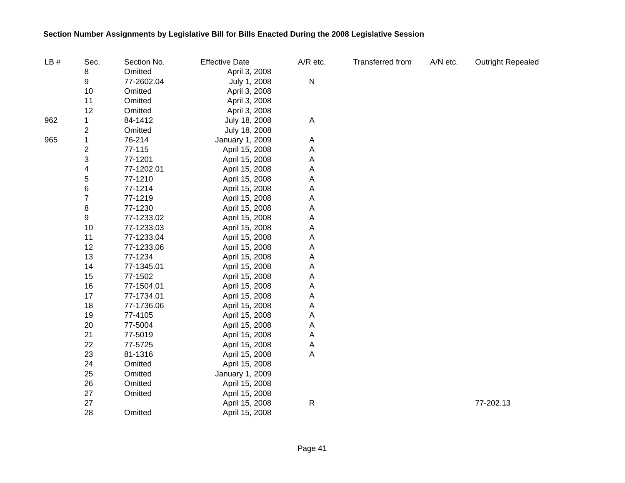| LB# | Sec.                    | Section No. | <b>Effective Date</b> | A/R etc.     | Transferred from | A/N etc. | Outright Repealed |
|-----|-------------------------|-------------|-----------------------|--------------|------------------|----------|-------------------|
|     | 8                       | Omitted     | April 3, 2008         |              |                  |          |                   |
|     | 9                       | 77-2602.04  | July 1, 2008          | ${\sf N}$    |                  |          |                   |
|     | 10                      | Omitted     | April 3, 2008         |              |                  |          |                   |
|     | 11                      | Omitted     | April 3, 2008         |              |                  |          |                   |
|     | 12                      | Omitted     | April 3, 2008         |              |                  |          |                   |
| 962 | 1                       | 84-1412     | July 18, 2008         | $\mathsf{A}$ |                  |          |                   |
|     | 2                       | Omitted     | July 18, 2008         |              |                  |          |                   |
| 965 | 1                       | 76-214      | January 1, 2009       | A            |                  |          |                   |
|     | $\overline{\mathbf{c}}$ | 77-115      | April 15, 2008        | Α            |                  |          |                   |
|     | 3                       | 77-1201     | April 15, 2008        | Α            |                  |          |                   |
|     | 4                       | 77-1202.01  | April 15, 2008        | Α            |                  |          |                   |
|     | 5                       | 77-1210     | April 15, 2008        | Α            |                  |          |                   |
|     | $\,$ 6 $\,$             | 77-1214     | April 15, 2008        | Α            |                  |          |                   |
|     | $\overline{7}$          | 77-1219     | April 15, 2008        | Α            |                  |          |                   |
|     | 8                       | 77-1230     | April 15, 2008        | Α            |                  |          |                   |
|     | 9                       | 77-1233.02  | April 15, 2008        | Α            |                  |          |                   |
|     | 10                      | 77-1233.03  | April 15, 2008        | Α            |                  |          |                   |
|     | 11                      | 77-1233.04  | April 15, 2008        | Α            |                  |          |                   |
|     | 12                      | 77-1233.06  | April 15, 2008        | Α            |                  |          |                   |
|     | 13                      | 77-1234     | April 15, 2008        | A            |                  |          |                   |
|     | 14                      | 77-1345.01  | April 15, 2008        | A            |                  |          |                   |
|     | 15                      | 77-1502     | April 15, 2008        | A            |                  |          |                   |
|     | 16                      | 77-1504.01  | April 15, 2008        | A            |                  |          |                   |
|     | 17                      | 77-1734.01  | April 15, 2008        | A            |                  |          |                   |
|     | 18                      | 77-1736.06  | April 15, 2008        | Α            |                  |          |                   |
|     | 19                      | 77-4105     | April 15, 2008        | Α            |                  |          |                   |
|     | 20                      | 77-5004     | April 15, 2008        | Α            |                  |          |                   |
|     | 21                      | 77-5019     | April 15, 2008        | Α            |                  |          |                   |
|     | 22                      | 77-5725     | April 15, 2008        | A            |                  |          |                   |
|     | 23                      | 81-1316     | April 15, 2008        | A            |                  |          |                   |
|     | 24                      | Omitted     | April 15, 2008        |              |                  |          |                   |
|     | 25                      | Omitted     | January 1, 2009       |              |                  |          |                   |
|     | 26                      | Omitted     | April 15, 2008        |              |                  |          |                   |
|     | 27                      | Omitted     | April 15, 2008        |              |                  |          |                   |
|     | 27                      |             | April 15, 2008        | $\mathsf{R}$ |                  |          | 77-202.13         |
|     | 28                      | Omitted     | April 15, 2008        |              |                  |          |                   |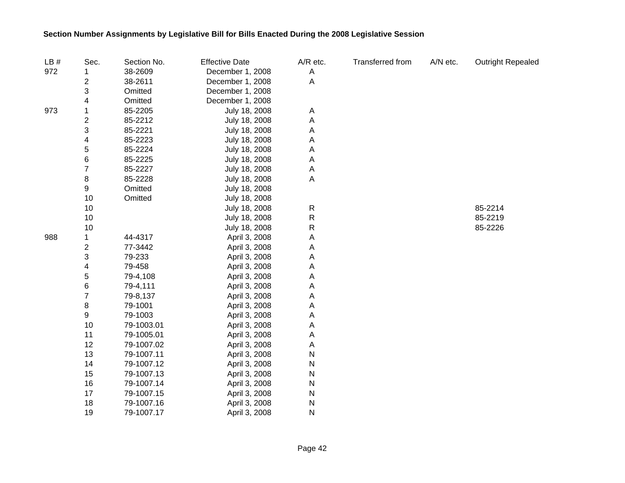| LB# | Sec.                    | Section No. | <b>Effective Date</b> | A/R etc.     | <b>Transferred from</b> | A/N etc. | <b>Outright Repealed</b> |
|-----|-------------------------|-------------|-----------------------|--------------|-------------------------|----------|--------------------------|
| 972 |                         | 38-2609     | December 1, 2008      | A            |                         |          |                          |
|     | 2                       | 38-2611     | December 1, 2008      | A            |                         |          |                          |
|     | 3                       | Omitted     | December 1, 2008      |              |                         |          |                          |
|     | 4                       | Omitted     | December 1, 2008      |              |                         |          |                          |
| 973 | 1                       | 85-2205     | July 18, 2008         | A            |                         |          |                          |
|     | $\overline{\mathbf{c}}$ | 85-2212     | July 18, 2008         | Α            |                         |          |                          |
|     | 3                       | 85-2221     | July 18, 2008         | Α            |                         |          |                          |
|     | 4                       | 85-2223     | July 18, 2008         | Α            |                         |          |                          |
|     | 5                       | 85-2224     | July 18, 2008         | Α            |                         |          |                          |
|     | 6                       | 85-2225     | July 18, 2008         | Α            |                         |          |                          |
|     | $\overline{7}$          | 85-2227     | July 18, 2008         | A            |                         |          |                          |
|     | 8                       | 85-2228     | July 18, 2008         | Α            |                         |          |                          |
|     | 9                       | Omitted     | July 18, 2008         |              |                         |          |                          |
|     | 10                      | Omitted     | July 18, 2008         |              |                         |          |                          |
|     | 10                      |             | July 18, 2008         | $\mathsf{R}$ |                         |          | 85-2214                  |
|     | 10                      |             | July 18, 2008         | R            |                         |          | 85-2219                  |
|     | 10                      |             | July 18, 2008         | R            |                         |          | 85-2226                  |
| 988 | 1                       | 44-4317     | April 3, 2008         | Α            |                         |          |                          |
|     | $\mathbf 2$             | 77-3442     | April 3, 2008         | Α            |                         |          |                          |
|     | 3                       | 79-233      | April 3, 2008         | Α            |                         |          |                          |
|     | 4                       | 79-458      | April 3, 2008         | Α            |                         |          |                          |
|     | 5                       | 79-4,108    | April 3, 2008         | Α            |                         |          |                          |
|     | 6                       | 79-4,111    | April 3, 2008         | Α            |                         |          |                          |
|     | $\overline{7}$          | 79-8,137    | April 3, 2008         | Α            |                         |          |                          |
|     | 8                       | 79-1001     | April 3, 2008         | Α            |                         |          |                          |
|     | 9                       | 79-1003     | April 3, 2008         | A            |                         |          |                          |
|     | 10                      | 79-1003.01  | April 3, 2008         | A            |                         |          |                          |
|     | 11                      | 79-1005.01  | April 3, 2008         | A            |                         |          |                          |
|     | 12                      | 79-1007.02  | April 3, 2008         | Α            |                         |          |                          |
|     | 13                      | 79-1007.11  | April 3, 2008         | N            |                         |          |                          |
|     | 14                      | 79-1007.12  | April 3, 2008         | N            |                         |          |                          |
|     | 15                      | 79-1007.13  | April 3, 2008         | ${\sf N}$    |                         |          |                          |
|     | 16                      | 79-1007.14  | April 3, 2008         | N            |                         |          |                          |
|     | 17                      | 79-1007.15  | April 3, 2008         | N            |                         |          |                          |
|     | 18                      | 79-1007.16  | April 3, 2008         | ${\sf N}$    |                         |          |                          |
|     | 19                      | 79-1007.17  | April 3, 2008         | $\mathsf{N}$ |                         |          |                          |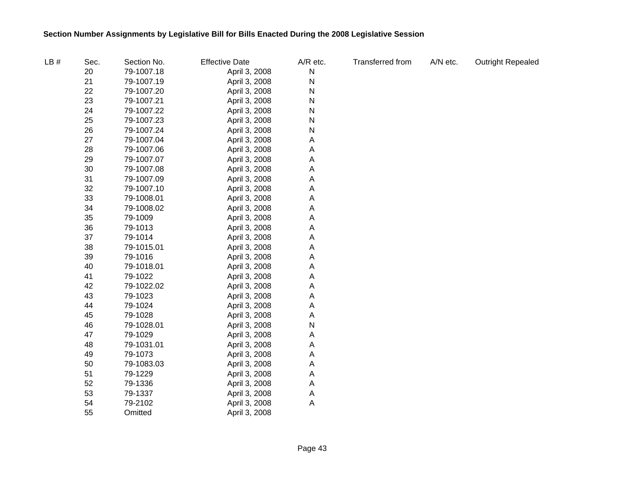| LB# | Sec. | Section No. | <b>Effective Date</b> | A/R etc. | <b>Transferred from</b> | A/N etc. | <b>Outright Repealed</b> |
|-----|------|-------------|-----------------------|----------|-------------------------|----------|--------------------------|
|     | 20   | 79-1007.18  | April 3, 2008         | N        |                         |          |                          |
|     | 21   | 79-1007.19  | April 3, 2008         | N        |                         |          |                          |
|     | 22   | 79-1007.20  | April 3, 2008         | N        |                         |          |                          |
|     | 23   | 79-1007.21  | April 3, 2008         | Ν        |                         |          |                          |
|     | 24   | 79-1007.22  | April 3, 2008         | Ν        |                         |          |                          |
|     | 25   | 79-1007.23  | April 3, 2008         | N        |                         |          |                          |
|     | 26   | 79-1007.24  | April 3, 2008         | N        |                         |          |                          |
|     | 27   | 79-1007.04  | April 3, 2008         | Α        |                         |          |                          |
|     | 28   | 79-1007.06  | April 3, 2008         | Α        |                         |          |                          |
|     | 29   | 79-1007.07  | April 3, 2008         | Α        |                         |          |                          |
|     | 30   | 79-1007.08  | April 3, 2008         | Α        |                         |          |                          |
|     | 31   | 79-1007.09  | April 3, 2008         | Α        |                         |          |                          |
|     | 32   | 79-1007.10  | April 3, 2008         | Α        |                         |          |                          |
|     | 33   | 79-1008.01  | April 3, 2008         | Α        |                         |          |                          |
|     | 34   | 79-1008.02  | April 3, 2008         | Α        |                         |          |                          |
|     | 35   | 79-1009     | April 3, 2008         | Α        |                         |          |                          |
|     | 36   | 79-1013     | April 3, 2008         | Α        |                         |          |                          |
|     | 37   | 79-1014     | April 3, 2008         | Α        |                         |          |                          |
|     | 38   | 79-1015.01  | April 3, 2008         | Α        |                         |          |                          |
|     | 39   | 79-1016     | April 3, 2008         | Α        |                         |          |                          |
|     | 40   | 79-1018.01  | April 3, 2008         | Α        |                         |          |                          |
|     | 41   | 79-1022     | April 3, 2008         | Α        |                         |          |                          |
|     | 42   | 79-1022.02  | April 3, 2008         | Α        |                         |          |                          |
|     | 43   | 79-1023     | April 3, 2008         | Α        |                         |          |                          |
|     | 44   | 79-1024     | April 3, 2008         | Α        |                         |          |                          |
|     | 45   | 79-1028     | April 3, 2008         | Α        |                         |          |                          |
|     | 46   | 79-1028.01  | April 3, 2008         | N        |                         |          |                          |
|     | 47   | 79-1029     | April 3, 2008         | Α        |                         |          |                          |
|     | 48   | 79-1031.01  | April 3, 2008         | Α        |                         |          |                          |
|     | 49   | 79-1073     | April 3, 2008         | Α        |                         |          |                          |
|     | 50   | 79-1083.03  | April 3, 2008         | Α        |                         |          |                          |
|     | 51   | 79-1229     | April 3, 2008         | Α        |                         |          |                          |
|     | 52   | 79-1336     | April 3, 2008         | Α        |                         |          |                          |
|     | 53   | 79-1337     | April 3, 2008         | A        |                         |          |                          |
|     | 54   | 79-2102     | April 3, 2008         | Α        |                         |          |                          |
|     | 55   | Omitted     | April 3, 2008         |          |                         |          |                          |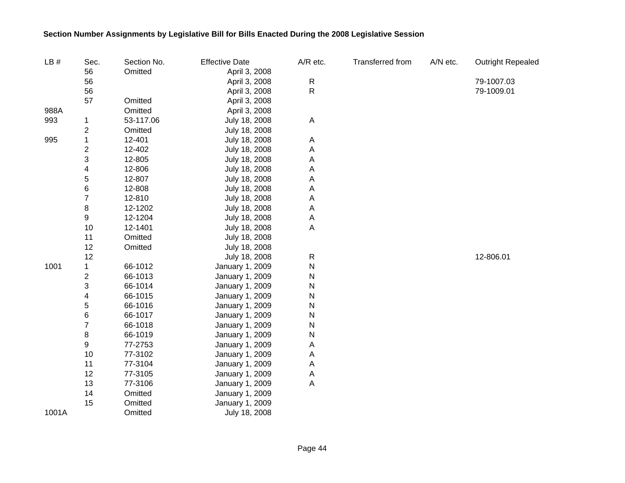| LB#   | Sec.                    | Section No. | <b>Effective Date</b> | A/R etc.                  | Transferred from | A/N etc. | <b>Outright Repealed</b> |
|-------|-------------------------|-------------|-----------------------|---------------------------|------------------|----------|--------------------------|
|       | 56                      | Omitted     | April 3, 2008         |                           |                  |          |                          |
|       | 56                      |             | April 3, 2008         | R                         |                  |          | 79-1007.03               |
|       | 56                      |             | April 3, 2008         | ${\sf R}$                 |                  |          | 79-1009.01               |
|       | 57                      | Omitted     | April 3, 2008         |                           |                  |          |                          |
| 988A  |                         | Omitted     | April 3, 2008         |                           |                  |          |                          |
| 993   | 1                       | 53-117.06   | July 18, 2008         | $\mathsf{A}$              |                  |          |                          |
|       | $\overline{c}$          | Omitted     | July 18, 2008         |                           |                  |          |                          |
| 995   | 1                       | 12-401      | July 18, 2008         | A                         |                  |          |                          |
|       | $\overline{\mathbf{c}}$ | 12-402      | July 18, 2008         | A                         |                  |          |                          |
|       | 3                       | 12-805      | July 18, 2008         | $\boldsymbol{\mathsf{A}}$ |                  |          |                          |
|       | 4                       | 12-806      | July 18, 2008         | A                         |                  |          |                          |
|       | 5                       | 12-807      | July 18, 2008         | A                         |                  |          |                          |
|       | 6                       | 12-808      | July 18, 2008         | A                         |                  |          |                          |
|       | 7                       | 12-810      | July 18, 2008         | $\overline{A}$            |                  |          |                          |
|       | 8                       | 12-1202     | July 18, 2008         | $\overline{A}$            |                  |          |                          |
|       | 9                       | 12-1204     | July 18, 2008         | A                         |                  |          |                          |
|       | 10                      | 12-1401     | July 18, 2008         | $\mathsf{A}$              |                  |          |                          |
|       | 11                      | Omitted     | July 18, 2008         |                           |                  |          |                          |
|       | 12                      | Omitted     | July 18, 2008         |                           |                  |          |                          |
|       | 12                      |             | July 18, 2008         | $\mathsf{R}$              |                  |          | 12-806.01                |
| 1001  | 1                       | 66-1012     | January 1, 2009       | N                         |                  |          |                          |
|       | 2                       | 66-1013     | January 1, 2009       | N                         |                  |          |                          |
|       | 3                       | 66-1014     | January 1, 2009       | N                         |                  |          |                          |
|       | 4                       | 66-1015     | January 1, 2009       | N                         |                  |          |                          |
|       | 5                       | 66-1016     | January 1, 2009       | N                         |                  |          |                          |
|       | 6                       | 66-1017     | January 1, 2009       | N                         |                  |          |                          |
|       | $\overline{7}$          | 66-1018     | January 1, 2009       | N                         |                  |          |                          |
|       | 8                       | 66-1019     | January 1, 2009       | N                         |                  |          |                          |
|       | 9                       | 77-2753     | January 1, 2009       | Α                         |                  |          |                          |
|       | 10                      | 77-3102     | January 1, 2009       | Α                         |                  |          |                          |
|       | 11                      | 77-3104     | January 1, 2009       | A                         |                  |          |                          |
|       | 12                      | 77-3105     | January 1, 2009       | A                         |                  |          |                          |
|       | 13                      | 77-3106     | January 1, 2009       | A                         |                  |          |                          |
|       | 14                      | Omitted     | January 1, 2009       |                           |                  |          |                          |
|       | 15                      | Omitted     | January 1, 2009       |                           |                  |          |                          |
| 1001A |                         | Omitted     | July 18, 2008         |                           |                  |          |                          |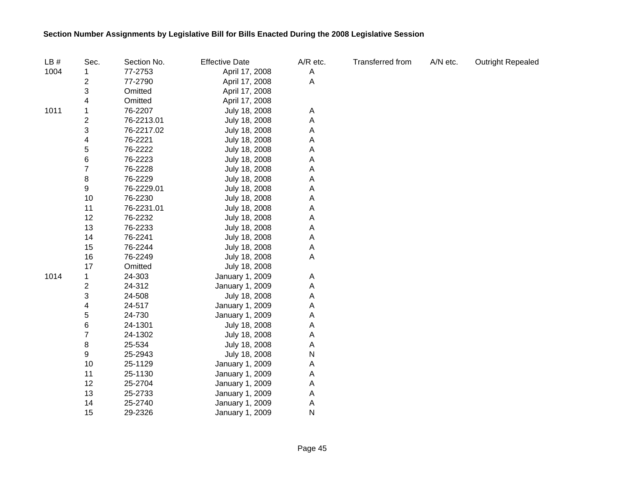| LB#  | Sec.           | Section No. | <b>Effective Date</b> | A/R etc. | <b>Transferred from</b> | A/N etc. | <b>Outright Repealed</b> |
|------|----------------|-------------|-----------------------|----------|-------------------------|----------|--------------------------|
| 1004 | 1              | 77-2753     | April 17, 2008        | A        |                         |          |                          |
|      | 2              | 77-2790     | April 17, 2008        | Α        |                         |          |                          |
|      | 3              | Omitted     | April 17, 2008        |          |                         |          |                          |
|      | 4              | Omitted     | April 17, 2008        |          |                         |          |                          |
| 1011 | 1              | 76-2207     | July 18, 2008         | Α        |                         |          |                          |
|      | 2              | 76-2213.01  | July 18, 2008         | Α        |                         |          |                          |
|      | 3              | 76-2217.02  | July 18, 2008         | Α        |                         |          |                          |
|      | 4              | 76-2221     | July 18, 2008         | Α        |                         |          |                          |
|      | 5              | 76-2222     | July 18, 2008         | Α        |                         |          |                          |
|      | 6              | 76-2223     | July 18, 2008         | Α        |                         |          |                          |
|      | $\overline{7}$ | 76-2228     | July 18, 2008         | Α        |                         |          |                          |
|      | 8              | 76-2229     | July 18, 2008         | Α        |                         |          |                          |
|      | 9              | 76-2229.01  | July 18, 2008         | Α        |                         |          |                          |
|      | 10             | 76-2230     | July 18, 2008         | Α        |                         |          |                          |
|      | 11             | 76-2231.01  | July 18, 2008         | Α        |                         |          |                          |
|      | 12             | 76-2232     | July 18, 2008         | Α        |                         |          |                          |
|      | 13             | 76-2233     | July 18, 2008         | Α        |                         |          |                          |
|      | 14             | 76-2241     | July 18, 2008         | Α        |                         |          |                          |
|      | 15             | 76-2244     | July 18, 2008         | Α        |                         |          |                          |
|      | 16             | 76-2249     | July 18, 2008         | Α        |                         |          |                          |
|      | 17             | Omitted     | July 18, 2008         |          |                         |          |                          |
| 1014 | 1              | 24-303      | January 1, 2009       | Α        |                         |          |                          |
|      | 2              | 24-312      | January 1, 2009       | Α        |                         |          |                          |
|      | 3              | 24-508      | July 18, 2008         | Α        |                         |          |                          |
|      | 4              | 24-517      | January 1, 2009       | Α        |                         |          |                          |
|      | 5              | 24-730      | January 1, 2009       | Α        |                         |          |                          |
|      | 6              | 24-1301     | July 18, 2008         | Α        |                         |          |                          |
|      | $\overline{7}$ | 24-1302     | July 18, 2008         | Α        |                         |          |                          |
|      | 8              | 25-534      | July 18, 2008         | Α        |                         |          |                          |
|      | 9              | 25-2943     | July 18, 2008         | N        |                         |          |                          |
|      | 10             | 25-1129     | January 1, 2009       | Α        |                         |          |                          |
|      | 11             | 25-1130     | January 1, 2009       | Α        |                         |          |                          |
|      | 12             | 25-2704     | January 1, 2009       | Α        |                         |          |                          |
|      | 13             | 25-2733     | January 1, 2009       | A        |                         |          |                          |
|      | 14             | 25-2740     | January 1, 2009       | A        |                         |          |                          |
|      | 15             | 29-2326     | January 1, 2009       | N        |                         |          |                          |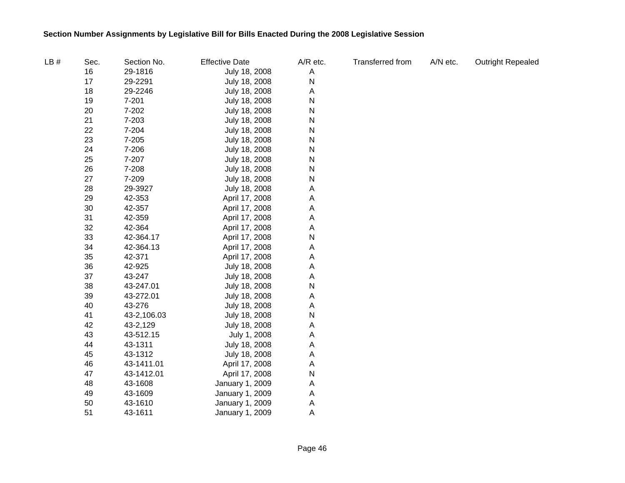| LB# | Sec. | Section No. | <b>Effective Date</b> | A/R etc.  | <b>Transferred from</b> | A/N etc. | <b>Outright Repealed</b> |
|-----|------|-------------|-----------------------|-----------|-------------------------|----------|--------------------------|
|     | 16   | 29-1816     | July 18, 2008         | Α         |                         |          |                          |
|     | 17   | 29-2291     | July 18, 2008         | ${\sf N}$ |                         |          |                          |
|     | 18   | 29-2246     | July 18, 2008         | Α         |                         |          |                          |
|     | 19   | $7 - 201$   | July 18, 2008         | N         |                         |          |                          |
|     | 20   | 7-202       | July 18, 2008         | N         |                         |          |                          |
|     | 21   | 7-203       | July 18, 2008         | ${\sf N}$ |                         |          |                          |
|     | 22   | 7-204       | July 18, 2008         | ${\sf N}$ |                         |          |                          |
|     | 23   | $7 - 205$   | July 18, 2008         | N         |                         |          |                          |
|     | 24   | 7-206       | July 18, 2008         | ${\sf N}$ |                         |          |                          |
|     | 25   | 7-207       | July 18, 2008         | ${\sf N}$ |                         |          |                          |
|     | 26   | 7-208       | July 18, 2008         | N         |                         |          |                          |
|     | 27   | 7-209       | July 18, 2008         | N         |                         |          |                          |
|     | 28   | 29-3927     | July 18, 2008         | A         |                         |          |                          |
|     | 29   | 42-353      | April 17, 2008        | Α         |                         |          |                          |
|     | 30   | 42-357      | April 17, 2008        | Α         |                         |          |                          |
|     | 31   | 42-359      | April 17, 2008        | Α         |                         |          |                          |
|     | 32   | 42-364      | April 17, 2008        | A         |                         |          |                          |
|     | 33   | 42-364.17   | April 17, 2008        | N         |                         |          |                          |
|     | 34   | 42-364.13   | April 17, 2008        | A         |                         |          |                          |
|     | 35   | 42-371      | April 17, 2008        | A         |                         |          |                          |
|     | 36   | 42-925      | July 18, 2008         | A         |                         |          |                          |
|     | 37   | 43-247      | July 18, 2008         | A         |                         |          |                          |
|     | 38   | 43-247.01   | July 18, 2008         | N         |                         |          |                          |
|     | 39   | 43-272.01   | July 18, 2008         | Α         |                         |          |                          |
|     | 40   | 43-276      | July 18, 2008         | A         |                         |          |                          |
|     | 41   | 43-2,106.03 | July 18, 2008         | N         |                         |          |                          |
|     | 42   | 43-2,129    | July 18, 2008         | Α         |                         |          |                          |
|     | 43   | 43-512.15   | July 1, 2008          | A         |                         |          |                          |
|     | 44   | 43-1311     | July 18, 2008         | Α         |                         |          |                          |
|     | 45   | 43-1312     | July 18, 2008         | Α         |                         |          |                          |
|     | 46   | 43-1411.01  | April 17, 2008        | A         |                         |          |                          |
|     | 47   | 43-1412.01  | April 17, 2008        | ${\sf N}$ |                         |          |                          |
|     | 48   | 43-1608     | January 1, 2009       | Α         |                         |          |                          |
|     | 49   | 43-1609     | January 1, 2009       | Α         |                         |          |                          |
|     | 50   | 43-1610     | January 1, 2009       | A         |                         |          |                          |
|     | 51   | 43-1611     | January 1, 2009       | A         |                         |          |                          |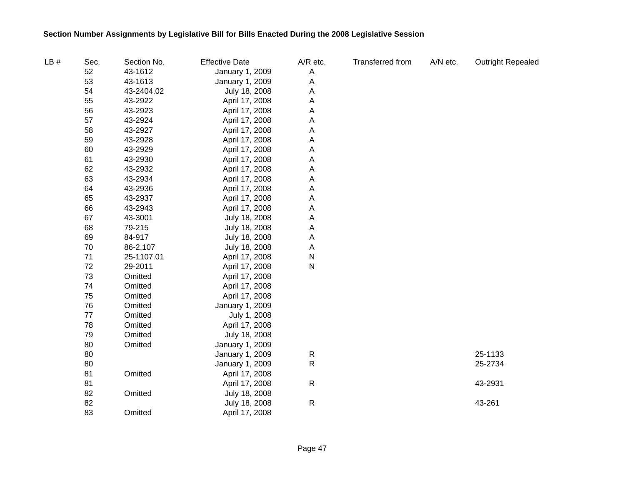| LB# | Sec. | Section No. | <b>Effective Date</b> | A/R etc.  | Transferred from | A/N etc. | <b>Outright Repealed</b> |
|-----|------|-------------|-----------------------|-----------|------------------|----------|--------------------------|
|     | 52   | 43-1612     | January 1, 2009       | A         |                  |          |                          |
|     | 53   | 43-1613     | January 1, 2009       | Α         |                  |          |                          |
|     | 54   | 43-2404.02  | July 18, 2008         | Α         |                  |          |                          |
|     | 55   | 43-2922     | April 17, 2008        | Α         |                  |          |                          |
|     | 56   | 43-2923     | April 17, 2008        | Α         |                  |          |                          |
|     | 57   | 43-2924     | April 17, 2008        | Α         |                  |          |                          |
|     | 58   | 43-2927     | April 17, 2008        | А         |                  |          |                          |
|     | 59   | 43-2928     | April 17, 2008        | Α         |                  |          |                          |
|     | 60   | 43-2929     | April 17, 2008        | Α         |                  |          |                          |
|     | 61   | 43-2930     | April 17, 2008        | Α         |                  |          |                          |
|     | 62   | 43-2932     | April 17, 2008        | Α         |                  |          |                          |
|     | 63   | 43-2934     | April 17, 2008        | Α         |                  |          |                          |
|     | 64   | 43-2936     | April 17, 2008        | А         |                  |          |                          |
|     | 65   | 43-2937     | April 17, 2008        | Α         |                  |          |                          |
|     | 66   | 43-2943     | April 17, 2008        | А         |                  |          |                          |
|     | 67   | 43-3001     | July 18, 2008         | A         |                  |          |                          |
|     | 68   | 79-215      | July 18, 2008         | Α         |                  |          |                          |
|     | 69   | 84-917      | July 18, 2008         | Α         |                  |          |                          |
|     | 70   | 86-2,107    | July 18, 2008         | Α         |                  |          |                          |
|     | 71   | 25-1107.01  | April 17, 2008        | ${\sf N}$ |                  |          |                          |
|     | 72   | 29-2011     | April 17, 2008        | ${\sf N}$ |                  |          |                          |
|     | 73   | Omitted     | April 17, 2008        |           |                  |          |                          |
|     | 74   | Omitted     | April 17, 2008        |           |                  |          |                          |
|     | 75   | Omitted     | April 17, 2008        |           |                  |          |                          |
|     | 76   | Omitted     | January 1, 2009       |           |                  |          |                          |
|     | 77   | Omitted     | July 1, 2008          |           |                  |          |                          |
|     | 78   | Omitted     | April 17, 2008        |           |                  |          |                          |
|     | 79   | Omitted     | July 18, 2008         |           |                  |          |                          |
|     | 80   | Omitted     | January 1, 2009       |           |                  |          |                          |
|     | 80   |             | January 1, 2009       | R         |                  |          | 25-1133                  |
|     | 80   |             | January 1, 2009       | ${\sf R}$ |                  |          | 25-2734                  |
|     | 81   | Omitted     | April 17, 2008        |           |                  |          |                          |
|     | 81   |             | April 17, 2008        | ${\sf R}$ |                  |          | 43-2931                  |
|     | 82   | Omitted     | July 18, 2008         |           |                  |          |                          |
|     | 82   |             | July 18, 2008         | ${\sf R}$ |                  |          | 43-261                   |
|     | 83   | Omitted     | April 17, 2008        |           |                  |          |                          |
|     |      |             |                       |           |                  |          |                          |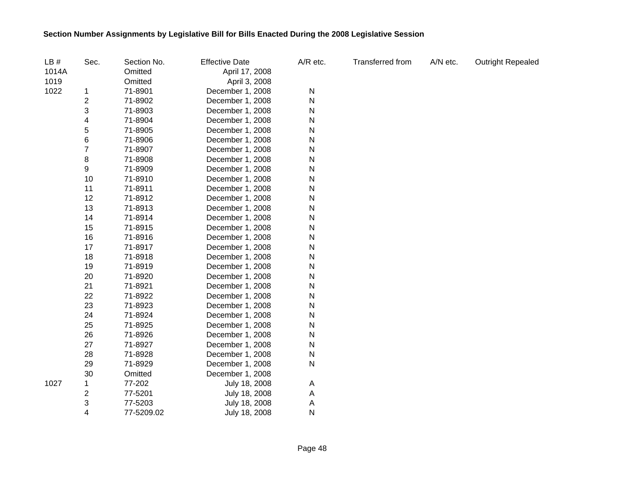| LB#   | Sec.                    | Section No. | <b>Effective Date</b> | A/R etc. | <b>Transferred from</b> | A/N etc. | <b>Outright Repealed</b> |
|-------|-------------------------|-------------|-----------------------|----------|-------------------------|----------|--------------------------|
| 1014A |                         | Omitted     | April 17, 2008        |          |                         |          |                          |
| 1019  |                         | Omitted     | April 3, 2008         |          |                         |          |                          |
| 1022  | 1                       | 71-8901     | December 1, 2008      | N        |                         |          |                          |
|       | $\overline{\mathbf{c}}$ | 71-8902     | December 1, 2008      | N        |                         |          |                          |
|       | 3                       | 71-8903     | December 1, 2008      | Ν        |                         |          |                          |
|       | 4                       | 71-8904     | December 1, 2008      | Ν        |                         |          |                          |
|       | 5                       | 71-8905     | December 1, 2008      | Ν        |                         |          |                          |
|       | $\,6$                   | 71-8906     | December 1, 2008      | N        |                         |          |                          |
|       | $\overline{7}$          | 71-8907     | December 1, 2008      | N        |                         |          |                          |
|       | 8                       | 71-8908     | December 1, 2008      | N        |                         |          |                          |
|       | 9                       | 71-8909     | December 1, 2008      | Ν        |                         |          |                          |
|       | 10                      | 71-8910     | December 1, 2008      | N        |                         |          |                          |
|       | 11                      | 71-8911     | December 1, 2008      | N        |                         |          |                          |
|       | 12                      | 71-8912     | December 1, 2008      | N        |                         |          |                          |
|       | 13                      | 71-8913     | December 1, 2008      | Ν        |                         |          |                          |
|       | 14                      | 71-8914     | December 1, 2008      | Ν        |                         |          |                          |
|       | 15                      | 71-8915     | December 1, 2008      | N        |                         |          |                          |
|       | 16                      | 71-8916     | December 1, 2008      | N        |                         |          |                          |
|       | 17                      | 71-8917     | December 1, 2008      | N        |                         |          |                          |
|       | 18                      | 71-8918     | December 1, 2008      | N        |                         |          |                          |
|       | 19                      | 71-8919     | December 1, 2008      | N        |                         |          |                          |
|       | 20                      | 71-8920     | December 1, 2008      | N        |                         |          |                          |
|       | 21                      | 71-8921     | December 1, 2008      | N        |                         |          |                          |
|       | 22                      | 71-8922     | December 1, 2008      | N        |                         |          |                          |
|       | 23                      | 71-8923     | December 1, 2008      | N        |                         |          |                          |
|       | 24                      | 71-8924     | December 1, 2008      | N        |                         |          |                          |
|       | 25                      | 71-8925     | December 1, 2008      | N        |                         |          |                          |
|       | 26                      | 71-8926     | December 1, 2008      | N        |                         |          |                          |
|       | 27                      | 71-8927     | December 1, 2008      | N        |                         |          |                          |
|       | 28                      | 71-8928     | December 1, 2008      | N        |                         |          |                          |
|       | 29                      | 71-8929     | December 1, 2008      | N        |                         |          |                          |
|       | 30                      | Omitted     | December 1, 2008      |          |                         |          |                          |
| 1027  | 1                       | 77-202      | July 18, 2008         | Α        |                         |          |                          |
|       | 2                       | 77-5201     | July 18, 2008         | Α        |                         |          |                          |
|       | 3                       | 77-5203     | July 18, 2008         | Α        |                         |          |                          |
|       | 4                       | 77-5209.02  | July 18, 2008         | N        |                         |          |                          |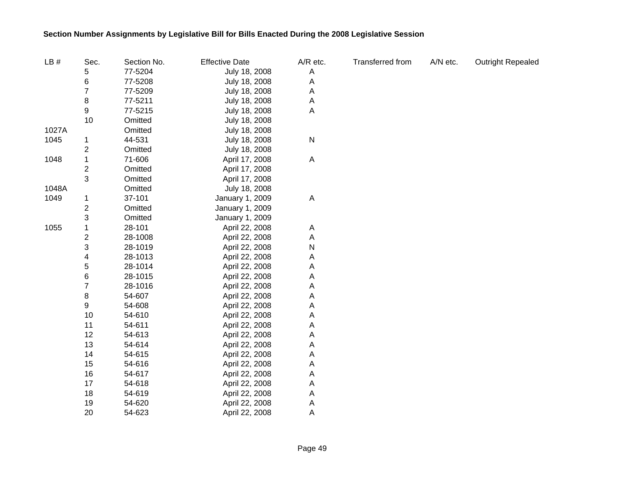| LB#   | Sec.           | Section No. | <b>Effective Date</b> | A/R etc.  | Transferred from | A/N etc. | <b>Outright Repealed</b> |
|-------|----------------|-------------|-----------------------|-----------|------------------|----------|--------------------------|
|       | 5              | 77-5204     | July 18, 2008         | Α         |                  |          |                          |
|       | 6              | 77-5208     | July 18, 2008         | Α         |                  |          |                          |
|       | $\overline{7}$ | 77-5209     | July 18, 2008         | Α         |                  |          |                          |
|       | 8              | 77-5211     | July 18, 2008         | Α         |                  |          |                          |
|       | 9              | 77-5215     | July 18, 2008         | Α         |                  |          |                          |
|       | 10             | Omitted     | July 18, 2008         |           |                  |          |                          |
| 1027A |                | Omitted     | July 18, 2008         |           |                  |          |                          |
| 1045  | 1              | 44-531      | July 18, 2008         | ${\sf N}$ |                  |          |                          |
|       | 2              | Omitted     | July 18, 2008         |           |                  |          |                          |
| 1048  | 1              | 71-606      | April 17, 2008        | A         |                  |          |                          |
|       | 2              | Omitted     | April 17, 2008        |           |                  |          |                          |
|       | 3              | Omitted     | April 17, 2008        |           |                  |          |                          |
| 1048A |                | Omitted     | July 18, 2008         |           |                  |          |                          |
| 1049  | 1              | 37-101      | January 1, 2009       | A         |                  |          |                          |
|       | 2              | Omitted     | January 1, 2009       |           |                  |          |                          |
|       | 3              | Omitted     | January 1, 2009       |           |                  |          |                          |
| 1055  | 1              | 28-101      | April 22, 2008        | A         |                  |          |                          |
|       | 2              | 28-1008     | April 22, 2008        | Α         |                  |          |                          |
|       | 3              | 28-1019     | April 22, 2008        | ${\sf N}$ |                  |          |                          |
|       | 4              | 28-1013     | April 22, 2008        | Α         |                  |          |                          |
|       | 5              | 28-1014     | April 22, 2008        | Α         |                  |          |                          |
|       | 6              | 28-1015     | April 22, 2008        | А         |                  |          |                          |
|       | 7              | 28-1016     | April 22, 2008        | Α         |                  |          |                          |
|       | 8              | 54-607      | April 22, 2008        | Α         |                  |          |                          |
|       | 9              | 54-608      | April 22, 2008        | Α         |                  |          |                          |
|       | 10             | 54-610      | April 22, 2008        | Α         |                  |          |                          |
|       | 11             | 54-611      | April 22, 2008        | Α         |                  |          |                          |
|       | 12             | 54-613      | April 22, 2008        | Α         |                  |          |                          |
|       | 13             | 54-614      | April 22, 2008        | Α         |                  |          |                          |
|       | 14             | 54-615      | April 22, 2008        | Α         |                  |          |                          |
|       | 15             | 54-616      | April 22, 2008        | Α         |                  |          |                          |
|       | 16             | 54-617      | April 22, 2008        | Α         |                  |          |                          |
|       | 17             | 54-618      | April 22, 2008        | Α         |                  |          |                          |
|       | 18             | 54-619      | April 22, 2008        | Α         |                  |          |                          |
|       | 19             | 54-620      | April 22, 2008        | Α         |                  |          |                          |
|       | 20             | 54-623      | April 22, 2008        | Α         |                  |          |                          |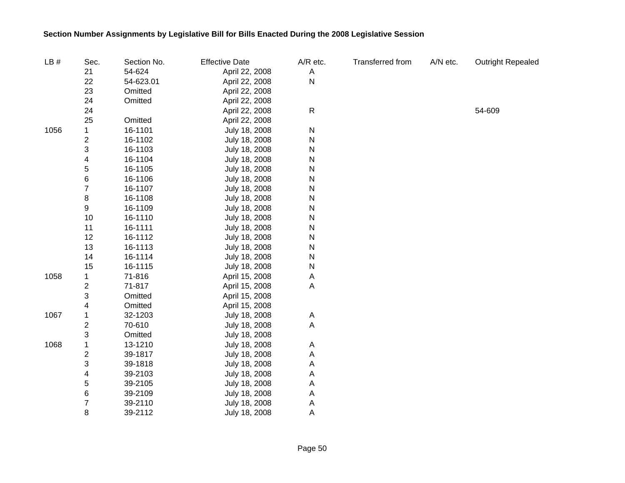| LB#  | Sec.                    | Section No. | <b>Effective Date</b> | A/R etc.       | Transferred from | A/N etc. | <b>Outright Repealed</b> |
|------|-------------------------|-------------|-----------------------|----------------|------------------|----------|--------------------------|
|      | 21                      | 54-624      | April 22, 2008        | A              |                  |          |                          |
|      | 22                      | 54-623.01   | April 22, 2008        | $\mathsf{N}$   |                  |          |                          |
|      | 23                      | Omitted     | April 22, 2008        |                |                  |          |                          |
|      | 24                      | Omitted     | April 22, 2008        |                |                  |          |                          |
|      | 24                      |             | April 22, 2008        | $\mathsf{R}$   |                  |          | 54-609                   |
|      | 25                      | Omitted     | April 22, 2008        |                |                  |          |                          |
| 1056 | 1                       | 16-1101     | July 18, 2008         | N              |                  |          |                          |
|      | 2                       | 16-1102     | July 18, 2008         | ${\sf N}$      |                  |          |                          |
|      | 3                       | 16-1103     | July 18, 2008         | ${\sf N}$      |                  |          |                          |
|      | 4                       | 16-1104     | July 18, 2008         | N              |                  |          |                          |
|      | 5                       | 16-1105     | July 18, 2008         | N              |                  |          |                          |
|      | 6                       | 16-1106     | July 18, 2008         | N              |                  |          |                          |
|      | 7                       | 16-1107     | July 18, 2008         | N              |                  |          |                          |
|      | 8                       | 16-1108     | July 18, 2008         | ${\sf N}$      |                  |          |                          |
|      | 9                       | 16-1109     | July 18, 2008         | ${\sf N}$      |                  |          |                          |
|      | 10                      | 16-1110     | July 18, 2008         | N              |                  |          |                          |
|      | 11                      | 16-1111     | July 18, 2008         | N              |                  |          |                          |
|      | 12                      | 16-1112     | July 18, 2008         | N              |                  |          |                          |
|      | 13                      | 16-1113     | July 18, 2008         | N              |                  |          |                          |
|      | 14                      | 16-1114     | July 18, 2008         | N              |                  |          |                          |
|      | 15                      | 16-1115     | July 18, 2008         | N              |                  |          |                          |
| 1058 | 1                       | 71-816      | April 15, 2008        | A              |                  |          |                          |
|      | 2                       | 71-817      | April 15, 2008        | $\mathsf{A}$   |                  |          |                          |
|      | 3                       | Omitted     | April 15, 2008        |                |                  |          |                          |
|      | 4                       | Omitted     | April 15, 2008        |                |                  |          |                          |
| 1067 | 1                       | 32-1203     | July 18, 2008         | A              |                  |          |                          |
|      | $\overline{\mathbf{c}}$ | 70-610      | July 18, 2008         | $\overline{A}$ |                  |          |                          |
|      | 3                       | Omitted     | July 18, 2008         |                |                  |          |                          |
| 1068 | 1                       | 13-1210     | July 18, 2008         | A              |                  |          |                          |
|      | 2                       | 39-1817     | July 18, 2008         | $\overline{A}$ |                  |          |                          |
|      | 3                       | 39-1818     | July 18, 2008         | A              |                  |          |                          |
|      | 4                       | 39-2103     | July 18, 2008         | A              |                  |          |                          |
|      | 5                       | 39-2105     | July 18, 2008         | A              |                  |          |                          |
|      | 6                       | 39-2109     | July 18, 2008         | A              |                  |          |                          |
|      | 7                       | 39-2110     | July 18, 2008         | Α              |                  |          |                          |
|      | 8                       | 39-2112     | July 18, 2008         | Α              |                  |          |                          |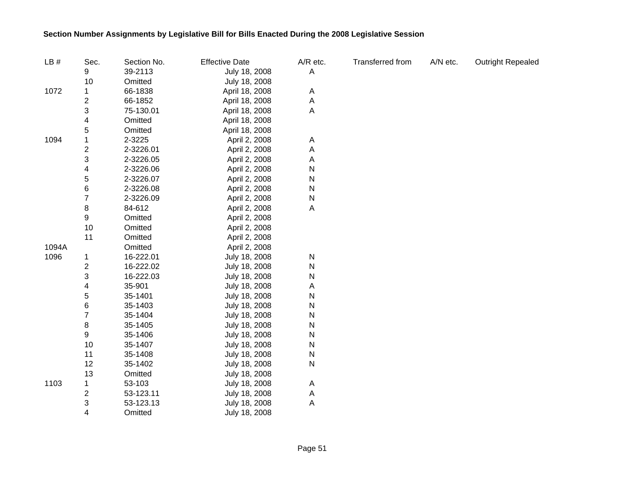| LB#   | Sec.                    | Section No. | <b>Effective Date</b> | A/R etc. | Transferred from | A/N etc. | <b>Outright Repealed</b> |
|-------|-------------------------|-------------|-----------------------|----------|------------------|----------|--------------------------|
|       | 9                       | 39-2113     | July 18, 2008         | Α        |                  |          |                          |
|       | 10                      | Omitted     | July 18, 2008         |          |                  |          |                          |
| 1072  | 1                       | 66-1838     | April 18, 2008        | A        |                  |          |                          |
|       | $\overline{\mathbf{c}}$ | 66-1852     | April 18, 2008        | Α        |                  |          |                          |
|       | 3                       | 75-130.01   | April 18, 2008        | Α        |                  |          |                          |
|       | 4                       | Omitted     | April 18, 2008        |          |                  |          |                          |
|       | 5                       | Omitted     | April 18, 2008        |          |                  |          |                          |
| 1094  | 1                       | 2-3225      | April 2, 2008         | A        |                  |          |                          |
|       | 2                       | 2-3226.01   | April 2, 2008         | Α        |                  |          |                          |
|       | 3                       | 2-3226.05   | April 2, 2008         | Α        |                  |          |                          |
|       | 4                       | 2-3226.06   | April 2, 2008         | N        |                  |          |                          |
|       | 5                       | 2-3226.07   | April 2, 2008         | N        |                  |          |                          |
|       | 6                       | 2-3226.08   | April 2, 2008         | N        |                  |          |                          |
|       | $\overline{7}$          | 2-3226.09   | April 2, 2008         | N        |                  |          |                          |
|       | 8                       | 84-612      | April 2, 2008         | A        |                  |          |                          |
|       | 9                       | Omitted     | April 2, 2008         |          |                  |          |                          |
|       | 10                      | Omitted     | April 2, 2008         |          |                  |          |                          |
|       | 11                      | Omitted     | April 2, 2008         |          |                  |          |                          |
| 1094A |                         | Omitted     | April 2, 2008         |          |                  |          |                          |
| 1096  | 1                       | 16-222.01   | July 18, 2008         | N        |                  |          |                          |
|       | $\overline{\mathbf{c}}$ | 16-222.02   | July 18, 2008         | N        |                  |          |                          |
|       | 3                       | 16-222.03   | July 18, 2008         | N        |                  |          |                          |
|       | 4                       | 35-901      | July 18, 2008         | Α        |                  |          |                          |
|       | 5                       | 35-1401     | July 18, 2008         | N        |                  |          |                          |
|       | 6                       | 35-1403     | July 18, 2008         | N        |                  |          |                          |
|       | $\overline{\mathbf{7}}$ | 35-1404     | July 18, 2008         | N        |                  |          |                          |
|       | 8                       | 35-1405     | July 18, 2008         | N        |                  |          |                          |
|       | 9                       | 35-1406     | July 18, 2008         | N        |                  |          |                          |
|       | 10                      | 35-1407     | July 18, 2008         | N        |                  |          |                          |
|       | 11                      | 35-1408     | July 18, 2008         | N        |                  |          |                          |
|       | 12                      | 35-1402     | July 18, 2008         | N        |                  |          |                          |
|       | 13                      | Omitted     | July 18, 2008         |          |                  |          |                          |
| 1103  | 1                       | 53-103      | July 18, 2008         | A        |                  |          |                          |
|       | 2                       | 53-123.11   | July 18, 2008         | A        |                  |          |                          |
|       | 3                       | 53-123.13   | July 18, 2008         | A        |                  |          |                          |
|       | $\overline{4}$          | Omitted     | July 18, 2008         |          |                  |          |                          |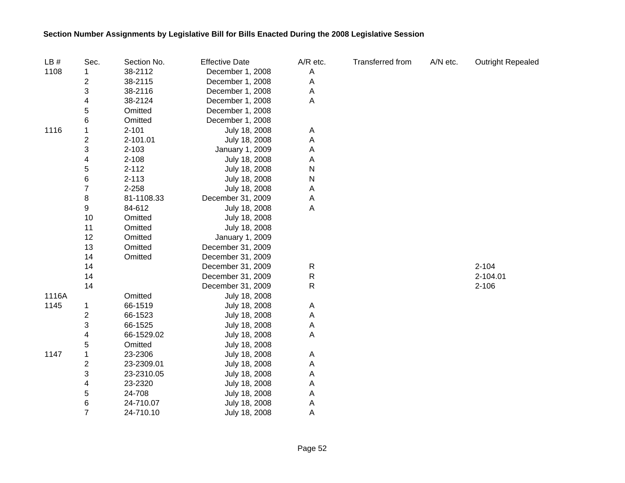| LB#   | Sec.                    | Section No. | <b>Effective Date</b> | A/R etc.  | Transferred from | A/N etc. | <b>Outright Repealed</b> |
|-------|-------------------------|-------------|-----------------------|-----------|------------------|----------|--------------------------|
| 1108  |                         | 38-2112     | December 1, 2008      | A         |                  |          |                          |
|       | 2                       | 38-2115     | December 1, 2008      | Α         |                  |          |                          |
|       | 3                       | 38-2116     | December 1, 2008      | A         |                  |          |                          |
|       | 4                       | 38-2124     | December 1, 2008      | Α         |                  |          |                          |
|       | 5                       | Omitted     | December 1, 2008      |           |                  |          |                          |
|       | 6                       | Omitted     | December 1, 2008      |           |                  |          |                          |
| 1116  |                         | $2 - 101$   | July 18, 2008         | A         |                  |          |                          |
|       | 2                       | 2-101.01    | July 18, 2008         | Α         |                  |          |                          |
|       | 3                       | $2 - 103$   | January 1, 2009       | Α         |                  |          |                          |
|       | 4                       | $2 - 108$   | July 18, 2008         | Α         |                  |          |                          |
|       | 5                       | $2 - 112$   | July 18, 2008         | ${\sf N}$ |                  |          |                          |
|       | 6                       | $2 - 113$   | July 18, 2008         | ${\sf N}$ |                  |          |                          |
|       | 7                       | 2-258       | July 18, 2008         | Α         |                  |          |                          |
|       | 8                       | 81-1108.33  | December 31, 2009     | Α         |                  |          |                          |
|       | 9                       | 84-612      | July 18, 2008         | А         |                  |          |                          |
|       | 10                      | Omitted     | July 18, 2008         |           |                  |          |                          |
|       | 11                      | Omitted     | July 18, 2008         |           |                  |          |                          |
|       | 12                      | Omitted     | January 1, 2009       |           |                  |          |                          |
|       | 13                      | Omitted     | December 31, 2009     |           |                  |          |                          |
|       | 14                      | Omitted     | December 31, 2009     |           |                  |          |                          |
|       | 14                      |             | December 31, 2009     | R         |                  |          | $2 - 104$                |
|       | 14                      |             | December 31, 2009     | ${\sf R}$ |                  |          | 2-104.01                 |
|       | 14                      |             | December 31, 2009     | R         |                  |          | $2 - 106$                |
| 1116A |                         | Omitted     | July 18, 2008         |           |                  |          |                          |
| 1145  | 1                       | 66-1519     | July 18, 2008         | Α         |                  |          |                          |
|       | 2                       | 66-1523     | July 18, 2008         | A         |                  |          |                          |
|       | 3                       | 66-1525     | July 18, 2008         | Α         |                  |          |                          |
|       | 4                       | 66-1529.02  | July 18, 2008         | A         |                  |          |                          |
|       | 5                       | Omitted     | July 18, 2008         |           |                  |          |                          |
| 1147  | $\mathbf{1}$            | 23-2306     | July 18, 2008         | Α         |                  |          |                          |
|       | $\overline{\mathbf{c}}$ | 23-2309.01  | July 18, 2008         | Α         |                  |          |                          |
|       | 3                       | 23-2310.05  | July 18, 2008         | Α         |                  |          |                          |
|       | 4                       | 23-2320     | July 18, 2008         | Α         |                  |          |                          |
|       | 5                       | 24-708      | July 18, 2008         | A         |                  |          |                          |
|       | 6                       | 24-710.07   | July 18, 2008         | Α         |                  |          |                          |
|       | $\overline{7}$          | 24-710.10   | July 18, 2008         | А         |                  |          |                          |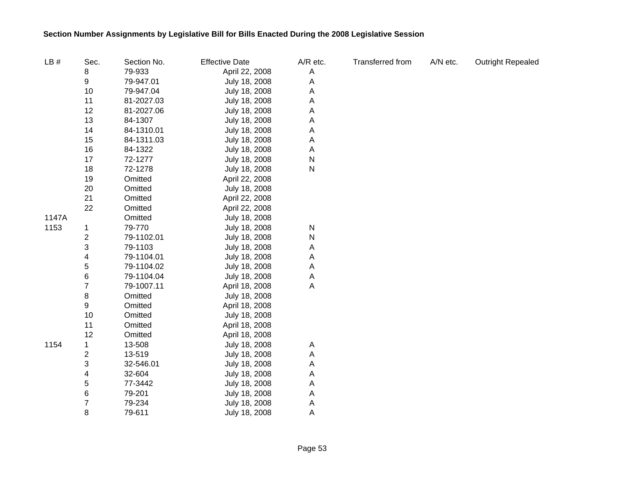| LB#   | Sec.                    | Section No. | <b>Effective Date</b> | A/R etc. | <b>Transferred from</b> | A/N etc. | <b>Outright Repealed</b> |
|-------|-------------------------|-------------|-----------------------|----------|-------------------------|----------|--------------------------|
|       | 8                       | 79-933      | April 22, 2008        | A        |                         |          |                          |
|       | 9                       | 79-947.01   | July 18, 2008         | Α        |                         |          |                          |
|       | 10                      | 79-947.04   | July 18, 2008         | Α        |                         |          |                          |
|       | 11                      | 81-2027.03  | July 18, 2008         | Α        |                         |          |                          |
|       | 12                      | 81-2027.06  | July 18, 2008         | Α        |                         |          |                          |
|       | 13                      | 84-1307     | July 18, 2008         | Α        |                         |          |                          |
|       | 14                      | 84-1310.01  | July 18, 2008         | Α        |                         |          |                          |
|       | 15                      | 84-1311.03  | July 18, 2008         | А        |                         |          |                          |
|       | 16                      | 84-1322     | July 18, 2008         | A        |                         |          |                          |
|       | 17                      | 72-1277     | July 18, 2008         | N        |                         |          |                          |
|       | 18                      | 72-1278     | July 18, 2008         | N        |                         |          |                          |
|       | 19                      | Omitted     | April 22, 2008        |          |                         |          |                          |
|       | 20                      | Omitted     | July 18, 2008         |          |                         |          |                          |
|       | 21                      | Omitted     | April 22, 2008        |          |                         |          |                          |
|       | 22                      | Omitted     | April 22, 2008        |          |                         |          |                          |
| 1147A |                         | Omitted     | July 18, 2008         |          |                         |          |                          |
| 1153  | 1                       | 79-770      | July 18, 2008         | N        |                         |          |                          |
|       | $\overline{2}$          | 79-1102.01  | July 18, 2008         | N        |                         |          |                          |
|       | 3                       | 79-1103     | July 18, 2008         | Α        |                         |          |                          |
|       | 4                       | 79-1104.01  | July 18, 2008         | Α        |                         |          |                          |
|       | 5                       | 79-1104.02  | July 18, 2008         | Α        |                         |          |                          |
|       | 6                       | 79-1104.04  | July 18, 2008         | A        |                         |          |                          |
|       | $\overline{7}$          | 79-1007.11  | April 18, 2008        | А        |                         |          |                          |
|       | 8                       | Omitted     | July 18, 2008         |          |                         |          |                          |
|       | 9                       | Omitted     | April 18, 2008        |          |                         |          |                          |
|       | 10                      | Omitted     | July 18, 2008         |          |                         |          |                          |
|       | 11                      | Omitted     | April 18, 2008        |          |                         |          |                          |
|       | 12                      | Omitted     | April 18, 2008        |          |                         |          |                          |
| 1154  | 1                       | 13-508      | July 18, 2008         | A        |                         |          |                          |
|       | $\overline{\mathbf{c}}$ | 13-519      | July 18, 2008         | Α        |                         |          |                          |
|       | 3                       | 32-546.01   | July 18, 2008         | Α        |                         |          |                          |
|       | 4                       | 32-604      | July 18, 2008         | Α        |                         |          |                          |
|       | 5                       | 77-3442     | July 18, 2008         | Α        |                         |          |                          |
|       | 6                       | 79-201      | July 18, 2008         | Α        |                         |          |                          |
|       | $\overline{7}$          | 79-234      | July 18, 2008         | Α        |                         |          |                          |
|       | 8                       | 79-611      | July 18, 2008         | Α        |                         |          |                          |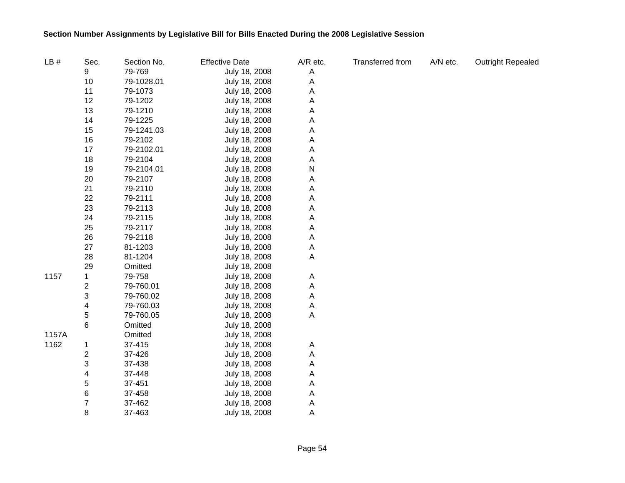| LB#   | Sec. | Section No. | <b>Effective Date</b> | A/R etc. | <b>Transferred from</b> | A/N etc. | <b>Outright Repealed</b> |
|-------|------|-------------|-----------------------|----------|-------------------------|----------|--------------------------|
|       | 9    | 79-769      | July 18, 2008         | Α        |                         |          |                          |
|       | 10   | 79-1028.01  | July 18, 2008         | Α        |                         |          |                          |
|       | 11   | 79-1073     | July 18, 2008         | А        |                         |          |                          |
|       | 12   | 79-1202     | July 18, 2008         | А        |                         |          |                          |
|       | 13   | 79-1210     | July 18, 2008         | А        |                         |          |                          |
|       | 14   | 79-1225     | July 18, 2008         | А        |                         |          |                          |
|       | 15   | 79-1241.03  | July 18, 2008         | А        |                         |          |                          |
|       | 16   | 79-2102     | July 18, 2008         | Α        |                         |          |                          |
|       | 17   | 79-2102.01  | July 18, 2008         | Α        |                         |          |                          |
|       | 18   | 79-2104     | July 18, 2008         | Α        |                         |          |                          |
|       | 19   | 79-2104.01  | July 18, 2008         | Ν        |                         |          |                          |
|       | 20   | 79-2107     | July 18, 2008         | Α        |                         |          |                          |
|       | 21   | 79-2110     | July 18, 2008         | Α        |                         |          |                          |
|       | 22   | 79-2111     | July 18, 2008         | А        |                         |          |                          |
|       | 23   | 79-2113     | July 18, 2008         | Α        |                         |          |                          |
|       | 24   | 79-2115     | July 18, 2008         | A        |                         |          |                          |
|       | 25   | 79-2117     | July 18, 2008         | Α        |                         |          |                          |
|       | 26   | 79-2118     | July 18, 2008         | Α        |                         |          |                          |
|       | 27   | 81-1203     | July 18, 2008         | Α        |                         |          |                          |
|       | 28   | 81-1204     | July 18, 2008         | Α        |                         |          |                          |
|       | 29   | Omitted     | July 18, 2008         |          |                         |          |                          |
| 1157  | 1    | 79-758      | July 18, 2008         | Α        |                         |          |                          |
|       | 2    | 79-760.01   | July 18, 2008         | Α        |                         |          |                          |
|       | 3    | 79-760.02   | July 18, 2008         | A        |                         |          |                          |
|       | 4    | 79-760.03   | July 18, 2008         | Α        |                         |          |                          |
|       | 5    | 79-760.05   | July 18, 2008         | Α        |                         |          |                          |
|       | 6    | Omitted     | July 18, 2008         |          |                         |          |                          |
| 1157A |      | Omitted     | July 18, 2008         |          |                         |          |                          |
| 1162  | 1    | 37-415      | July 18, 2008         | A        |                         |          |                          |
|       | 2    | 37-426      | July 18, 2008         | Α        |                         |          |                          |
|       | 3    | 37-438      | July 18, 2008         | Α        |                         |          |                          |
|       | 4    | 37-448      | July 18, 2008         | A        |                         |          |                          |
|       | 5    | 37-451      | July 18, 2008         | A        |                         |          |                          |
|       | 6    | 37-458      | July 18, 2008         | A        |                         |          |                          |
|       | 7    | 37-462      | July 18, 2008         | A        |                         |          |                          |
|       | 8    | 37-463      | July 18, 2008         | A        |                         |          |                          |